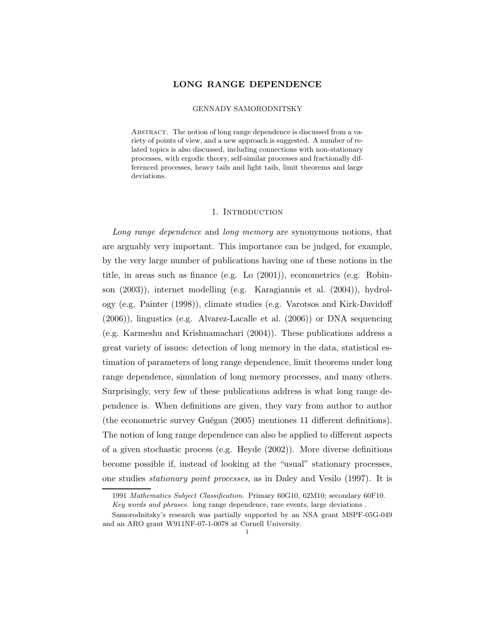# LONG RANGE DEPENDENCE

#### GENNADY SAMORODNITSKY

ABSTRACT. The notion of long range dependence is discussed from a variety of points of view, and a new approach is suggested. A number of related topics is also discussed, including connections with non-stationary processes, with ergodic theory, self-similar processes and fractionally differenced processes, heavy tails and light tails, limit theorems and large deviations.

#### 1. INTRODUCTION

Long range dependence and long memory are synonymous notions, that are arguably very important. This importance can be judged, for example, by the very large number of publications having one of these notions in the title, in areas such as finance (e.g. Lo (2001)), econometrics (e.g. Robinson (2003)), internet modelling (e.g. Karagiannis et al. (2004)), hydrology (e.g. Painter (1998)), climate studies (e.g. Varotsos and Kirk-Davidoff (2006)), lingustics (e.g. Alvarez-Lacalle et al. (2006)) or DNA sequencing (e.g. Karmeshu and Krishnamachari (2004)). These publications address a great variety of issues: detection of long memory in the data, statistical estimation of parameters of long range dependence, limit theorems under long range dependence, simulation of long memory processes, and many others. Surprisingly, very few of these publications address is what long range dependence is. When definitions are given, they vary from author to author (the econometric survey Guégan  $(2005)$  mentiones 11 different definitions). The notion of long range dependence can also be applied to different aspects of a given stochastic process (e.g. Heyde (2002)). More diverse definitions become possible if, instead of looking at the "usual" stationary processes, one studies stationary point processes, as in Daley and Vesilo (1997). It is

<sup>1991</sup> Mathematics Subject Classification. Primary 60G10, 62M10; secondary 60F10. Key words and phrases. long range dependence, rare events, large deviations .

Samorodnitsky's research was partially supported by an NSA grant MSPF-05G-049 and an ARO grant W911NF-07-1-0078 at Cornell University.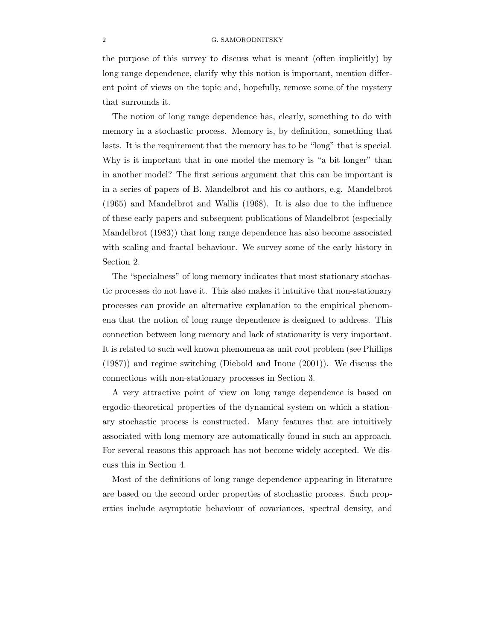the purpose of this survey to discuss what is meant (often implicitly) by long range dependence, clarify why this notion is important, mention different point of views on the topic and, hopefully, remove some of the mystery that surrounds it.

The notion of long range dependence has, clearly, something to do with memory in a stochastic process. Memory is, by definition, something that lasts. It is the requirement that the memory has to be "long" that is special. Why is it important that in one model the memory is "a bit longer" than in another model? The first serious argument that this can be important is in a series of papers of B. Mandelbrot and his co-authors, e.g. Mandelbrot (1965) and Mandelbrot and Wallis (1968). It is also due to the influence of these early papers and subsequent publications of Mandelbrot (especially Mandelbrot (1983)) that long range dependence has also become associated with scaling and fractal behaviour. We survey some of the early history in Section 2.

The "specialness" of long memory indicates that most stationary stochastic processes do not have it. This also makes it intuitive that non-stationary processes can provide an alternative explanation to the empirical phenomena that the notion of long range dependence is designed to address. This connection between long memory and lack of stationarity is very important. It is related to such well known phenomena as unit root problem (see Phillips (1987)) and regime switching (Diebold and Inoue (2001)). We discuss the connections with non-stationary processes in Section 3.

A very attractive point of view on long range dependence is based on ergodic-theoretical properties of the dynamical system on which a stationary stochastic process is constructed. Many features that are intuitively associated with long memory are automatically found in such an approach. For several reasons this approach has not become widely accepted. We discuss this in Section 4.

Most of the definitions of long range dependence appearing in literature are based on the second order properties of stochastic process. Such properties include asymptotic behaviour of covariances, spectral density, and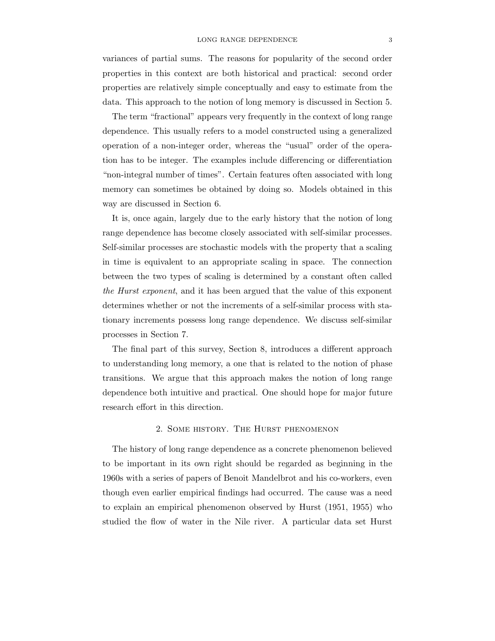variances of partial sums. The reasons for popularity of the second order properties in this context are both historical and practical: second order properties are relatively simple conceptually and easy to estimate from the data. This approach to the notion of long memory is discussed in Section 5.

The term "fractional" appears very frequently in the context of long range dependence. This usually refers to a model constructed using a generalized operation of a non-integer order, whereas the "usual" order of the operation has to be integer. The examples include differencing or differentiation "non-integral number of times". Certain features often associated with long memory can sometimes be obtained by doing so. Models obtained in this way are discussed in Section 6.

It is, once again, largely due to the early history that the notion of long range dependence has become closely associated with self-similar processes. Self-similar processes are stochastic models with the property that a scaling in time is equivalent to an appropriate scaling in space. The connection between the two types of scaling is determined by a constant often called the Hurst exponent, and it has been argued that the value of this exponent determines whether or not the increments of a self-similar process with stationary increments possess long range dependence. We discuss self-similar processes in Section 7.

The final part of this survey, Section 8, introduces a different approach to understanding long memory, a one that is related to the notion of phase transitions. We argue that this approach makes the notion of long range dependence both intuitive and practical. One should hope for major future research effort in this direction.

#### 2. Some history. The Hurst phenomenon

The history of long range dependence as a concrete phenomenon believed to be important in its own right should be regarded as beginning in the 1960s with a series of papers of Benoit Mandelbrot and his co-workers, even though even earlier empirical findings had occurred. The cause was a need to explain an empirical phenomenon observed by Hurst (1951, 1955) who studied the flow of water in the Nile river. A particular data set Hurst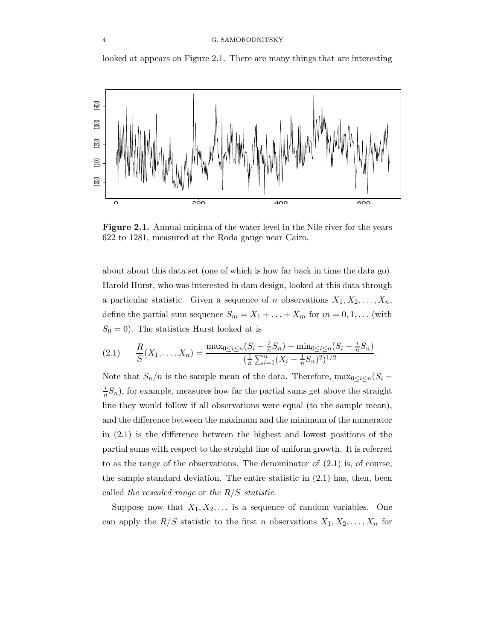looked at appears on Figure 2.1. There are many things that are interesting



Figure 2.1. Annual minima of the water level in the Nile river for the years 622 to 1281, measured at the Roda gauge near Cairo.

about about this data set (one of which is how far back in time the data go). Harold Hurst, who was interested in dam design, looked at this data through a particular statistic. Given a sequence of n observations  $X_1, X_2, \ldots, X_n$ , define the partial sum sequence  $S_m = X_1 + \ldots + X_m$  for  $m = 0, 1, \ldots$  (with  $S_0 = 0$ ). The statistics Hurst looked at is

$$
(2.1) \qquad \frac{R}{S}(X_1,\ldots,X_n) = \frac{\max_{0 \le i \le n} (S_i - \frac{i}{n}S_n) - \min_{0 \le i \le n} (S_i - \frac{i}{n}S_n)}{(\frac{1}{n}\sum_{i=1}^n (X_i - \frac{1}{n}S_n)^2)^{1/2}}.
$$

Note that  $S_n/n$  is the sample mean of the data. Therefore,  $\max_{0 \leq i \leq n} (S_i$ i  $\frac{i}{n}S_n$ , for example, measures how far the partial sums get above the straight line they would follow if all observations were equal (to the sample mean), and the difference between the maximum and the minimum of the numerator in (2.1) is the difference between the highest and lowest positions of the partial sums with respect to the straight line of uniform growth. It is referred to as the range of the observations. The denominator of (2.1) is, of course, the sample standard deviation. The entire statistic in (2.1) has, then, been called the rescaled range or the  $R/S$  statistic.

Suppose now that  $X_1, X_2, \ldots$  is a sequence of random variables. One can apply the  $R/S$  statistic to the first n observations  $X_1, X_2, \ldots, X_n$  for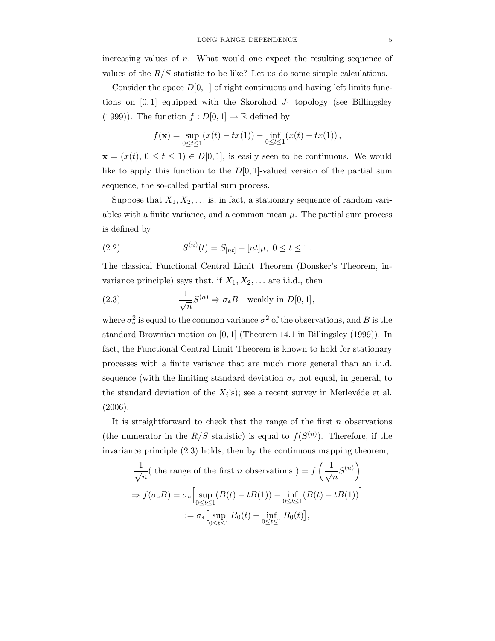increasing values of  $n$ . What would one expect the resulting sequence of values of the  $R/S$  statistic to be like? Let us do some simple calculations.

Consider the space  $D[0, 1]$  of right continuous and having left limits functions on  $[0, 1]$  equipped with the Skorohod  $J_1$  topology (see Billingsley (1999)). The function  $f: D[0,1] \to \mathbb{R}$  defined by

$$
f(\mathbf{x}) = \sup_{0 \le t \le 1} (x(t) - tx(1)) - \inf_{0 \le t \le 1} (x(t) - tx(1)),
$$

 $\mathbf{x} = (x(t), 0 \le t \le 1) \in D[0,1],$  is easily seen to be continuous. We would like to apply this function to the  $D[0, 1]$ -valued version of the partial sum sequence, the so-called partial sum process.

Suppose that  $X_1, X_2, \ldots$  is, in fact, a stationary sequence of random variables with a finite variance, and a common mean  $\mu$ . The partial sum process is defined by

(2.2) 
$$
S^{(n)}(t) = S_{[nt]} - [nt]\mu, \ 0 \le t \le 1.
$$

The classical Functional Central Limit Theorem (Donsker's Theorem, invariance principle) says that, if  $X_1, X_2, \ldots$  are i.i.d., then

(2.3) 
$$
\frac{1}{\sqrt{n}}S^{(n)} \Rightarrow \sigma_*B \text{ weakly in } D[0,1],
$$

where  $\sigma_*^2$  is equal to the common variance  $\sigma^2$  of the observations, and B is the standard Brownian motion on [0, 1] (Theorem 14.1 in Billingsley (1999)). In fact, the Functional Central Limit Theorem is known to hold for stationary processes with a finite variance that are much more general than an i.i.d. sequence (with the limiting standard deviation  $\sigma_*$  not equal, in general, to the standard deviation of the  $X_i$ 's); see a recent survey in Merlevéde et al. (2006).

It is straightforward to check that the range of the first  $n$  observations (the numerator in the  $R/S$  statistic) is equal to  $f(S^{(n)})$ . Therefore, if the invariance principle  $(2.3)$  holds, then by the continuous mapping theorem,

$$
\frac{1}{\sqrt{n}}(\text{ the range of the first } n \text{ observations}) = f\left(\frac{1}{\sqrt{n}}S^{(n)}\right)
$$

$$
\Rightarrow f(\sigma_*B) = \sigma_*\left[\sup_{0 \le t \le 1} (B(t) - tB(1)) - \inf_{0 \le t \le 1} (B(t) - tB(1))\right]
$$

$$
:= \sigma_*\left[\sup_{0 \le t \le 1} B_0(t) - \inf_{0 \le t \le 1} B_0(t)\right],
$$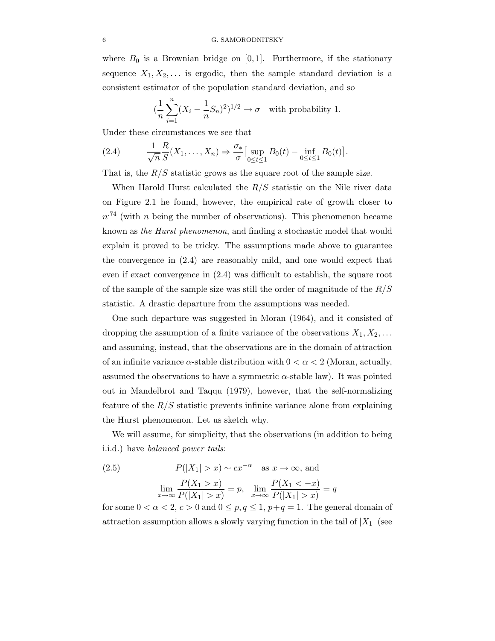where  $B_0$  is a Brownian bridge on [0,1]. Furthermore, if the stationary sequence  $X_1, X_2, \ldots$  is ergodic, then the sample standard deviation is a consistent estimator of the population standard deviation, and so

$$
(\frac{1}{n}\sum_{i=1}^{n}(X_i - \frac{1}{n}S_n)^2)^{1/2} \to \sigma \text{ with probability 1.}
$$

Under these circumstances we see that

(2.4) 
$$
\frac{1}{\sqrt{n}} \frac{R}{S}(X_1, ..., X_n) \Rightarrow \frac{\sigma_*}{\sigma} \Big[ \sup_{0 \le t \le 1} B_0(t) - \inf_{0 \le t \le 1} B_0(t) \Big].
$$

That is, the  $R/S$  statistic grows as the square root of the sample size.

When Harold Hurst calculated the  $R/S$  statistic on the Nile river data on Figure 2.1 he found, however, the empirical rate of growth closer to  $n^{.74}$  (with n being the number of observations). This phenomenon became known as the Hurst phenomenon, and finding a stochastic model that would explain it proved to be tricky. The assumptions made above to guarantee the convergence in (2.4) are reasonably mild, and one would expect that even if exact convergence in (2.4) was difficult to establish, the square root of the sample of the sample size was still the order of magnitude of the  $R/S$ statistic. A drastic departure from the assumptions was needed.

One such departure was suggested in Moran (1964), and it consisted of dropping the assumption of a finite variance of the observations  $X_1, X_2, \ldots$ and assuming, instead, that the observations are in the domain of attraction of an infinite variance  $\alpha$ -stable distribution with  $0 < \alpha < 2$  (Moran, actually, assumed the observations to have a symmetric  $\alpha$ -stable law). It was pointed out in Mandelbrot and Taqqu (1979), however, that the self-normalizing feature of the  $R/S$  statistic prevents infinite variance alone from explaining the Hurst phenomenon. Let us sketch why.

We will assume, for simplicity, that the observations (in addition to being i.i.d.) have *balanced power tails*:

(2.5) 
$$
P(|X_1| > x) \sim cx^{-\alpha} \text{ as } x \to \infty, \text{ and}
$$

$$
\lim_{x \to \infty} \frac{P(X_1 > x)}{P(|X_1| > x)} = p, \quad \lim_{x \to \infty} \frac{P(X_1 < -x)}{P(|X_1| > x)} = q
$$

for some  $0 < \alpha < 2$ ,  $c > 0$  and  $0 \le p, q \le 1$ ,  $p+q = 1$ . The general domain of attraction assumption allows a slowly varying function in the tail of  $|X_1|$  (see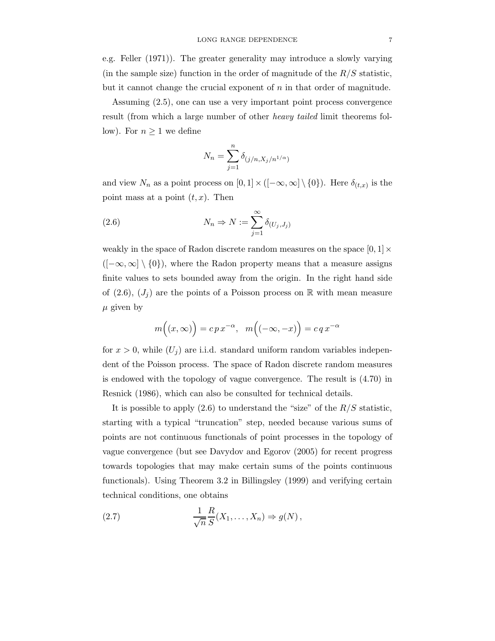e.g. Feller (1971)). The greater generality may introduce a slowly varying (in the sample size) function in the order of magnitude of the  $R/S$  statistic, but it cannot change the crucial exponent of n in that order of magnitude.

Assuming (2.5), one can use a very important point process convergence result (from which a large number of other heavy tailed limit theorems follow). For  $n \geq 1$  we define

$$
N_n = \sum_{j=1}^n \delta_{(j/n, X_j/n^{1/\alpha})}
$$

and view  $N_n$  as a point process on  $[0,1] \times ([-\infty,\infty] \setminus \{0\})$ . Here  $\delta_{(t,x)}$  is the point mass at a point  $(t, x)$ . Then

(2.6) 
$$
N_n \Rightarrow N := \sum_{j=1}^{\infty} \delta_{(U_j, J_j)}
$$

weakly in the space of Radon discrete random measures on the space  $[0,1] \times$  $([-∞,∞] \ \{0\})$ , where the Radon property means that a measure assigns finite values to sets bounded away from the origin. In the right hand side of (2.6),  $(J_i)$  are the points of a Poisson process on R with mean measure  $\mu$  given by

$$
m((x,\infty)) = c p x^{-\alpha}, \quad m((-\infty,-x)) = c q x^{-\alpha}
$$

for  $x > 0$ , while  $(U_i)$  are i.i.d. standard uniform random variables independent of the Poisson process. The space of Radon discrete random measures is endowed with the topology of vague convergence. The result is (4.70) in Resnick (1986), which can also be consulted for technical details.

It is possible to apply  $(2.6)$  to understand the "size" of the  $R/S$  statistic, starting with a typical "truncation" step, needed because various sums of points are not continuous functionals of point processes in the topology of vague convergence (but see Davydov and Egorov (2005) for recent progress towards topologies that may make certain sums of the points continuous functionals). Using Theorem 3.2 in Billingsley (1999) and verifying certain technical conditions, one obtains

(2.7) 
$$
\frac{1}{\sqrt{n}} \frac{R}{S}(X_1, \dots, X_n) \Rightarrow g(N),
$$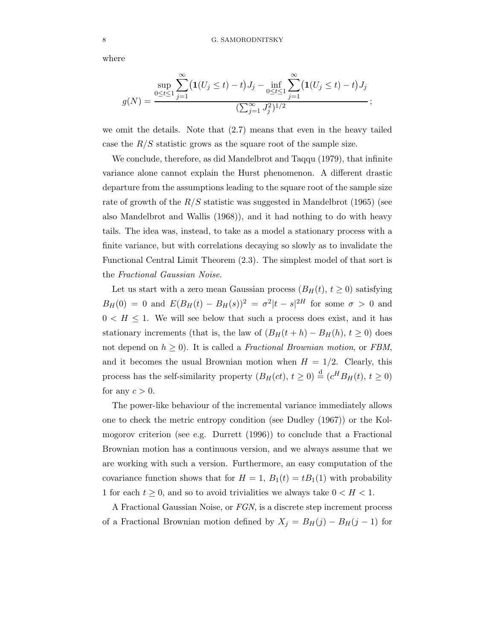where

$$
g(N) = \frac{\sup_{0 \le t \le 1} \sum_{j=1}^{\infty} (1(U_j \le t) - t) J_j - \inf_{0 \le t \le 1} \sum_{j=1}^{\infty} (1(U_j \le t) - t) J_j}{(\sum_{j=1}^{\infty} J_j^2)^{1/2}};
$$

we omit the details. Note that (2.7) means that even in the heavy tailed case the  $R/S$  statistic grows as the square root of the sample size.

We conclude, therefore, as did Mandelbrot and Taqqu (1979), that infinite variance alone cannot explain the Hurst phenomenon. A different drastic departure from the assumptions leading to the square root of the sample size rate of growth of the  $R/S$  statistic was suggested in Mandelbrot (1965) (see also Mandelbrot and Wallis (1968)), and it had nothing to do with heavy tails. The idea was, instead, to take as a model a stationary process with a finite variance, but with correlations decaying so slowly as to invalidate the Functional Central Limit Theorem (2.3). The simplest model of that sort is the Fractional Gaussian Noise.

Let us start with a zero mean Gaussian process  $(B_H(t), t \ge 0)$  satisfying  $B_H(0) = 0$  and  $E(B_H(t) - B_H(s))^2 = \sigma^2 |t - s|^{2H}$  for some  $\sigma > 0$  and  $0 < H \leq 1$ . We will see below that such a process does exist, and it has stationary increments (that is, the law of  $(B_H(t + h) - B_H(h), t \ge 0)$ ) does not depend on  $h \geq 0$ ). It is called a Fractional Brownian motion, or FBM, and it becomes the usual Brownian motion when  $H = 1/2$ . Clearly, this process has the self-similarity property  $(B_H(ct), t \ge 0) \stackrel{d}{=} (c^H B_H(t), t \ge 0)$ for any  $c > 0$ .

The power-like behaviour of the incremental variance immediately allows one to check the metric entropy condition (see Dudley (1967)) or the Kolmogorov criterion (see e.g. Durrett (1996)) to conclude that a Fractional Brownian motion has a continuous version, and we always assume that we are working with such a version. Furthermore, an easy computation of the covariance function shows that for  $H = 1$ ,  $B_1(t) = tB_1(1)$  with probability 1 for each  $t \geq 0$ , and so to avoid trivialities we always take  $0 < H < 1$ .

A Fractional Gaussian Noise, or FGN, is a discrete step increment process of a Fractional Brownian motion defined by  $X_j = B_H(j) - B_H(j-1)$  for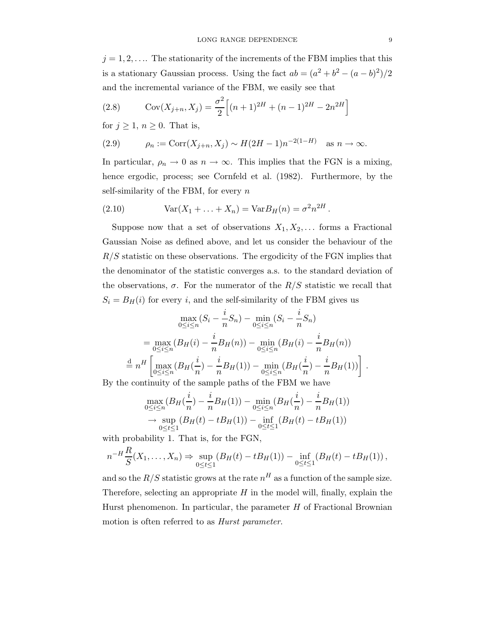$j = 1, 2, \ldots$  The stationarity of the increments of the FBM implies that this is a stationary Gaussian process. Using the fact  $ab = (a^2 + b^2 - (a - b)^2)/2$ and the incremental variance of the FBM, we easily see that

(2.8) 
$$
Cov(X_{j+n}, X_j) = \frac{\sigma^2}{2} \Big[ (n+1)^{2H} + (n-1)^{2H} - 2n^{2H} \Big]
$$

for  $j \geq 1$ ,  $n \geq 0$ . That is,

(2.9) 
$$
\rho_n := \text{Corr}(X_{j+n}, X_j) \sim H(2H - 1)n^{-2(1-H)} \text{ as } n \to \infty.
$$

In particular,  $\rho_n \to 0$  as  $n \to \infty$ . This implies that the FGN is a mixing, hence ergodic, process; see Cornfeld et al. (1982). Furthermore, by the self-similarity of the FBM, for every  $n$ 

(2.10) 
$$
Var(X_1 + ... + X_n) = Var B_H(n) = \sigma^2 n^{2H}.
$$

Suppose now that a set of observations  $X_1, X_2, \ldots$  forms a Fractional Gaussian Noise as defined above, and let us consider the behaviour of the  $R/S$  statistic on these observations. The ergodicity of the FGN implies that the denominator of the statistic converges a.s. to the standard deviation of the observations,  $\sigma$ . For the numerator of the  $R/S$  statistic we recall that  $S_i = B_H(i)$  for every i, and the self-similarity of the FBM gives us

$$
\max_{0 \le i \le n} (S_i - \frac{i}{n} S_n) - \min_{0 \le i \le n} (S_i - \frac{i}{n} S_n)
$$
  
= 
$$
\max_{0 \le i \le n} (B_H(i) - \frac{i}{n} B_H(n)) - \min_{0 \le i \le n} (B_H(i) - \frac{i}{n} B_H(n))
$$
  

$$
\stackrel{d}{=} n^H \left[ \max_{0 \le i \le n} (B_H(\frac{i}{n}) - \frac{i}{n} B_H(1)) - \min_{0 \le i \le n} (B_H(\frac{i}{n}) - \frac{i}{n} B_H(1)) \right].
$$

By the continuity of the sample paths of the FBM we have

$$
\max_{0 \le i \le n} (B_H(\frac{i}{n}) - \frac{i}{n} B_H(1)) - \min_{0 \le i \le n} (B_H(\frac{i}{n}) - \frac{i}{n} B_H(1))
$$
  
\n
$$
\to \sup_{0 \le t \le 1} (B_H(t) - t B_H(1)) - \inf_{0 \le t \le 1} (B_H(t) - t B_H(1))
$$

with probability 1. That is, for the FGN,

$$
n^{-H}\frac{R}{S}(X_1,\ldots,X_n) \Rightarrow \sup_{0\leq t\leq 1} (B_H(t)-tB_H(1)) - \inf_{0\leq t\leq 1} (B_H(t)-tB_H(1)),
$$

and so the  $R/S$  statistic grows at the rate  $n<sup>H</sup>$  as a function of the sample size. Therefore, selecting an appropriate  $H$  in the model will, finally, explain the Hurst phenomenon. In particular, the parameter  $H$  of Fractional Brownian motion is often referred to as Hurst parameter.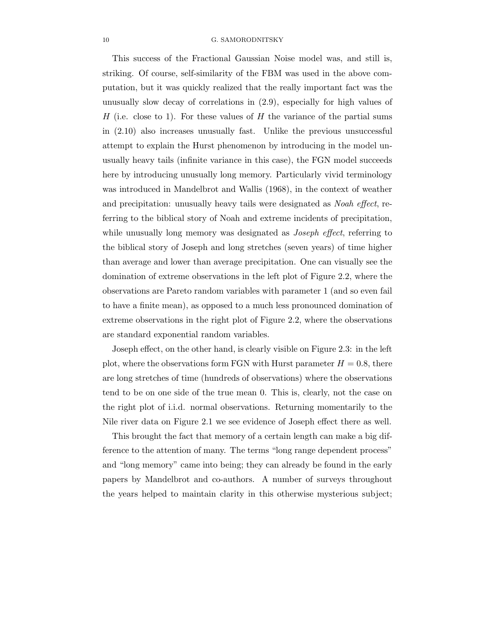This success of the Fractional Gaussian Noise model was, and still is, striking. Of course, self-similarity of the FBM was used in the above computation, but it was quickly realized that the really important fact was the unusually slow decay of correlations in (2.9), especially for high values of H (i.e. close to 1). For these values of H the variance of the partial sums in (2.10) also increases unusually fast. Unlike the previous unsuccessful attempt to explain the Hurst phenomenon by introducing in the model unusually heavy tails (infinite variance in this case), the FGN model succeeds here by introducing unusually long memory. Particularly vivid terminology was introduced in Mandelbrot and Wallis (1968), in the context of weather and precipitation: unusually heavy tails were designated as Noah effect, referring to the biblical story of Noah and extreme incidents of precipitation, while unusually long memory was designated as *Joseph effect*, referring to the biblical story of Joseph and long stretches (seven years) of time higher than average and lower than average precipitation. One can visually see the domination of extreme observations in the left plot of Figure 2.2, where the observations are Pareto random variables with parameter 1 (and so even fail to have a finite mean), as opposed to a much less pronounced domination of extreme observations in the right plot of Figure 2.2, where the observations are standard exponential random variables.

Joseph effect, on the other hand, is clearly visible on Figure 2.3: in the left plot, where the observations form FGN with Hurst parameter  $H = 0.8$ , there are long stretches of time (hundreds of observations) where the observations tend to be on one side of the true mean 0. This is, clearly, not the case on the right plot of i.i.d. normal observations. Returning momentarily to the Nile river data on Figure 2.1 we see evidence of Joseph effect there as well.

This brought the fact that memory of a certain length can make a big difference to the attention of many. The terms "long range dependent process" and "long memory" came into being; they can already be found in the early papers by Mandelbrot and co-authors. A number of surveys throughout the years helped to maintain clarity in this otherwise mysterious subject;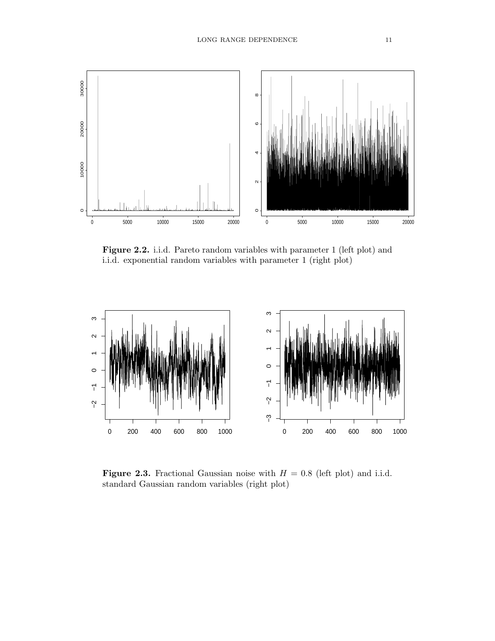

Figure 2.2. i.i.d. Pareto random variables with parameter 1 (left plot) and i.i.d. exponential random variables with parameter 1 (right plot)



**Figure 2.3.** Fractional Gaussian noise with  $H = 0.8$  (left plot) and i.i.d. standard Gaussian random variables (right plot)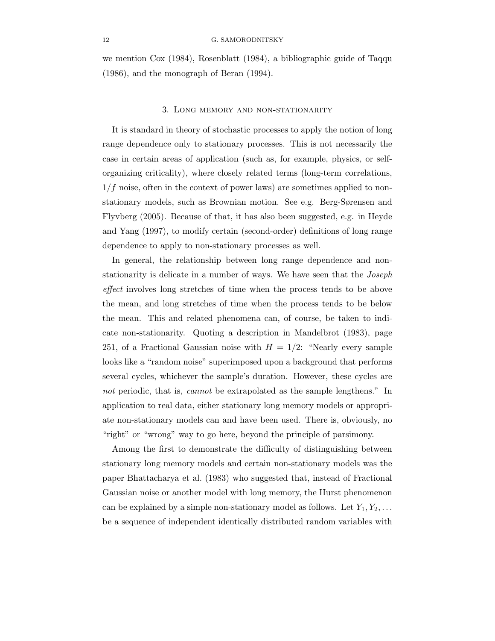we mention Cox (1984), Rosenblatt (1984), a bibliographic guide of Taqqu (1986), and the monograph of Beran (1994).

#### 3. Long memory and non-stationarity

It is standard in theory of stochastic processes to apply the notion of long range dependence only to stationary processes. This is not necessarily the case in certain areas of application (such as, for example, physics, or selforganizing criticality), where closely related terms (long-term correlations,  $1/f$  noise, often in the context of power laws) are sometimes applied to nonstationary models, such as Brownian motion. See e.g. Berg-Sørensen and Flyvberg (2005). Because of that, it has also been suggested, e.g. in Heyde and Yang (1997), to modify certain (second-order) definitions of long range dependence to apply to non-stationary processes as well.

In general, the relationship between long range dependence and nonstationarity is delicate in a number of ways. We have seen that the Joseph effect involves long stretches of time when the process tends to be above the mean, and long stretches of time when the process tends to be below the mean. This and related phenomena can, of course, be taken to indicate non-stationarity. Quoting a description in Mandelbrot (1983), page 251, of a Fractional Gaussian noise with  $H = 1/2$ : "Nearly every sample looks like a "random noise" superimposed upon a background that performs several cycles, whichever the sample's duration. However, these cycles are not periodic, that is, *cannot* be extrapolated as the sample lengthens." In application to real data, either stationary long memory models or appropriate non-stationary models can and have been used. There is, obviously, no "right" or "wrong" way to go here, beyond the principle of parsimony.

Among the first to demonstrate the difficulty of distinguishing between stationary long memory models and certain non-stationary models was the paper Bhattacharya et al. (1983) who suggested that, instead of Fractional Gaussian noise or another model with long memory, the Hurst phenomenon can be explained by a simple non-stationary model as follows. Let  $Y_1, Y_2, \ldots$ be a sequence of independent identically distributed random variables with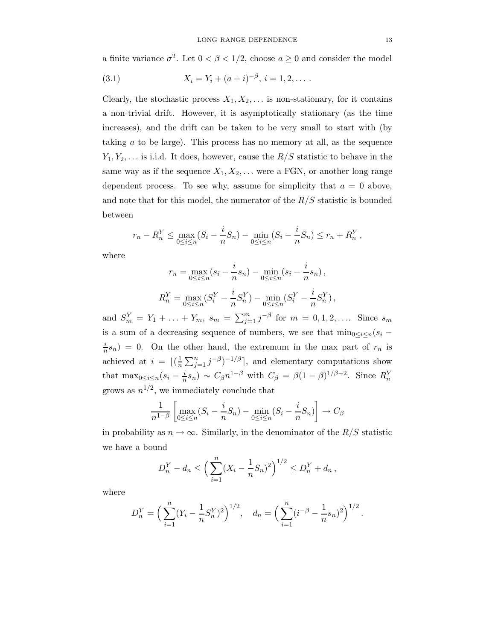a finite variance  $\sigma^2$ . Let  $0 < \beta < 1/2$ , choose  $a \ge 0$  and consider the model

(3.1) 
$$
X_i = Y_i + (a+i)^{-\beta}, i = 1, 2, \dots
$$

Clearly, the stochastic process  $X_1, X_2, \ldots$  is non-stationary, for it contains a non-trivial drift. However, it is asymptotically stationary (as the time increases), and the drift can be taken to be very small to start with (by taking a to be large). This process has no memory at all, as the sequence  $Y_1, Y_2, \ldots$  is i.i.d. It does, however, cause the  $R/S$  statistic to behave in the same way as if the sequence  $X_1, X_2, \ldots$  were a FGN, or another long range dependent process. To see why, assume for simplicity that  $a = 0$  above, and note that for this model, the numerator of the  $R/S$  statistic is bounded between

$$
r_n - R_n^Y \le \max_{0 \le i \le n} (S_i - \frac{i}{n} S_n) - \min_{0 \le i \le n} (S_i - \frac{i}{n} S_n) \le r_n + R_n^Y,
$$

where

$$
r_n = \max_{0 \le i \le n} (s_i - \frac{i}{n} s_n) - \min_{0 \le i \le n} (s_i - \frac{i}{n} s_n),
$$
  

$$
R_n^Y = \max_{0 \le i \le n} (S_i^Y - \frac{i}{n} S_n^Y) - \min_{0 \le i \le n} (S_i^Y - \frac{i}{n} S_n^Y),
$$

and  $S_m^Y = Y_1 + \ldots + Y_m$ ,  $s_m = \sum_{j=1}^m j^{-\beta}$  for  $m = 0, 1, 2, \ldots$ . Since  $s_m$ is a sum of a decreasing sequence of numbers, we see that  $\min_{0 \leq i \leq n} (s_i$ i  $n(n) = 0$ . On the other hand, the extremum in the max part of  $r_n$  is achieved at  $i = \lfloor(\frac{1}{n}\rfloor)$  $\frac{1}{n}\sum_{j=1}^n j^{-\beta}\right)^{-1/\beta}$ , and elementary computations show that max<sub>0≤i≤n</sub>(s<sub>i</sub> –  $\frac{i}{n}$  $(n \nvert_n s_n) \sim C_\beta n^{1-\beta}$  with  $C_\beta = \beta (1-\beta)^{1/\beta-2}$ . Since  $R_n^Y$ grows as  $n^{1/2}$ , we immediately conclude that

$$
\frac{1}{n^{1-\beta}} \left[ \max_{0 \le i \le n} (S_i - \frac{i}{n} S_n) - \min_{0 \le i \le n} (S_i - \frac{i}{n} S_n) \right] \to C_\beta
$$

in probability as  $n \to \infty$ . Similarly, in the denominator of the  $R/S$  statistic we have a bound

$$
D_n^Y - d_n \le \left(\sum_{i=1}^n (X_i - \frac{1}{n}S_n)^2\right)^{1/2} \le D_n^Y + d_n,
$$

where

$$
D_n^Y = \left(\sum_{i=1}^n (Y_i - \frac{1}{n}S_n^Y)^2\right)^{1/2}, \quad d_n = \left(\sum_{i=1}^n (i^{-\beta} - \frac{1}{n}s_n)^2\right)^{1/2}.
$$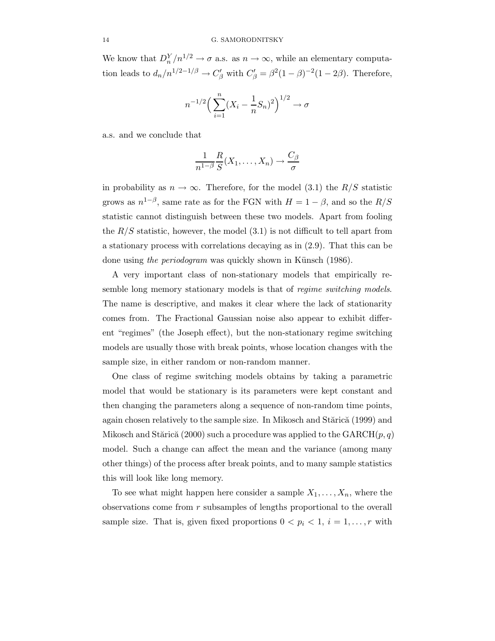We know that  $D_n^Y/n^{1/2} \to \sigma$  a.s. as  $n \to \infty$ , while an elementary computation leads to  $d_n/n^{1/2-1/\beta} \to C_{\beta}'$  with  $C_{\beta}' = \beta^2(1-\beta)^{-2}(1-2\beta)$ . Therefore,

$$
n^{-1/2} \left( \sum_{i=1}^{n} (X_i - \frac{1}{n} S_n)^2 \right)^{1/2} \to \sigma
$$

a.s. and we conclude that

$$
\frac{1}{n^{1-\beta}}\frac{R}{S}(X_1,\ldots,X_n)\to \frac{C_{\beta}}{\sigma}
$$

in probability as  $n \to \infty$ . Therefore, for the model (3.1) the  $R/S$  statistic grows as  $n^{1-\beta}$ , same rate as for the FGN with  $H = 1 - \beta$ , and so the  $R/S$ statistic cannot distinguish between these two models. Apart from fooling the  $R/S$  statistic, however, the model  $(3.1)$  is not difficult to tell apart from a stationary process with correlations decaying as in (2.9). That this can be done using the periodogram was quickly shown in Künsch (1986).

A very important class of non-stationary models that empirically resemble long memory stationary models is that of *regime switching models*. The name is descriptive, and makes it clear where the lack of stationarity comes from. The Fractional Gaussian noise also appear to exhibit different "regimes" (the Joseph effect), but the non-stationary regime switching models are usually those with break points, whose location changes with the sample size, in either random or non-random manner.

One class of regime switching models obtains by taking a parametric model that would be stationary is its parameters were kept constant and then changing the parameters along a sequence of non-random time points, again chosen relatively to the sample size. In Mikosch and Stărică (1999) and Mikosch and Stărică (2000) such a procedure was applied to the  $GARCH(p,q)$ model. Such a change can affect the mean and the variance (among many other things) of the process after break points, and to many sample statistics this will look like long memory.

To see what might happen here consider a sample  $X_1, \ldots, X_n$ , where the observations come from r subsamples of lengths proportional to the overall sample size. That is, given fixed proportions  $0 < p_i < 1$ ,  $i = 1, \ldots, r$  with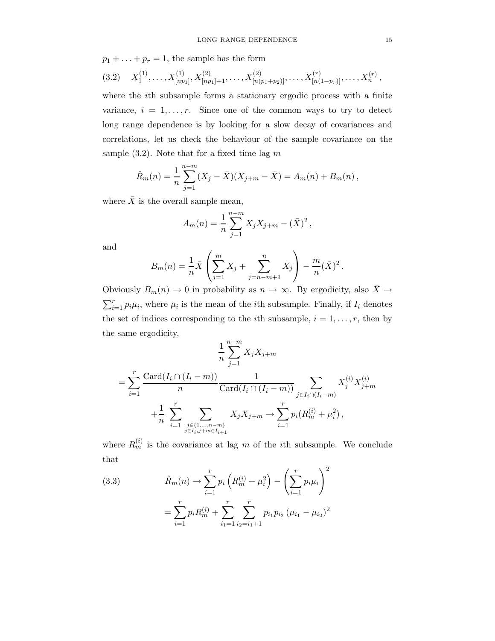$p_1 + \ldots + p_r = 1$ , the sample has the form

$$
(3.2) \quad X_1^{(1)}, \ldots, X_{[np_1]}^{(1)}, X_{[np_1]+1}^{(2)}, \ldots, X_{[n(p_1+p_2)]}^{(2)}, \ldots, X_{[n(1-p_r)]}^{(r)}, \ldots, X_n^{(r)},
$$

where the ith subsample forms a stationary ergodic process with a finite variance,  $i = 1, \ldots, r$ . Since one of the common ways to try to detect long range dependence is by looking for a slow decay of covariances and correlations, let us check the behaviour of the sample covariance on the sample  $(3.2)$ . Note that for a fixed time lag m

$$
\hat{R}_m(n) = \frac{1}{n} \sum_{j=1}^{n-m} (X_j - \bar{X})(X_{j+m} - \bar{X}) = A_m(n) + B_m(n),
$$

where  $\bar{X}$  is the overall sample mean,

$$
A_m(n) = \frac{1}{n} \sum_{j=1}^{n-m} X_j X_{j+m} - (\bar{X})^2,
$$

and

$$
B_m(n) = \frac{1}{n}\bar{X}\left(\sum_{j=1}^m X_j + \sum_{j=n-m+1}^n X_j\right) - \frac{m}{n}(\bar{X})^2.
$$

Obviously  $B_m(n) \to 0$  in probability as  $n \to \infty$ . By ergodicity, also  $\bar{X} \to$  $\sum_{i=1}^r p_i \mu_i$ , where  $\mu_i$  is the mean of the *i*th subsample. Finally, if  $I_i$  denotes the set of indices corresponding to the *i*th subsample,  $i = 1, \ldots, r$ , then by the same ergodicity,

$$
\frac{1}{n} \sum_{j=1}^{n-m} X_j X_{j+m}
$$
\n
$$
= \sum_{i=1}^{r} \frac{\text{Card}(I_i \cap (I_i - m))}{n} \frac{1}{\text{Card}(I_i \cap (I_i - m))} \sum_{j \in I_i \cap (I_i - m)} X_j^{(i)} X_{j+m}^{(i)}
$$
\n
$$
+ \frac{1}{n} \sum_{i=1}^{r} \sum_{\substack{j \in \{1, \dots, n-m\} \\ j \in I_i, j+m \in I_{i+1}}} X_j X_{j+m} \to \sum_{i=1}^{r} p_i (R_m^{(i)} + \mu_i^2),
$$

where  $R_m^{(i)}$  is the covariance at lag m of the *i*th subsample. We conclude that

(3.3) 
$$
\hat{R}_m(n) \to \sum_{i=1}^r p_i \left( R_m^{(i)} + \mu_i^2 \right) - \left( \sum_{i=1}^r p_i \mu_i \right)^2
$$

$$
= \sum_{i=1}^r p_i R_m^{(i)} + \sum_{i_1=1}^r \sum_{i_2=i_1+1}^r p_{i_1} p_{i_2} \left( \mu_{i_1} - \mu_{i_2} \right)^2
$$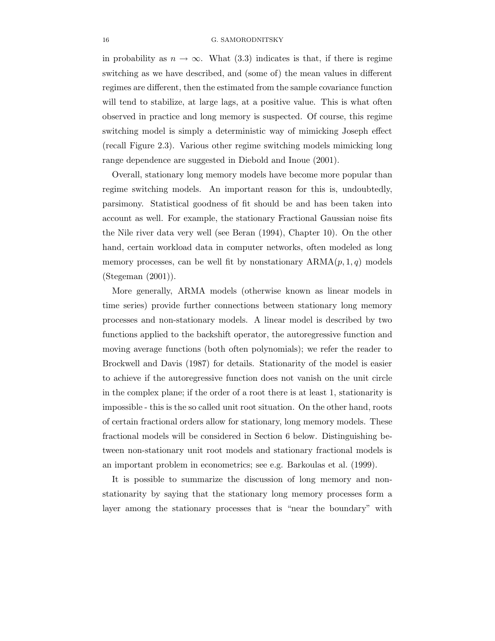in probability as  $n \to \infty$ . What (3.3) indicates is that, if there is regime switching as we have described, and (some of) the mean values in different regimes are different, then the estimated from the sample covariance function will tend to stabilize, at large lags, at a positive value. This is what often observed in practice and long memory is suspected. Of course, this regime switching model is simply a deterministic way of mimicking Joseph effect (recall Figure 2.3). Various other regime switching models mimicking long range dependence are suggested in Diebold and Inoue (2001).

Overall, stationary long memory models have become more popular than regime switching models. An important reason for this is, undoubtedly, parsimony. Statistical goodness of fit should be and has been taken into account as well. For example, the stationary Fractional Gaussian noise fits the Nile river data very well (see Beran (1994), Chapter 10). On the other hand, certain workload data in computer networks, often modeled as long memory processes, can be well fit by nonstationary  $ARMA(p, 1, q)$  models (Stegeman (2001)).

More generally, ARMA models (otherwise known as linear models in time series) provide further connections between stationary long memory processes and non-stationary models. A linear model is described by two functions applied to the backshift operator, the autoregressive function and moving average functions (both often polynomials); we refer the reader to Brockwell and Davis (1987) for details. Stationarity of the model is easier to achieve if the autoregressive function does not vanish on the unit circle in the complex plane; if the order of a root there is at least 1, stationarity is impossible - this is the so called unit root situation. On the other hand, roots of certain fractional orders allow for stationary, long memory models. These fractional models will be considered in Section 6 below. Distinguishing between non-stationary unit root models and stationary fractional models is an important problem in econometrics; see e.g. Barkoulas et al. (1999).

It is possible to summarize the discussion of long memory and nonstationarity by saying that the stationary long memory processes form a layer among the stationary processes that is "near the boundary" with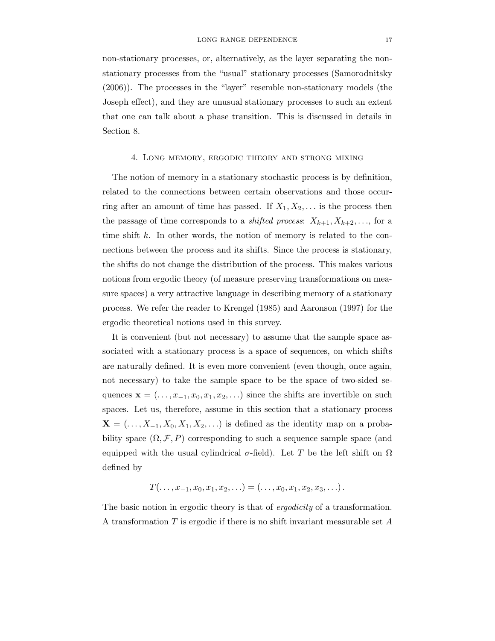non-stationary processes, or, alternatively, as the layer separating the nonstationary processes from the "usual" stationary processes (Samorodnitsky (2006)). The processes in the "layer" resemble non-stationary models (the Joseph effect), and they are unusual stationary processes to such an extent that one can talk about a phase transition. This is discussed in details in Section 8.

#### 4. Long memory, ergodic theory and strong mixing

The notion of memory in a stationary stochastic process is by definition, related to the connections between certain observations and those occurring after an amount of time has passed. If  $X_1, X_2, \ldots$  is the process then the passage of time corresponds to a *shifted process*:  $X_{k+1}, X_{k+2}, \ldots$ , for a time shift  $k$ . In other words, the notion of memory is related to the connections between the process and its shifts. Since the process is stationary, the shifts do not change the distribution of the process. This makes various notions from ergodic theory (of measure preserving transformations on measure spaces) a very attractive language in describing memory of a stationary process. We refer the reader to Krengel (1985) and Aaronson (1997) for the ergodic theoretical notions used in this survey.

It is convenient (but not necessary) to assume that the sample space associated with a stationary process is a space of sequences, on which shifts are naturally defined. It is even more convenient (even though, once again, not necessary) to take the sample space to be the space of two-sided sequences  $\mathbf{x} = (\ldots, x_{-1}, x_0, x_1, x_2, \ldots)$  since the shifts are invertible on such spaces. Let us, therefore, assume in this section that a stationary process  $\mathbf{X} = (\ldots, X_{-1}, X_0, X_1, X_2, \ldots)$  is defined as the identity map on a probability space  $(\Omega, \mathcal{F}, P)$  corresponding to such a sequence sample space (and equipped with the usual cylindrical  $\sigma$ -field). Let T be the left shift on  $\Omega$ defined by

$$
T(\ldots, x_{-1}, x_0, x_1, x_2, \ldots) = (\ldots, x_0, x_1, x_2, x_3, \ldots).
$$

The basic notion in ergodic theory is that of *ergodicity* of a transformation. A transformation  $T$  is ergodic if there is no shift invariant measurable set  $A$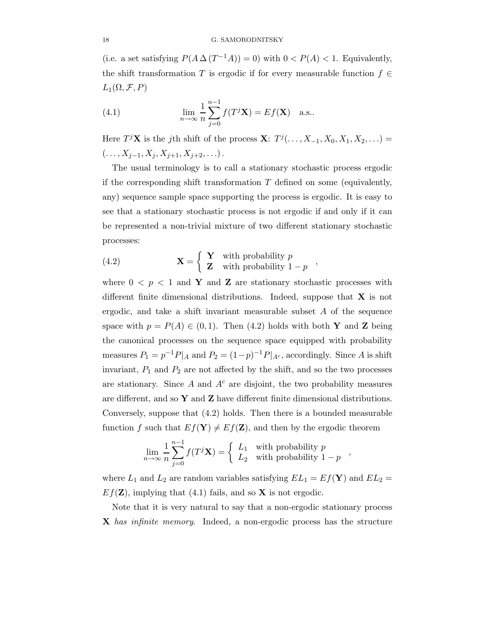(i.e. a set satisfying  $P(A \Delta (T^{-1}A)) = 0$ ) with  $0 < P(A) < 1$ . Equivalently, the shift transformation T is ergodic if for every measurable function  $f \in$  $L_1(\Omega, \mathcal{F}, P)$ 

(4.1) 
$$
\lim_{n \to \infty} \frac{1}{n} \sum_{j=0}^{n-1} f(T^{j} \mathbf{X}) = E f(\mathbf{X}) \text{ a.s.}.
$$

Here  $T^j\mathbf{X}$  is the j<sup>th</sup> shift of the process  $\mathbf{X}$ :  $T^j(\ldots, X_{-1}, X_0, X_1, X_2, \ldots)$  $(..., X_{j-1}, X_j, X_{j+1}, X_{j+2},...).$ 

The usual terminology is to call a stationary stochastic process ergodic if the corresponding shift transformation  $T$  defined on some (equivalently, any) sequence sample space supporting the process is ergodic. It is easy to see that a stationary stochastic process is not ergodic if and only if it can be represented a non-trivial mixture of two different stationary stochastic processes:

,

,

(4.2) 
$$
\mathbf{X} = \begin{cases} \mathbf{Y} & \text{with probability } p \\ \mathbf{Z} & \text{with probability } 1 - p \end{cases}
$$

where  $0 \leq p \leq 1$  and Y and Z are stationary stochastic processes with different finite dimensional distributions. Indeed, suppose that  $X$  is not ergodic, and take a shift invariant measurable subset  $A$  of the sequence space with  $p = P(A) \in (0, 1)$ . Then (4.2) holds with both Y and Z being the canonical processes on the sequence space equipped with probability measures  $P_1 = p^{-1}P|_A$  and  $P_2 = (1-p)^{-1}P|_{A^c}$ , accordingly. Since A is shift invariant,  $P_1$  and  $P_2$  are not affected by the shift, and so the two processes are stationary. Since  $A$  and  $A<sup>c</sup>$  are disjoint, the two probability measures are different, and so  $Y$  and  $Z$  have different finite dimensional distributions. Conversely, suppose that (4.2) holds. Then there is a bounded measurable function f such that  $Ef(Y) \neq Ef(Z)$ , and then by the ergodic theorem

$$
\lim_{n \to \infty} \frac{1}{n} \sum_{j=0}^{n-1} f(T^j \mathbf{X}) = \begin{cases} L_1 & \text{with probability } p \\ L_2 & \text{with probability } 1 - p \end{cases}
$$

where  $L_1$  and  $L_2$  are random variables satisfying  $EL_1 = Ef(Y)$  and  $EL_2 =$  $Ef(\mathbf{Z})$ , implying that (4.1) fails, and so **X** is not ergodic.

Note that it is very natural to say that a non-ergodic stationary process X has infinite memory. Indeed, a non-ergodic process has the structure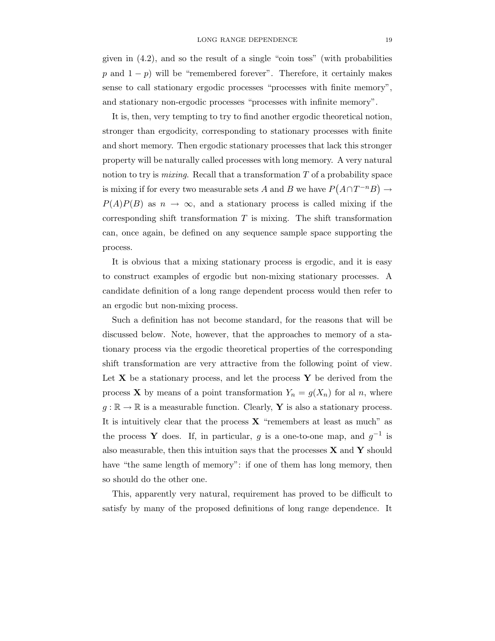given in (4.2), and so the result of a single "coin toss" (with probabilities p and  $1 - p$ ) will be "remembered forever". Therefore, it certainly makes sense to call stationary ergodic processes "processes with finite memory", and stationary non-ergodic processes "processes with infinite memory".

It is, then, very tempting to try to find another ergodic theoretical notion, stronger than ergodicity, corresponding to stationary processes with finite and short memory. Then ergodic stationary processes that lack this stronger property will be naturally called processes with long memory. A very natural notion to try is *mixing*. Recall that a transformation  $T$  of a probability space is mixing if for every two measurable sets A and B we have  $P(A \cap T^{-n}B) \to$  $P(A)P(B)$  as  $n \to \infty$ , and a stationary process is called mixing if the corresponding shift transformation  $T$  is mixing. The shift transformation can, once again, be defined on any sequence sample space supporting the process.

It is obvious that a mixing stationary process is ergodic, and it is easy to construct examples of ergodic but non-mixing stationary processes. A candidate definition of a long range dependent process would then refer to an ergodic but non-mixing process.

Such a definition has not become standard, for the reasons that will be discussed below. Note, however, that the approaches to memory of a stationary process via the ergodic theoretical properties of the corresponding shift transformation are very attractive from the following point of view. Let  $X$  be a stationary process, and let the process  $Y$  be derived from the process **X** by means of a point transformation  $Y_n = g(X_n)$  for al n, where  $g : \mathbb{R} \to \mathbb{R}$  is a measurable function. Clearly, Y is also a stationary process. It is intuitively clear that the process  $X$  "remembers at least as much" as the process Y does. If, in particular, g is a one-to-one map, and  $g^{-1}$  is also measurable, then this intuition says that the processes  $X$  and  $Y$  should have "the same length of memory": if one of them has long memory, then so should do the other one.

This, apparently very natural, requirement has proved to be difficult to satisfy by many of the proposed definitions of long range dependence. It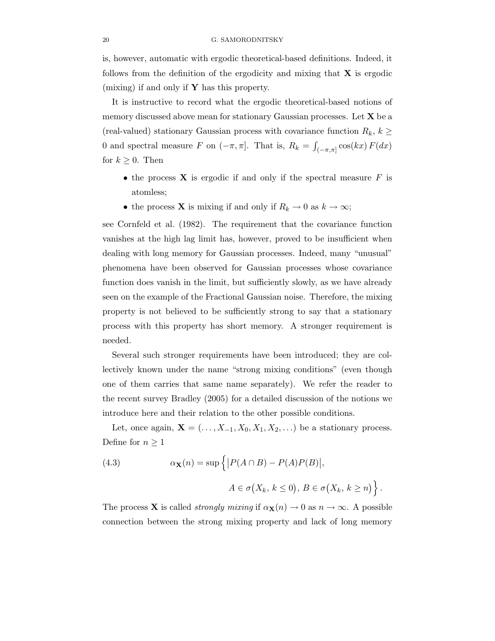is, however, automatic with ergodic theoretical-based definitions. Indeed, it follows from the definition of the ergodicity and mixing that  $X$  is ergodic (mixing) if and only if  $\mathbf Y$  has this property.

It is instructive to record what the ergodic theoretical-based notions of memory discussed above mean for stationary Gaussian processes. Let  $X$  be a (real-valued) stationary Gaussian process with covariance function  $R_k$ ,  $k \geq$ 0 and spectral measure F on  $(-\pi, \pi]$ . That is,  $R_k = \int_{(-\pi, \pi]} \cos(kx) F(dx)$ for  $k \geq 0$ . Then

- the process  $X$  is ergodic if and only if the spectral measure  $F$  is atomless;
- the process **X** is mixing if and only if  $R_k \to 0$  as  $k \to \infty$ ;

see Cornfeld et al. (1982). The requirement that the covariance function vanishes at the high lag limit has, however, proved to be insufficient when dealing with long memory for Gaussian processes. Indeed, many "unusual" phenomena have been observed for Gaussian processes whose covariance function does vanish in the limit, but sufficiently slowly, as we have already seen on the example of the Fractional Gaussian noise. Therefore, the mixing property is not believed to be sufficiently strong to say that a stationary process with this property has short memory. A stronger requirement is needed.

Several such stronger requirements have been introduced; they are collectively known under the name "strong mixing conditions" (even though one of them carries that same name separately). We refer the reader to the recent survey Bradley (2005) for a detailed discussion of the notions we introduce here and their relation to the other possible conditions.

Let, once again,  $\mathbf{X} = (\ldots, X_{-1}, X_0, X_1, X_2, \ldots)$  be a stationary process. Define for  $n \geq 1$ 

(4.3) 
$$
\alpha_{\mathbf{X}}(n) = \sup \left\{ |P(A \cap B) - P(A)P(B)|, \right\}
$$

$$
A \in \sigma(X_k, k \le 0), B \in \sigma(X_k, k \ge n) \right\}.
$$

The process **X** is called *strongly mixing* if  $\alpha$ **x** $(n) \rightarrow 0$  as  $n \rightarrow \infty$ . A possible connection between the strong mixing property and lack of long memory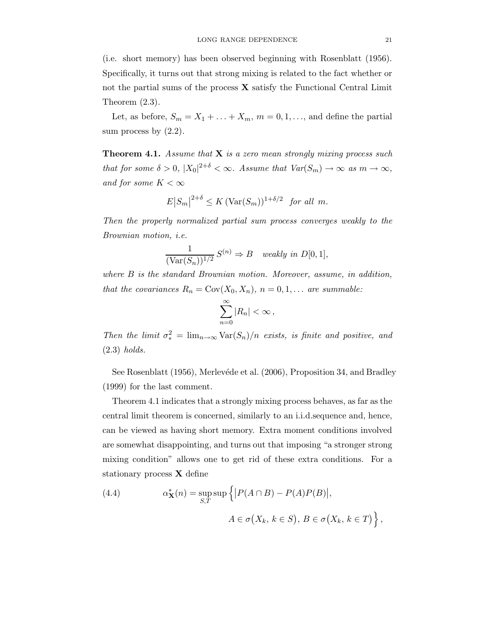(i.e. short memory) has been observed beginning with Rosenblatt (1956). Specifically, it turns out that strong mixing is related to the fact whether or not the partial sums of the process  $\bf{X}$  satisfy the Functional Central Limit Theorem (2.3).

Let, as before,  $S_m = X_1 + \ldots + X_m$ ,  $m = 0, 1, \ldots$ , and define the partial sum process by  $(2.2)$ .

**Theorem 4.1.** Assume that  $X$  is a zero mean strongly mixing process such that for some  $\delta > 0$ ,  $|X_0|^{2+\delta} < \infty$ . Assume that  $Var(S_m) \to \infty$  as  $m \to \infty$ , and for some  $K < \infty$ 

$$
E|S_m|^{2+\delta} \le K(\text{Var}(S_m))^{1+\delta/2} \text{ for all } m.
$$

Then the properly normalized partial sum process converges weakly to the Brownian motion, i.e.

$$
\frac{1}{(\text{Var}(S_n))^{1/2}} S^{(n)} \Rightarrow B \quad weakly \text{ in } D[0,1],
$$

where B is the standard Brownian motion. Moreover, assume, in addition, that the covariances  $R_n = \text{Cov}(X_0, X_n)$ ,  $n = 0, 1, \ldots$  are summable:

$$
\sum_{n=0}^{\infty} |R_n| < \infty \,,
$$

Then the limit  $\sigma_*^2 = \lim_{n \to \infty} \text{Var}(S_n)/n$  exists, is finite and positive, and (2.3) holds.

See Rosenblatt (1956), Merlevéde et al. (2006), Proposition 34, and Bradley (1999) for the last comment.

Theorem 4.1 indicates that a strongly mixing process behaves, as far as the central limit theorem is concerned, similarly to an i.i.d.sequence and, hence, can be viewed as having short memory. Extra moment conditions involved are somewhat disappointing, and turns out that imposing "a stronger strong mixing condition" allows one to get rid of these extra conditions. For a stationary process X define

(4.4) 
$$
\alpha_{\mathbf{X}}^*(n) = \sup_{S,T} \sup \left\{ |P(A \cap B) - P(A)P(B)|, \right\}
$$

$$
A \in \sigma(X_k, k \in S), B \in \sigma(X_k, k \in T) \right\}
$$

,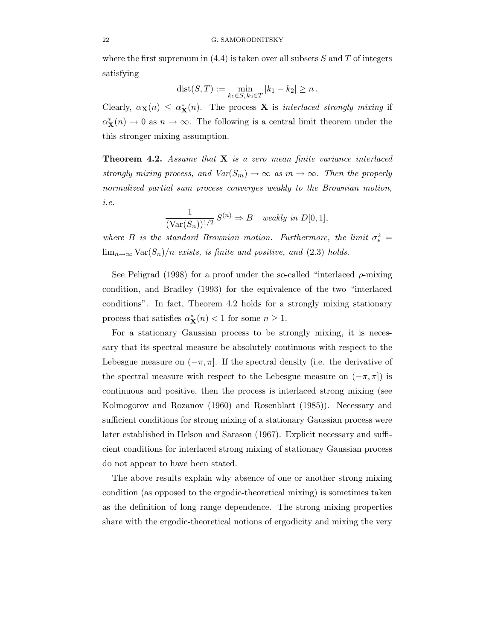where the first supremum in  $(4.4)$  is taken over all subsets S and T of integers satisfying

$$
dist(S, T) := \min_{k_1 \in S, k_2 \in T} |k_1 - k_2| \ge n.
$$

Clearly,  $\alpha_{\mathbf{X}}(n) \leq \alpha_{\mathbf{X}}^*(n)$ . The process **X** is interlaced strongly mixing if  $\alpha_{\mathbf{X}}^{*}(n) \to 0$  as  $n \to \infty$ . The following is a central limit theorem under the this stronger mixing assumption.

**Theorem 4.2.** Assume that  $X$  is a zero mean finite variance interlaced strongly mixing process, and  $Var(S_m) \to \infty$  as  $m \to \infty$ . Then the properly normalized partial sum process converges weakly to the Brownian motion, i.e.

$$
\frac{1}{(\text{Var}(S_n))^{1/2}} S^{(n)} \Rightarrow B \quad weakly \text{ in } D[0,1],
$$

where B is the standard Brownian motion. Furthermore, the limit  $\sigma_*^2 =$  $\lim_{n\to\infty}$  Var $(S_n)/n$  exists, is finite and positive, and (2.3) holds.

See Peligrad (1998) for a proof under the so-called "interlaced  $\rho$ -mixing condition, and Bradley (1993) for the equivalence of the two "interlaced conditions". In fact, Theorem 4.2 holds for a strongly mixing stationary process that satisfies  $\alpha^*_{\mathbf{X}}(n) < 1$  for some  $n \geq 1$ .

For a stationary Gaussian process to be strongly mixing, it is necessary that its spectral measure be absolutely continuous with respect to the Lebesgue measure on  $(-\pi, \pi]$ . If the spectral density (i.e. the derivative of the spectral measure with respect to the Lebesgue measure on  $(-\pi, \pi]$ ) is continuous and positive, then the process is interlaced strong mixing (see Kolmogorov and Rozanov (1960) and Rosenblatt (1985)). Necessary and sufficient conditions for strong mixing of a stationary Gaussian process were later established in Helson and Sarason (1967). Explicit necessary and sufficient conditions for interlaced strong mixing of stationary Gaussian process do not appear to have been stated.

The above results explain why absence of one or another strong mixing condition (as opposed to the ergodic-theoretical mixing) is sometimes taken as the definition of long range dependence. The strong mixing properties share with the ergodic-theoretical notions of ergodicity and mixing the very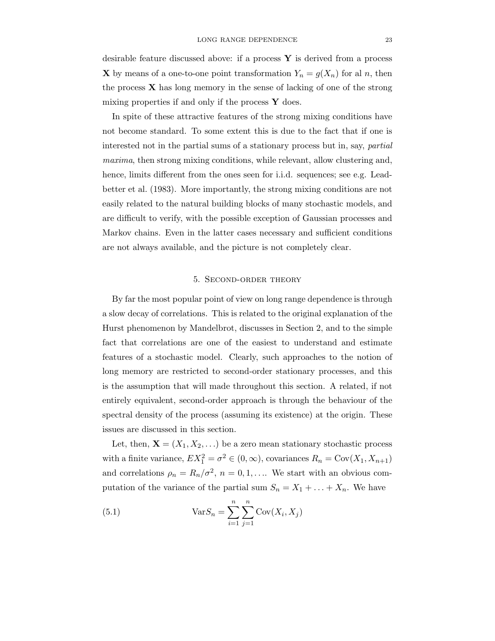desirable feature discussed above: if a process  $Y$  is derived from a process **X** by means of a one-to-one point transformation  $Y_n = g(X_n)$  for al n, then the process  $X$  has long memory in the sense of lacking of one of the strong mixing properties if and only if the process  $\bf{Y}$  does.

In spite of these attractive features of the strong mixing conditions have not become standard. To some extent this is due to the fact that if one is interested not in the partial sums of a stationary process but in, say, partial maxima, then strong mixing conditions, while relevant, allow clustering and, hence, limits different from the ones seen for i.i.d. sequences; see e.g. Leadbetter et al. (1983). More importantly, the strong mixing conditions are not easily related to the natural building blocks of many stochastic models, and are difficult to verify, with the possible exception of Gaussian processes and Markov chains. Even in the latter cases necessary and sufficient conditions are not always available, and the picture is not completely clear.

#### 5. Second-order theory

By far the most popular point of view on long range dependence is through a slow decay of correlations. This is related to the original explanation of the Hurst phenomenon by Mandelbrot, discusses in Section 2, and to the simple fact that correlations are one of the easiest to understand and estimate features of a stochastic model. Clearly, such approaches to the notion of long memory are restricted to second-order stationary processes, and this is the assumption that will made throughout this section. A related, if not entirely equivalent, second-order approach is through the behaviour of the spectral density of the process (assuming its existence) at the origin. These issues are discussed in this section.

Let, then,  $\mathbf{X} = (X_1, X_2, ...)$  be a zero mean stationary stochastic process with a finite variance,  $EX_1^2 = \sigma^2 \in (0, \infty)$ , covariances  $R_n = \text{Cov}(X_1, X_{n+1})$ and correlations  $\rho_n = R_n/\sigma^2$ ,  $n = 0, 1, \ldots$  We start with an obvious computation of the variance of the partial sum  $S_n = X_1 + \ldots + X_n$ . We have

(5.1) 
$$
Var S_n = \sum_{i=1}^{n} \sum_{j=1}^{n} Cov(X_i, X_j)
$$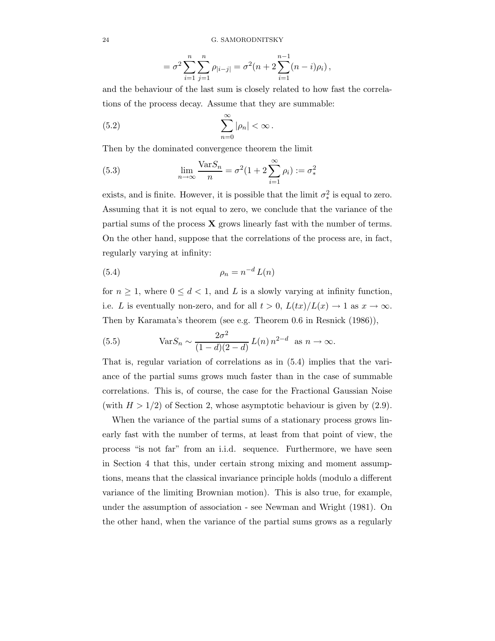$$
= \sigma^2 \sum_{i=1}^n \sum_{j=1}^n \rho_{|i-j|} = \sigma^2 (n+2 \sum_{i=1}^{n-1} (n-i)\rho_i),
$$

and the behaviour of the last sum is closely related to how fast the correlations of the process decay. Assume that they are summable:

(5.2) 
$$
\sum_{n=0}^{\infty} |\rho_n| < \infty.
$$

Then by the dominated convergence theorem the limit

(5.3) 
$$
\lim_{n \to \infty} \frac{\text{Var} S_n}{n} = \sigma^2 (1 + 2 \sum_{i=1}^{\infty} \rho_i) := \sigma_*^2
$$

exists, and is finite. However, it is possible that the limit  $\sigma_*^2$  is equal to zero. Assuming that it is not equal to zero, we conclude that the variance of the partial sums of the process  $\bf{X}$  grows linearly fast with the number of terms. On the other hand, suppose that the correlations of the process are, in fact, regularly varying at infinity:

$$
\rho_n = n^{-d} L(n)
$$

for  $n \geq 1$ , where  $0 \leq d < 1$ , and L is a slowly varying at infinity function, i.e. L is eventually non-zero, and for all  $t > 0$ ,  $L(tx)/L(x) \rightarrow 1$  as  $x \rightarrow \infty$ . Then by Karamata's theorem (see e.g. Theorem 0.6 in Resnick (1986)),

(5.5) 
$$
\text{Var} S_n \sim \frac{2\sigma^2}{(1-d)(2-d)} L(n) n^{2-d} \text{ as } n \to \infty.
$$

That is, regular variation of correlations as in (5.4) implies that the variance of the partial sums grows much faster than in the case of summable correlations. This is, of course, the case for the Fractional Gaussian Noise (with  $H > 1/2$ ) of Section 2, whose asymptotic behaviour is given by  $(2.9)$ .

When the variance of the partial sums of a stationary process grows linearly fast with the number of terms, at least from that point of view, the process "is not far" from an i.i.d. sequence. Furthermore, we have seen in Section 4 that this, under certain strong mixing and moment assumptions, means that the classical invariance principle holds (modulo a different variance of the limiting Brownian motion). This is also true, for example, under the assumption of association - see Newman and Wright (1981). On the other hand, when the variance of the partial sums grows as a regularly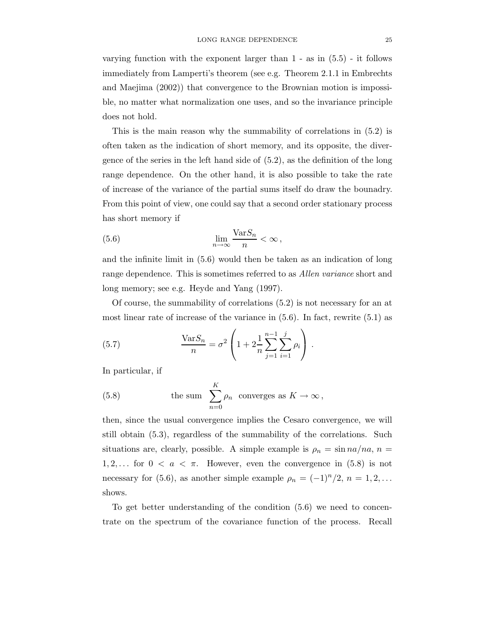varying function with the exponent larger than 1 - as in (5.5) - it follows immediately from Lamperti's theorem (see e.g. Theorem 2.1.1 in Embrechts and Maejima (2002)) that convergence to the Brownian motion is impossible, no matter what normalization one uses, and so the invariance principle does not hold.

This is the main reason why the summability of correlations in (5.2) is often taken as the indication of short memory, and its opposite, the divergence of the series in the left hand side of (5.2), as the definition of the long range dependence. On the other hand, it is also possible to take the rate of increase of the variance of the partial sums itself do draw the bounadry. From this point of view, one could say that a second order stationary process has short memory if

(5.6) 
$$
\lim_{n \to \infty} \frac{\text{Var} S_n}{n} < \infty
$$

and the infinite limit in (5.6) would then be taken as an indication of long range dependence. This is sometimes referred to as *Allen variance* short and long memory; see e.g. Heyde and Yang (1997).

Of course, the summability of correlations (5.2) is not necessary for an at most linear rate of increase of the variance in  $(5.6)$ . In fact, rewrite  $(5.1)$  as

(5.7) 
$$
\frac{\text{Var}S_n}{n} = \sigma^2 \left( 1 + 2 \frac{1}{n} \sum_{j=1}^{n-1} \sum_{i=1}^j \rho_i \right).
$$

In particular, if

(5.8) the sum 
$$
\sum_{n=0}^{K} \rho_n
$$
 converges as  $K \to \infty$ ,

then, since the usual convergence implies the Cesaro convergence, we will still obtain (5.3), regardless of the summability of the correlations. Such situations are, clearly, possible. A simple example is  $\rho_n = \sin na/na$ ,  $n =$ 1, 2,... for  $0 < a < \pi$ . However, even the convergence in (5.8) is not necessary for (5.6), as another simple example  $\rho_n = (-1)^n/2$ ,  $n = 1, 2, \ldots$ shows.

To get better understanding of the condition (5.6) we need to concentrate on the spectrum of the covariance function of the process. Recall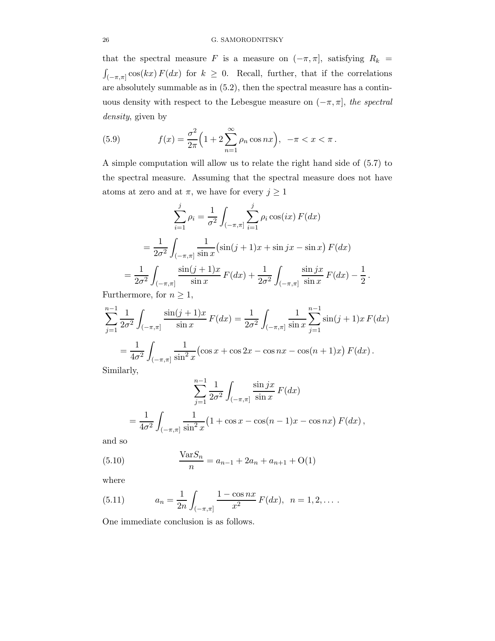that the spectral measure F is a measure on  $(-\pi, \pi]$ , satisfying  $R_k =$  $\int_{(-\pi,\pi]} \cos(kx) F(dx)$  for  $k \geq 0$ . Recall, further, that if the correlations are absolutely summable as in (5.2), then the spectral measure has a continuous density with respect to the Lebesgue measure on  $(-\pi, \pi]$ , the spectral density, given by

(5.9) 
$$
f(x) = \frac{\sigma^2}{2\pi} \Big( 1 + 2 \sum_{n=1}^{\infty} \rho_n \cos nx \Big), \ -\pi < x < \pi \, .
$$

A simple computation will allow us to relate the right hand side of (5.7) to the spectral measure. Assuming that the spectral measure does not have atoms at zero and at  $\pi$ , we have for every  $j \geq 1$ 

$$
\sum_{i=1}^{j} \rho_i = \frac{1}{\sigma^2} \int_{(-\pi,\pi]} \sum_{i=1}^{j} \rho_i \cos(ix) F(dx)
$$
  
= 
$$
\frac{1}{2\sigma^2} \int_{(-\pi,\pi]} \frac{1}{\sin x} (\sin(j+1)x + \sin jx - \sin x) F(dx)
$$
  
= 
$$
\frac{1}{2\sigma^2} \int_{(-\pi,\pi]} \frac{\sin(j+1)x}{\sin x} F(dx) + \frac{1}{2\sigma^2} \int_{(-\pi,\pi]} \frac{\sin jx}{\sin x} F(dx) - \frac{1}{2}.
$$

Furthermore, for  $n \geq 1$ ,

$$
\sum_{j=1}^{n-1} \frac{1}{2\sigma^2} \int_{(-\pi,\pi]} \frac{\sin(j+1)x}{\sin x} F(dx) = \frac{1}{2\sigma^2} \int_{(-\pi,\pi]} \frac{1}{\sin x} \sum_{j=1}^{n-1} \sin(j+1)x F(dx)
$$
  
= 
$$
\frac{1}{4\sigma^2} \int_{(-\pi,\pi]} \frac{1}{\sin^2 x} (\cos x + \cos 2x - \cos nx - \cos(n+1)x) F(dx).
$$
  
Similarly

Similarly,

$$
\sum_{j=1}^{n-1} \frac{1}{2\sigma^2} \int_{(-\pi,\pi]} \frac{\sin jx}{\sin x} F(dx)
$$
  
= 
$$
\frac{1}{4\sigma^2} \int_{(-\pi,\pi]} \frac{1}{\sin^2 x} (1 + \cos x - \cos(n-1)x - \cos nx) F(dx),
$$

and so

(5.10) 
$$
\frac{\text{Var}S_n}{n} = a_{n-1} + 2a_n + a_{n+1} + O(1)
$$

where

(5.11) 
$$
a_n = \frac{1}{2n} \int_{(-\pi,\pi]} \frac{1 - \cos nx}{x^2} F(dx), \ \ n = 1, 2, \dots
$$

One immediate conclusion is as follows.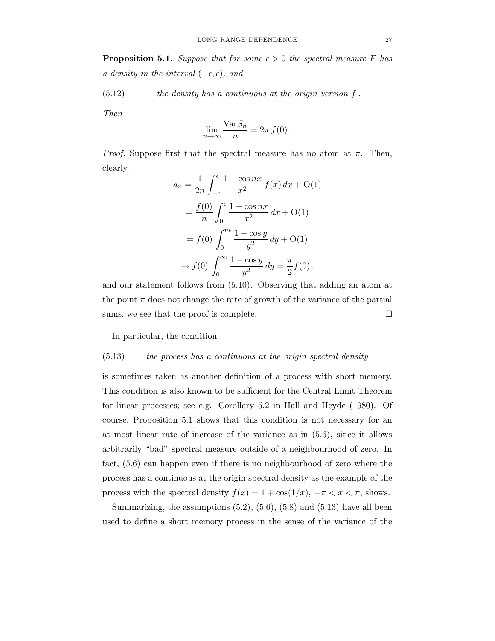**Proposition 5.1.** Suppose that for some  $\epsilon > 0$  the spectral measure F has a density in the interval  $(-\epsilon, \epsilon)$ , and

 $(5.12)$  the density has a continuous at the origin version f.

Then

$$
\lim_{n \to \infty} \frac{\text{Var} S_n}{n} = 2\pi f(0).
$$

*Proof.* Suppose first that the spectral measure has no atom at  $\pi$ . Then, clearly,

$$
a_n = \frac{1}{2n} \int_{-\epsilon}^{\epsilon} \frac{1 - \cos nx}{x^2} f(x) dx + O(1)
$$
  
=  $\frac{f(0)}{n} \int_{0}^{\epsilon} \frac{1 - \cos nx}{x^2} dx + O(1)$   
=  $f(0) \int_{0}^{n\epsilon} \frac{1 - \cos y}{y^2} dy + O(1)$   
 $\rightarrow f(0) \int_{0}^{\infty} \frac{1 - \cos y}{y^2} dy = \frac{\pi}{2} f(0),$ 

and our statement follows from (5.10). Observing that adding an atom at the point  $\pi$  does not change the rate of growth of the variance of the partial sums, we see that the proof is complete.  $\Box$ 

In particular, the condition

#### (5.13) the process has a continuous at the origin spectral density

is sometimes taken as another definition of a process with short memory. This condition is also known to be sufficient for the Central Limit Theorem for linear processes; see e.g. Corollary 5.2 in Hall and Heyde (1980). Of course, Proposition 5.1 shows that this condition is not necessary for an at most linear rate of increase of the variance as in (5.6), since it allows arbitrarily "bad" spectral measure outside of a neighbourhood of zero. In fact, (5.6) can happen even if there is no neighbourhood of zero where the process has a continuous at the origin spectral density as the example of the process with the spectral density  $f(x) = 1 + \cos(1/x)$ ,  $-\pi < x < \pi$ , shows.

Summarizing, the assumptions  $(5.2)$ ,  $(5.6)$ ,  $(5.8)$  and  $(5.13)$  have all been used to define a short memory process in the sense of the variance of the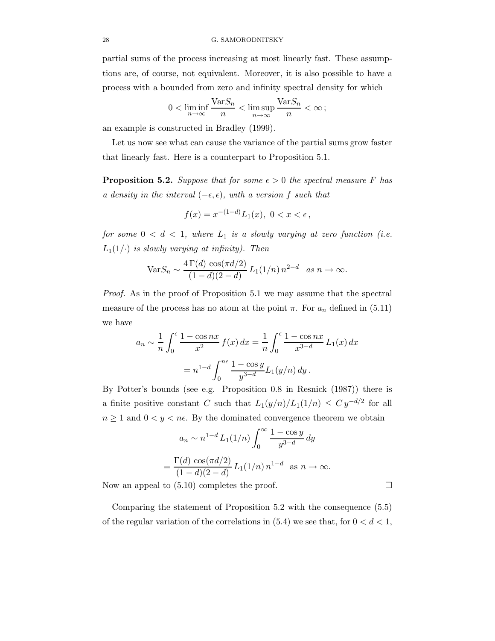partial sums of the process increasing at most linearly fast. These assumptions are, of course, not equivalent. Moreover, it is also possible to have a process with a bounded from zero and infinity spectral density for which

$$
0 < \liminf_{n \to \infty} \frac{\text{Var} S_n}{n} < \limsup_{n \to \infty} \frac{\text{Var} S_n}{n} < \infty \, ;
$$

an example is constructed in Bradley (1999).

Let us now see what can cause the variance of the partial sums grow faster that linearly fast. Here is a counterpart to Proposition 5.1.

**Proposition 5.2.** Suppose that for some  $\epsilon > 0$  the spectral measure F has a density in the interval  $(-\epsilon, \epsilon)$ , with a version f such that

$$
f(x) = x^{-(1-d)} L_1(x), \ 0 < x < \epsilon \,,
$$

for some  $0 < d < 1$ , where  $L_1$  is a slowly varying at zero function (i.e.  $L_1(1/\cdot)$  is slowly varying at infinity). Then

$$
Var S_n \sim \frac{4\,\Gamma(d)\,\cos(\pi d/2)}{(1-d)(2-d)}\,L_1(1/n)\,n^{2-d}\quad as\ n \to \infty.
$$

Proof. As in the proof of Proposition 5.1 we may assume that the spectral measure of the process has no atom at the point  $\pi$ . For  $a_n$  defined in (5.11) we have

$$
a_n \sim \frac{1}{n} \int_0^{\epsilon} \frac{1 - \cos nx}{x^2} f(x) dx = \frac{1}{n} \int_0^{\epsilon} \frac{1 - \cos nx}{x^{3-d}} L_1(x) dx
$$
  
=  $n^{1-d} \int_0^{n\epsilon} \frac{1 - \cos y}{y^{3-d}} L_1(y/n) dy$ .

By Potter's bounds (see e.g. Proposition 0.8 in Resnick (1987)) there is a finite positive constant C such that  $L_1(y/n)/L_1(1/n) \leq C y^{-d/2}$  for all  $n \geq 1$  and  $0 < y < n\epsilon$ . By the dominated convergence theorem we obtain

$$
a_n \sim n^{1-d} L_1(1/n) \int_0^\infty \frac{1 - \cos y}{y^{3-d}} dy
$$
  
= 
$$
\frac{\Gamma(d) \cos(\pi d/2)}{(1-d)(2-d)} L_1(1/n) n^{1-d} \text{ as } n \to \infty.
$$

Now an appeal to (5.10) completes the proof.

Comparing the statement of Proposition 5.2 with the consequence (5.5) of the regular variation of the correlations in  $(5.4)$  we see that, for  $0 < d < 1$ ,

$$
\qquad \qquad \Box
$$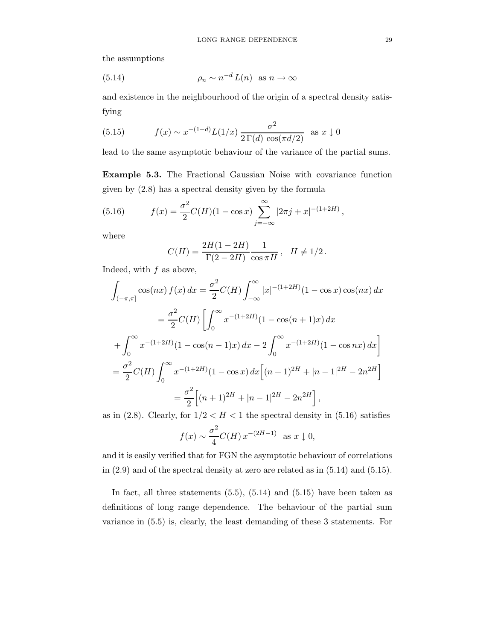the assumptions

(5.14) 
$$
\rho_n \sim n^{-d} L(n) \text{ as } n \to \infty
$$

and existence in the neighbourhood of the origin of a spectral density satisfying

(5.15) 
$$
f(x) \sim x^{-(1-d)} L(1/x) \frac{\sigma^2}{2 \Gamma(d) \cos(\pi d/2)}
$$
 as  $x \downarrow 0$ 

lead to the same asymptotic behaviour of the variance of the partial sums.

Example 5.3. The Fractional Gaussian Noise with covariance function given by (2.8) has a spectral density given by the formula

(5.16) 
$$
f(x) = \frac{\sigma^2}{2}C(H)(1 - \cos x) \sum_{j=-\infty}^{\infty} |2\pi j + x|^{-(1+2H)},
$$

where

$$
C(H) = \frac{2H(1 - 2H)}{\Gamma(2 - 2H)} \frac{1}{\cos \pi H}, \quad H \neq 1/2.
$$

Indeed, with  $f$  as above,

$$
\int_{(-\pi,\pi]} \cos(nx) f(x) dx = \frac{\sigma^2}{2} C(H) \int_{-\infty}^{\infty} |x|^{-(1+2H)} (1 - \cos x) \cos(nx) dx
$$
  

$$
= \frac{\sigma^2}{2} C(H) \left[ \int_0^{\infty} x^{-(1+2H)} (1 - \cos(n+1)x) dx \right.
$$
  

$$
+ \int_0^{\infty} x^{-(1+2H)} (1 - \cos(n-1)x) dx - 2 \int_0^{\infty} x^{-(1+2H)} (1 - \cos nx) dx \right]
$$
  

$$
= \frac{\sigma^2}{2} C(H) \int_0^{\infty} x^{-(1+2H)} (1 - \cos x) dx \left[ (n+1)^{2H} + |n-1|^{2H} - 2n^{2H} \right]
$$
  

$$
= \frac{\sigma^2}{2} \left[ (n+1)^{2H} + |n-1|^{2H} - 2n^{2H} \right],
$$

as in (2.8). Clearly, for  $1/2 < H < 1$  the spectral density in (5.16) satisfies

$$
f(x) \sim \frac{\sigma^2}{4} C(H) x^{-(2H-1)}
$$
 as  $x \downarrow 0$ ,

and it is easily verified that for FGN the asymptotic behaviour of correlations in (2.9) and of the spectral density at zero are related as in (5.14) and (5.15).

In fact, all three statements  $(5.5)$ ,  $(5.14)$  and  $(5.15)$  have been taken as definitions of long range dependence. The behaviour of the partial sum variance in (5.5) is, clearly, the least demanding of these 3 statements. For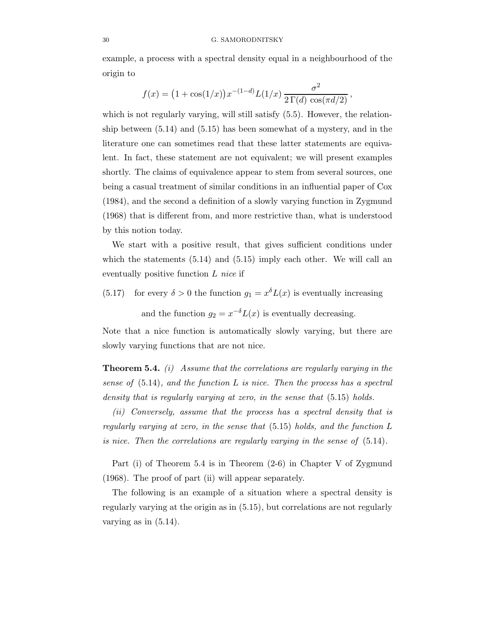example, a process with a spectral density equal in a neighbourhood of the origin to

$$
f(x) = (1 + \cos(1/x))x^{-(1-d)}L(1/x)\frac{\sigma^2}{2\Gamma(d)\cos(\pi d/2)},
$$

which is not regularly varying, will still satisfy  $(5.5)$ . However, the relationship between (5.14) and (5.15) has been somewhat of a mystery, and in the literature one can sometimes read that these latter statements are equivalent. In fact, these statement are not equivalent; we will present examples shortly. The claims of equivalence appear to stem from several sources, one being a casual treatment of similar conditions in an influential paper of Cox (1984), and the second a definition of a slowly varying function in Zygmund (1968) that is different from, and more restrictive than, what is understood by this notion today.

We start with a positive result, that gives sufficient conditions under which the statements (5.14) and (5.15) imply each other. We will call an eventually positive function L nice if

(5.17) for every  $\delta > 0$  the function  $g_1 = x^{\delta} L(x)$  is eventually increasing

and the function  $g_2 = x^{-\delta} L(x)$  is eventually decreasing.

Note that a nice function is automatically slowly varying, but there are slowly varying functions that are not nice.

**Theorem 5.4.** (i) Assume that the correlations are regularly varying in the sense of  $(5.14)$ , and the function L is nice. Then the process has a spectral density that is regularly varying at zero, in the sense that  $(5.15)$  holds.

(ii) Conversely, assume that the process has a spectral density that is regularly varying at zero, in the sense that  $(5.15)$  holds, and the function L is nice. Then the correlations are regularly varying in the sense of (5.14).

Part (i) of Theorem 5.4 is in Theorem (2-6) in Chapter V of Zygmund (1968). The proof of part (ii) will appear separately.

The following is an example of a situation where a spectral density is regularly varying at the origin as in (5.15), but correlations are not regularly varying as in  $(5.14)$ .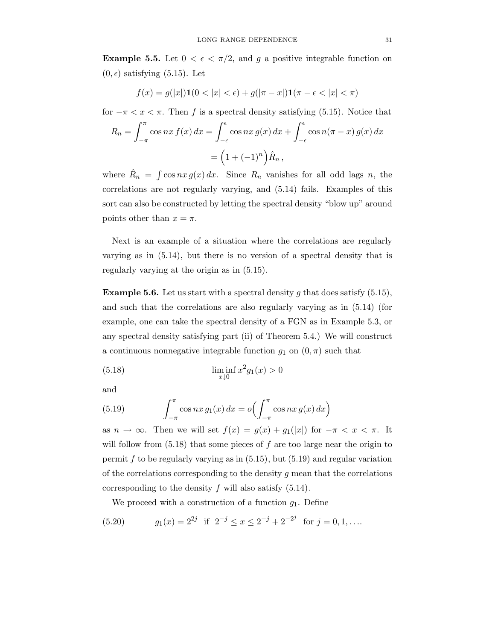**Example 5.5.** Let  $0 < \epsilon < \pi/2$ , and g a positive integrable function on  $(0, \epsilon)$  satisfying  $(5.15)$ . Let

$$
f(x) = g(|x|) \mathbf{1}(0 < |x| < \epsilon) + g(|\pi - x|) \mathbf{1}(\pi - \epsilon < |x| < \pi)
$$

for  $-\pi < x < \pi$ . Then f is a spectral density satisfying (5.15). Notice that

$$
R_n = \int_{-\pi}^{\pi} \cos nx \, f(x) \, dx = \int_{-\epsilon}^{\epsilon} \cos nx \, g(x) \, dx + \int_{-\epsilon}^{\epsilon} \cos n(\pi - x) \, g(x) \, dx
$$

$$
= \left(1 + (-1)^n\right) \hat{R}_n,
$$

where  $\hat{R}_n = \int \cos nx g(x) dx$ . Since  $R_n$  vanishes for all odd lags n, the correlations are not regularly varying, and (5.14) fails. Examples of this sort can also be constructed by letting the spectral density "blow up" around points other than  $x = \pi$ .

Next is an example of a situation where the correlations are regularly varying as in (5.14), but there is no version of a spectral density that is regularly varying at the origin as in (5.15).

**Example 5.6.** Let us start with a spectral density g that does satisfy  $(5.15)$ , and such that the correlations are also regularly varying as in (5.14) (for example, one can take the spectral density of a FGN as in Example 5.3, or any spectral density satisfying part (ii) of Theorem 5.4.) We will construct a continuous nonnegative integrable function  $g_1$  on  $(0, \pi)$  such that

(5.18) 
$$
\liminf_{x \downarrow 0} x^2 g_1(x) > 0
$$

and

(5.19) 
$$
\int_{-\pi}^{\pi} \cos nx \, g_1(x) \, dx = o\left(\int_{-\pi}^{\pi} \cos nx \, g(x) \, dx\right)
$$

as  $n \to \infty$ . Then we will set  $f(x) = g(x) + g_1(|x|)$  for  $-\pi < x < \pi$ . It will follow from  $(5.18)$  that some pieces of f are too large near the origin to permit  $f$  to be regularly varying as in  $(5.15)$ , but  $(5.19)$  and regular variation of the correlations corresponding to the density  $q$  mean that the correlations corresponding to the density f will also satisfy  $(5.14)$ .

We proceed with a construction of a function  $g_1$ . Define

(5.20) 
$$
g_1(x) = 2^{2j}
$$
 if  $2^{-j} \le x \le 2^{-j} + 2^{-2^{j}}$  for  $j = 0, 1, ...$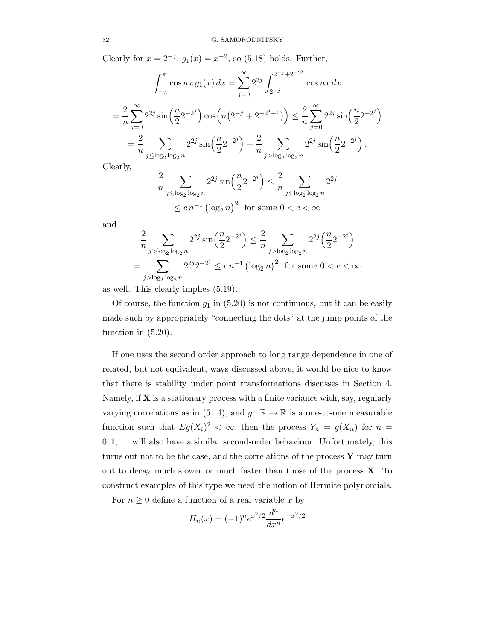Clearly for  $x = 2^{-j}$ ,  $g_1(x) = x^{-2}$ , so (5.18) holds. Further,

$$
\int_{-\pi}^{\pi} \cos nx \, g_1(x) \, dx = \sum_{j=0}^{\infty} 2^{2j} \int_{2^{-j}}^{2^{-j}+2^{-2^{j}}} \cos nx \, dx
$$
  
=  $\frac{2}{n} \sum_{j=0}^{\infty} 2^{2j} \sin \left( \frac{n}{2} 2^{-2^{j}} \right) \cos \left( n \left( 2^{-j} + 2^{-2^{j} - 1} \right) \right) \le \frac{2}{n} \sum_{j=0}^{\infty} 2^{2j} \sin \left( \frac{n}{2} 2^{-2^{j}} \right)$   
=  $\frac{2}{n} \sum_{j \le \log_2 \log_2 n} 2^{2j} \sin \left( \frac{n}{2} 2^{-2^{j}} \right) + \frac{2}{n} \sum_{j > \log_2 \log_2 n} 2^{2j} \sin \left( \frac{n}{2} 2^{-2^{j}} \right).$ 

Clearly,

$$
\frac{2}{n} \sum_{j \le \log_2 \log_2 n} 2^{2j} \sin\left(\frac{n}{2} 2^{-2j}\right) \le \frac{2}{n} \sum_{j \le \log_2 \log_2 n} 2^{2j}
$$
  
  $\le cn^{-1} \left(\log_2 n\right)^2$  for some  $0 < c < \infty$ 

and

$$
\frac{2}{n} \sum_{j > \log_2 \log_2 n} 2^{2j} \sin\left(\frac{n}{2} 2^{-2j}\right) \le \frac{2}{n} \sum_{j > \log_2 \log_2 n} 2^{2j} \left(\frac{n}{2} 2^{-2j}\right)
$$

$$
= \sum_{j > \log_2 \log_2 n} 2^{2j} 2^{-2j} \le cn^{-1} \left(\log_2 n\right)^2 \text{ for some } 0 < c < \infty
$$

as well. This clearly implies (5.19).

Of course, the function  $g_1$  in (5.20) is not continuous, but it can be easily made such by appropriately "connecting the dots" at the jump points of the function in (5.20).

If one uses the second order approach to long range dependence in one of related, but not equivalent, ways discussed above, it would be nice to know that there is stability under point transformations discusses in Section 4. Namely, if  $X$  is a stationary process with a finite variance with, say, regularly varying correlations as in (5.14), and  $g : \mathbb{R} \to \mathbb{R}$  is a one-to-one measurable function such that  $E g(X_i)^2 < \infty$ , then the process  $Y_n = g(X_n)$  for  $n =$  $0, 1, \ldots$  will also have a similar second-order behaviour. Unfortunately, this turns out not to be the case, and the correlations of the process  $\bf{Y}$  may turn out to decay much slower or much faster than those of the process X. To construct examples of this type we need the notion of Hermite polynomials.

For  $n \geq 0$  define a function of a real variable x by

$$
H_n(x) = (-1)^n e^{x^2/2} \frac{d^n}{dx^n} e^{-x^2/2}
$$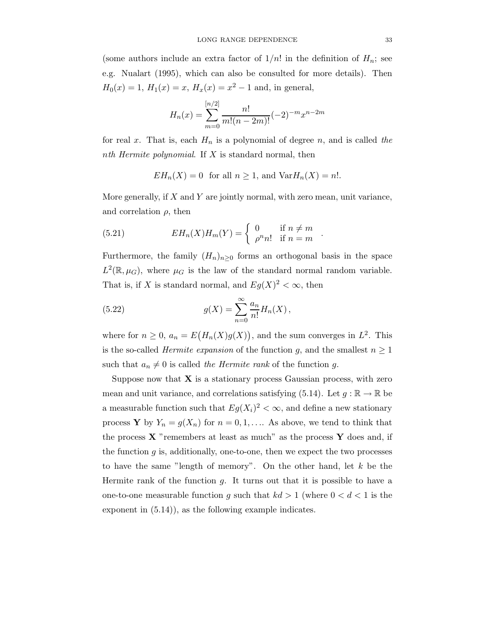(some authors include an extra factor of  $1/n!$  in the definition of  $H_n$ ; see e.g. Nualart (1995), which can also be consulted for more details). Then  $H_0(x) = 1$ ,  $H_1(x) = x$ ,  $H_x(x) = x^2 - 1$  and, in general,

$$
H_n(x) = \sum_{m=0}^{[n/2]} \frac{n!}{m!(n-2m)!} (-2)^{-m} x^{n-2m}
$$

for real x. That is, each  $H_n$  is a polynomial of degree n, and is called the nth Hermite polynomial. If  $X$  is standard normal, then

$$
EH_n(X) = 0 \text{ for all } n \ge 1, \text{ and } \text{Var}H_n(X) = n!.
$$

More generally, if  $X$  and  $Y$  are jointly normal, with zero mean, unit variance, and correlation  $\rho$ , then

.

(5.21) 
$$
EH_n(X)H_m(Y) = \begin{cases} 0 & \text{if } n \neq m \\ \rho^n n! & \text{if } n = m \end{cases}
$$

Furthermore, the family  $(H_n)_{n\geq 0}$  forms an orthogonal basis in the space  $L^2(\mathbb{R},\mu_G)$ , where  $\mu_G$  is the law of the standard normal random variable. That is, if X is standard normal, and  $Eg(X)^2 < \infty$ , then

(5.22) 
$$
g(X) = \sum_{n=0}^{\infty} \frac{a_n}{n!} H_n(X),
$$

where for  $n \geq 0$ ,  $a_n = E(H_n(X)g(X))$ , and the sum converges in  $L^2$ . This is the so-called *Hermite expansion* of the function g, and the smallest  $n \geq 1$ such that  $a_n \neq 0$  is called the Hermite rank of the function g.

Suppose now that  $X$  is a stationary process Gaussian process, with zero mean and unit variance, and correlations satisfying (5.14). Let  $g : \mathbb{R} \to \mathbb{R}$  be a measurable function such that  $E g(X_i)^2 < \infty$ , and define a new stationary process **Y** by  $Y_n = g(X_n)$  for  $n = 0, 1, \ldots$  As above, we tend to think that the process  $\bf{X}$  "remembers at least as much" as the process  $\bf{Y}$  does and, if the function  $g$  is, additionally, one-to-one, then we expect the two processes to have the same "length of memory". On the other hand, let k be the Hermite rank of the function  $g$ . It turns out that it is possible to have a one-to-one measurable function g such that  $kd > 1$  (where  $0 < d < 1$  is the exponent in (5.14)), as the following example indicates.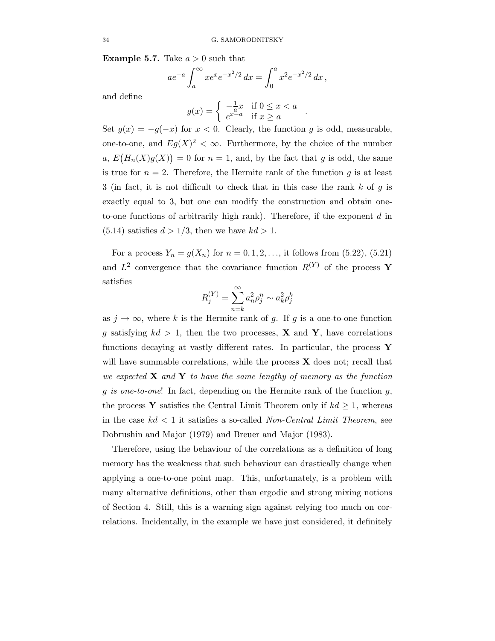**Example 5.7.** Take  $a > 0$  such that

$$
ae^{-a} \int_a^{\infty} xe^x e^{-x^2/2} dx = \int_0^a x^2 e^{-x^2/2} dx,
$$

and define

$$
g(x) = \begin{cases} -\frac{1}{a}x & \text{if } 0 \le x < a \\ e^{x-a} & \text{if } x \ge a \end{cases}
$$

.

Set  $g(x) = -g(-x)$  for  $x < 0$ . Clearly, the function g is odd, measurable, one-to-one, and  $Eg(X)^2 < \infty$ . Furthermore, by the choice of the number a,  $E(H_n(X)g(X)) = 0$  for  $n = 1$ , and, by the fact that g is odd, the same is true for  $n = 2$ . Therefore, the Hermite rank of the function g is at least 3 (in fact, it is not difficult to check that in this case the rank  $k$  of  $g$  is exactly equal to 3, but one can modify the construction and obtain oneto-one functions of arbitrarily high rank). Therefore, if the exponent  $d$  in  $(5.14)$  satisfies  $d > 1/3$ , then we have  $kd > 1$ .

For a process  $Y_n = g(X_n)$  for  $n = 0, 1, 2, \ldots$ , it follows from (5.22), (5.21) and  $L^2$  convergence that the covariance function  $R^{(Y)}$  of the process Y satisfies

$$
R_j^{(Y)} = \sum_{n=k}^\infty a_n^2 \rho_j^n \sim a_k^2 \rho_j^k
$$

as  $j \to \infty$ , where k is the Hermite rank of g. If g is a one-to-one function g satisfying  $kd > 1$ , then the two processes, **X** and **Y**, have correlations functions decaying at vastly different rates. In particular, the process  $\mathbf Y$ will have summable correlations, while the process  $X$  does not; recall that we expected  $X$  and  $Y$  to have the same lengthy of memory as the function g is one-to-one! In fact, depending on the Hermite rank of the function  $g$ , the process Y satisfies the Central Limit Theorem only if  $kd \geq 1$ , whereas in the case  $kd < 1$  it satisfies a so-called *Non-Central Limit Theorem*, see Dobrushin and Major (1979) and Breuer and Major (1983).

Therefore, using the behaviour of the correlations as a definition of long memory has the weakness that such behaviour can drastically change when applying a one-to-one point map. This, unfortunately, is a problem with many alternative definitions, other than ergodic and strong mixing notions of Section 4. Still, this is a warning sign against relying too much on correlations. Incidentally, in the example we have just considered, it definitely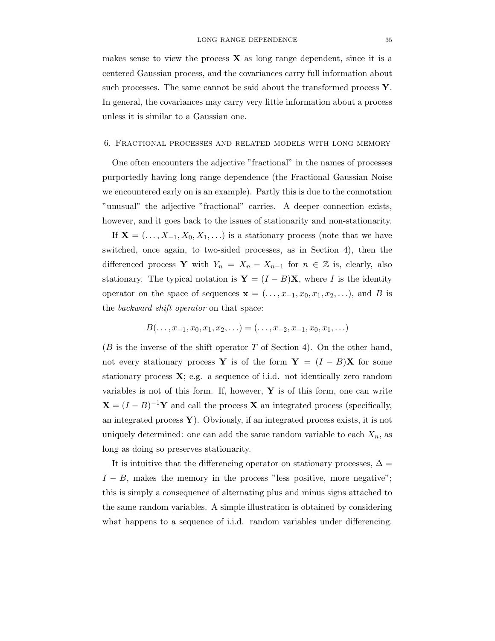makes sense to view the process  $\bf{X}$  as long range dependent, since it is a centered Gaussian process, and the covariances carry full information about such processes. The same cannot be said about the transformed process Y. In general, the covariances may carry very little information about a process unless it is similar to a Gaussian one.

#### 6. Fractional processes and related models with long memory

One often encounters the adjective "fractional" in the names of processes purportedly having long range dependence (the Fractional Gaussian Noise we encountered early on is an example). Partly this is due to the connotation "unusual" the adjective "fractional" carries. A deeper connection exists, however, and it goes back to the issues of stationarity and non-stationarity.

If  $X = (..., X_{-1}, X_0, X_1,...)$  is a stationary process (note that we have switched, once again, to two-sided processes, as in Section 4), then the differenced process Y with  $Y_n = X_n - X_{n-1}$  for  $n \in \mathbb{Z}$  is, clearly, also stationary. The typical notation is  $\mathbf{Y} = (I - B)\mathbf{X}$ , where I is the identity operator on the space of sequences  $\mathbf{x} = (\ldots, x_{-1}, x_0, x_1, x_2, \ldots)$ , and B is the backward shift operator on that space:

$$
B(\ldots, x_{-1}, x_0, x_1, x_2, \ldots) = (\ldots, x_{-2}, x_{-1}, x_0, x_1, \ldots)
$$

 $(B \text{ is the inverse of the shift operator } T \text{ of Section 4).}$  On the other hand, not every stationary process Y is of the form  $Y = (I - B)X$  for some stationary process  $\mathbf{X}$ ; e.g. a sequence of i.i.d. not identically zero random variables is not of this form. If, however,  $\mathbf Y$  is of this form, one can write  $\mathbf{X} = (I - B)^{-1} \mathbf{Y}$  and call the process **X** an integrated process (specifically, an integrated process  $Y$ ). Obviously, if an integrated process exists, it is not uniquely determined: one can add the same random variable to each  $X_n$ , as long as doing so preserves stationarity.

It is intuitive that the differencing operator on stationary processes,  $\Delta =$  $I - B$ , makes the memory in the process "less positive, more negative"; this is simply a consequence of alternating plus and minus signs attached to the same random variables. A simple illustration is obtained by considering what happens to a sequence of i.i.d. random variables under differencing.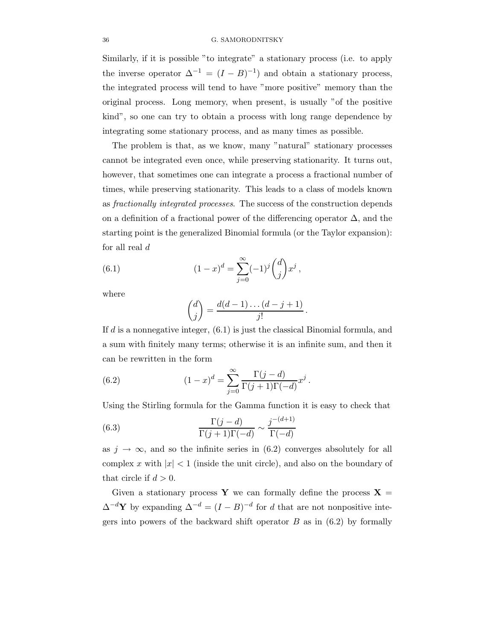Similarly, if it is possible "to integrate" a stationary process (i.e. to apply the inverse operator  $\Delta^{-1} = (I - B)^{-1}$  and obtain a stationary process, the integrated process will tend to have "more positive" memory than the original process. Long memory, when present, is usually "of the positive kind", so one can try to obtain a process with long range dependence by integrating some stationary process, and as many times as possible.

The problem is that, as we know, many "natural" stationary processes cannot be integrated even once, while preserving stationarity. It turns out, however, that sometimes one can integrate a process a fractional number of times, while preserving stationarity. This leads to a class of models known as fractionally integrated processes. The success of the construction depends on a definition of a fractional power of the differencing operator  $\Delta$ , and the starting point is the generalized Binomial formula (or the Taylor expansion): for all real d

(6.1) 
$$
(1-x)^d = \sum_{j=0}^{\infty} (-1)^j {d \choose j} x^j,
$$

where

$$
\binom{d}{j} = \frac{d(d-1)\dots(d-j+1)}{j!} \, .
$$

If d is a nonnegative integer, (6.1) is just the classical Binomial formula, and a sum with finitely many terms; otherwise it is an infinite sum, and then it can be rewritten in the form

(6.2) 
$$
(1-x)^d = \sum_{j=0}^{\infty} \frac{\Gamma(j-d)}{\Gamma(j+1)\Gamma(-d)} x^j.
$$

Using the Stirling formula for the Gamma function it is easy to check that

(6.3) 
$$
\frac{\Gamma(j-d)}{\Gamma(j+1)\Gamma(-d)} \sim \frac{j^{-(d+1)}}{\Gamma(-d)}
$$

as  $j \to \infty$ , and so the infinite series in (6.2) converges absolutely for all complex x with  $|x| < 1$  (inside the unit circle), and also on the boundary of that circle if  $d > 0$ .

Given a stationary process Y we can formally define the process  $X =$  $\Delta^{-d}$ Y by expanding  $\Delta^{-d} = (I - B)^{-d}$  for d that are not nonpositive integers into powers of the backward shift operator  $B$  as in  $(6.2)$  by formally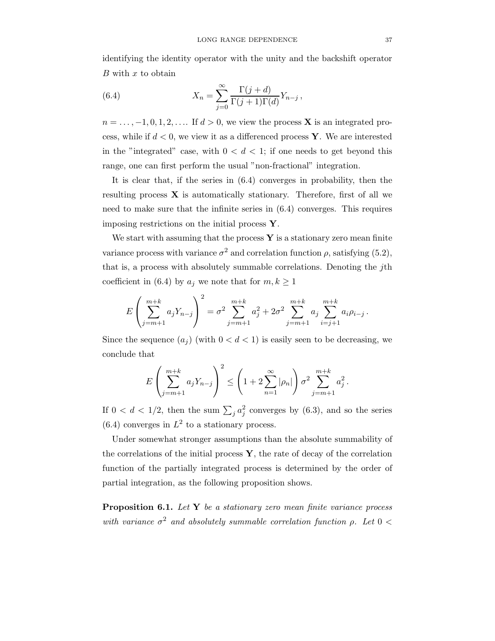identifying the identity operator with the unity and the backshift operator  $B$  with  $x$  to obtain

(6.4) 
$$
X_n = \sum_{j=0}^{\infty} \frac{\Gamma(j+d)}{\Gamma(j+1)\Gamma(d)} Y_{n-j},
$$

 $n = \ldots, -1, 0, 1, 2, \ldots$  If  $d > 0$ , we view the process **X** is an integrated process, while if  $d < 0$ , we view it as a differenced process Y. We are interested in the "integrated" case, with  $0 < d < 1$ ; if one needs to get beyond this range, one can first perform the usual "non-fractional" integration.

It is clear that, if the series in (6.4) converges in probability, then the resulting process  $\bf{X}$  is automatically stationary. Therefore, first of all we need to make sure that the infinite series in (6.4) converges. This requires imposing restrictions on the initial process  $Y$ .

We start with assuming that the process  $\bf{Y}$  is a stationary zero mean finite variance process with variance  $\sigma^2$  and correlation function  $\rho$ , satisfying (5.2), that is, a process with absolutely summable correlations. Denoting the jth coefficient in (6.4) by  $a_j$  we note that for  $m, k \ge 1$ 

$$
E\left(\sum_{j=m+1}^{m+k} a_j Y_{n-j}\right)^2 = \sigma^2 \sum_{j=m+1}^{m+k} a_j^2 + 2\sigma^2 \sum_{j=m+1}^{m+k} a_j \sum_{i=j+1}^{m+k} a_i \rho_{i-j}.
$$

Since the sequence  $(a_i)$  (with  $0 < d < 1$ ) is easily seen to be decreasing, we conclude that

$$
E\left(\sum_{j=m+1}^{m+k} a_j Y_{n-j}\right)^2 \le \left(1 + 2\sum_{n=1}^{\infty} |\rho_n|\right) \sigma^2 \sum_{j=m+1}^{m+k} a_j^2.
$$

If  $0 < d < 1/2$ , then the sum  $\sum_j a_j^2$  converges by (6.3), and so the series  $(6.4)$  converges in  $L^2$  to a stationary process.

Under somewhat stronger assumptions than the absolute summability of the correlations of the initial process  $\mathbf{Y}$ , the rate of decay of the correlation function of the partially integrated process is determined by the order of partial integration, as the following proposition shows.

**Proposition 6.1.** Let  $Y$  be a stationary zero mean finite variance process with variance  $\sigma^2$  and absolutely summable correlation function  $\rho$ . Let  $0 <$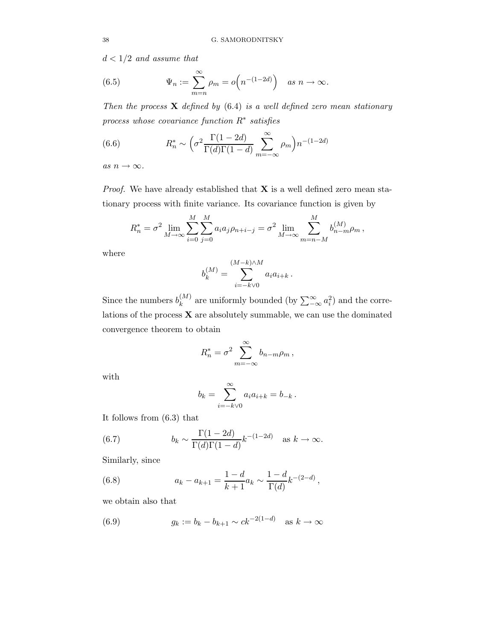$d < 1/2$  and assume that

(6.5) 
$$
\Psi_n := \sum_{m=n}^{\infty} \rho_m = o\left(n^{-(1-2d)}\right) \quad \text{as } n \to \infty.
$$

Then the process  $X$  defined by  $(6.4)$  is a well defined zero mean stationary process whose covariance function  $R^*$  satisfies

(6.6) 
$$
R_n^* \sim \left(\sigma^2 \frac{\Gamma(1-2d)}{\Gamma(d)\Gamma(1-d)} \sum_{m=-\infty}^{\infty} \rho_m\right) n^{-(1-2d)}
$$

as  $n \to \infty$ .

*Proof.* We have already established that  $X$  is a well defined zero mean stationary process with finite variance. Its covariance function is given by

$$
R_n^* = \sigma^2 \lim_{M \to \infty} \sum_{i=0}^M \sum_{j=0}^M a_i a_j \rho_{n+i-j} = \sigma^2 \lim_{M \to \infty} \sum_{m=n-M}^M b_{n-m}^{(M)} \rho_m,
$$

where

$$
b_k^{(M)} = \sum_{i=-k\vee 0}^{(M-k)\wedge M} a_i a_{i+k} .
$$

Since the numbers  $b_k^{(M)}$  $\binom{M}{k}$  are uniformly bounded (by  $\sum_{-\infty}^{\infty} a_i^2$ ) and the correlations of the process  $\mathbf X$  are absolutely summable, we can use the dominated convergence theorem to obtain

$$
R_n^* = \sigma^2 \sum_{m=-\infty}^{\infty} b_{n-m}\rho_m,
$$

with

$$
b_k = \sum_{i=-k\vee 0}^{\infty} a_i a_{i+k} = b_{-k}.
$$

It follows from (6.3) that

(6.7) 
$$
b_k \sim \frac{\Gamma(1-2d)}{\Gamma(d)\Gamma(1-d)} k^{-(1-2d)} \quad \text{as } k \to \infty.
$$

Similarly, since

(6.8) 
$$
a_k - a_{k+1} = \frac{1-d}{k+1} a_k \sim \frac{1-d}{\Gamma(d)} k^{-(2-d)},
$$

we obtain also that

(6.9) 
$$
g_k := b_k - b_{k+1} \sim ck^{-2(1-d)} \text{ as } k \to \infty
$$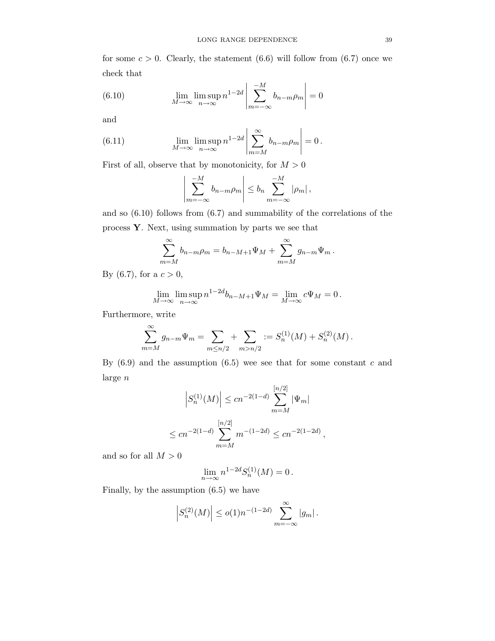for some  $c > 0$ . Clearly, the statement (6.6) will follow from (6.7) once we check that

(6.10) 
$$
\lim_{M \to \infty} \lim_{n \to \infty} n^{1-2d} \left| \sum_{m=-\infty}^{-M} b_{n-m} \rho_m \right| = 0
$$

and

(6.11) 
$$
\lim_{M \to \infty} \lim_{n \to \infty} n^{1-2d} \left| \sum_{m=M}^{\infty} b_{n-m} \rho_m \right| = 0.
$$

First of all, observe that by monotonicity, for  $M > 0$ 

$$
\left|\sum_{m=-\infty}^{-M} b_{n-m}\rho_m\right| \leq b_n \sum_{m=-\infty}^{-M} |\rho_m|,
$$

and so (6.10) follows from (6.7) and summability of the correlations of the process Y. Next, using summation by parts we see that

$$
\sum_{m=M}^{\infty} b_{n-m}\rho_m = b_{n-M+1}\Psi_M + \sum_{m=M}^{\infty} g_{n-m}\Psi_m.
$$

By (6.7), for a  $c > 0$ ,

$$
\lim_{M \to \infty} \limsup_{n \to \infty} n^{1-2d} b_{n-M+1} \Psi_M = \lim_{M \to \infty} c \Psi_M = 0.
$$

Furthermore, write

$$
\sum_{m=M}^{\infty} g_{n-m} \Psi_m = \sum_{m \le n/2} + \sum_{m > n/2} := S_n^{(1)}(M) + S_n^{(2)}(M).
$$

By  $(6.9)$  and the assumption  $(6.5)$  wee see that for some constant c and large n

$$
\left| S_n^{(1)}(M) \right| \le c n^{-2(1-d)} \sum_{m=M}^{[n/2]} |\Psi_m|
$$
  

$$
\le c n^{-2(1-d)} \sum_{m=M}^{[n/2]} m^{-(1-2d)} \le c n^{-2(1-2d)},
$$

and so for all  $M > 0$ 

$$
\lim_{n\to\infty} n^{1-2d}S_n^{(1)}(M)=0\,.
$$

Finally, by the assumption (6.5) we have

$$
\left| S_n^{(2)}(M) \right| \le o(1) n^{-(1-2d)} \sum_{m=-\infty}^{\infty} |g_m| \, .
$$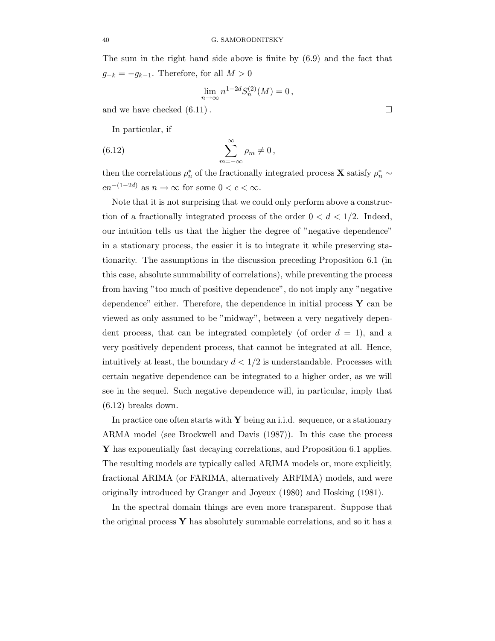The sum in the right hand side above is finite by (6.9) and the fact that  $g_{-k} = -g_{k-1}$ . Therefore, for all  $M > 0$ 

$$
\lim_{n \to \infty} n^{1-2d} S_n^{(2)}(M) = 0,
$$

and we have checked  $(6.11)$ .

In particular, if

(6.12) 
$$
\sum_{m=-\infty}^{\infty} \rho_m \neq 0,
$$

then the correlations  $\rho_n^*$  of the fractionally integrated process **X** satisfy  $\rho_n^* \sim$  $cn^{-(1-2d)}$  as  $n \to \infty$  for some  $0 < c < \infty$ .

Note that it is not surprising that we could only perform above a construction of a fractionally integrated process of the order  $0 < d < 1/2$ . Indeed, our intuition tells us that the higher the degree of "negative dependence" in a stationary process, the easier it is to integrate it while preserving stationarity. The assumptions in the discussion preceding Proposition 6.1 (in this case, absolute summability of correlations), while preventing the process from having "too much of positive dependence", do not imply any "negative dependence" either. Therefore, the dependence in initial process  $\mathbf{Y}$  can be viewed as only assumed to be "midway", between a very negatively dependent process, that can be integrated completely (of order  $d = 1$ ), and a very positively dependent process, that cannot be integrated at all. Hence, intuitively at least, the boundary  $d < 1/2$  is understandable. Processes with certain negative dependence can be integrated to a higher order, as we will see in the sequel. Such negative dependence will, in particular, imply that (6.12) breaks down.

In practice one often starts with  $\bf{Y}$  being an i.i.d. sequence, or a stationary ARMA model (see Brockwell and Davis (1987)). In this case the process Y has exponentially fast decaying correlations, and Proposition 6.1 applies. The resulting models are typically called ARIMA models or, more explicitly, fractional ARIMA (or FARIMA, alternatively ARFIMA) models, and were originally introduced by Granger and Joyeux (1980) and Hosking (1981).

In the spectral domain things are even more transparent. Suppose that the original process  $\bf{Y}$  has absolutely summable correlations, and so it has a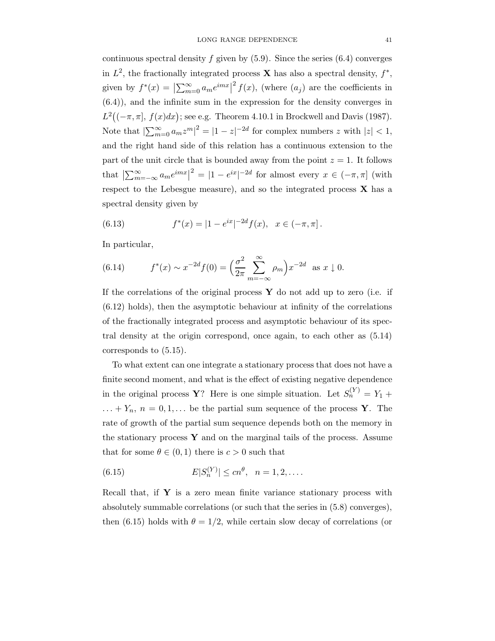continuous spectral density f given by  $(5.9)$ . Since the series  $(6.4)$  converges in  $L^2$ , the fractionally integrated process **X** has also a spectral density,  $f^*$ , given by  $f^*(x) = \left| \sum_{m=0}^{\infty} a_m e^{imx} \right|$  $2^{2} f(x)$ , (where  $(a_{j})$  are the coefficients in (6.4)), and the infinite sum in the expression for the density converges in  $L^2((-\pi,\pi], f(x)dx)$ ; see e.g. Theorem 4.10.1 in Brockwell and Davis (1987). Note that  $\left|\sum_{m=0}^{\infty} a_m z^m\right|^2 = |1-z|^{-2d}$  for complex numbers z with  $|z| < 1$ , and the right hand side of this relation has a continuous extension to the part of the unit circle that is bounded away from the point  $z = 1$ . It follows that  $\left|\sum_{m=-\infty}^{\infty} a_m e^{imx}\right|^2 = |1 - e^{ix}|^{-2d}$  for almost every  $x \in (-\pi, \pi]$  (with respect to the Lebesgue measure), and so the integrated process  $X$  has a spectral density given by

(6.13) 
$$
f^*(x) = |1 - e^{ix}|^{-2d} f(x), \quad x \in (-\pi, \pi].
$$

In particular,

(6.14) 
$$
f^*(x) \sim x^{-2d} f(0) = \left(\frac{\sigma^2}{2\pi} \sum_{m=-\infty}^{\infty} \rho_m\right) x^{-2d} \text{ as } x \downarrow 0.
$$

If the correlations of the original process  $\bf{Y}$  do not add up to zero (i.e. if (6.12) holds), then the asymptotic behaviour at infinity of the correlations of the fractionally integrated process and asymptotic behaviour of its spectral density at the origin correspond, once again, to each other as (5.14) corresponds to (5.15).

To what extent can one integrate a stationary process that does not have a finite second moment, and what is the effect of existing negative dependence in the original process **Y**? Here is one simple situation. Let  $S_n^{(Y)} = Y_1 +$  $\ldots + Y_n$ ,  $n = 0, 1, \ldots$  be the partial sum sequence of the process **Y**. The rate of growth of the partial sum sequence depends both on the memory in the stationary process  $\bf{Y}$  and on the marginal tails of the process. Assume that for some  $\theta \in (0,1)$  there is  $c > 0$  such that

(6.15) 
$$
E|S_n^{(Y)}| \le cn^{\theta}, \ \ n = 1, 2, ....
$$

Recall that, if  $Y$  is a zero mean finite variance stationary process with absolutely summable correlations (or such that the series in (5.8) converges), then (6.15) holds with  $\theta = 1/2$ , while certain slow decay of correlations (or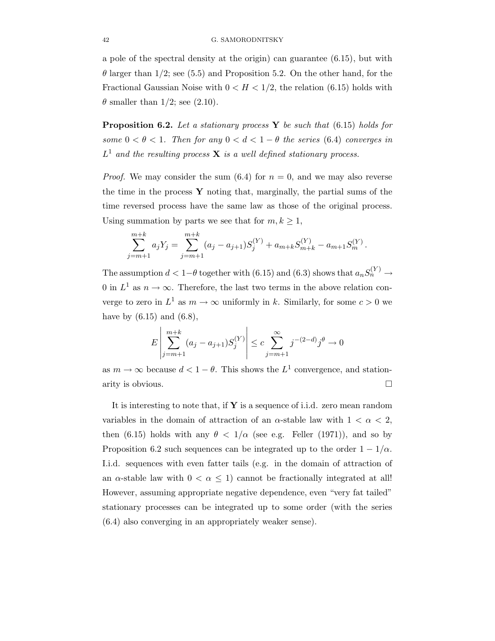a pole of the spectral density at the origin) can guarantee (6.15), but with  $\theta$  larger than 1/2; see (5.5) and Proposition 5.2. On the other hand, for the Fractional Gaussian Noise with  $0 < H < 1/2$ , the relation (6.15) holds with  $\theta$  smaller than 1/2; see (2.10).

**Proposition 6.2.** Let a stationary process Y be such that  $(6.15)$  holds for some  $0 < \theta < 1$ . Then for any  $0 < d < 1 - \theta$  the series (6.4) converges in  $L^1$  and the resulting process **X** is a well defined stationary process.

*Proof.* We may consider the sum  $(6.4)$  for  $n = 0$ , and we may also reverse the time in the process  $\bf{Y}$  noting that, marginally, the partial sums of the time reversed process have the same law as those of the original process. Using summation by parts we see that for  $m, k \geq 1$ ,

$$
\sum_{j=m+1}^{m+k} a_j Y_j = \sum_{j=m+1}^{m+k} (a_j - a_{j+1}) S_j^{(Y)} + a_{m+k} S_{m+k}^{(Y)} - a_{m+1} S_m^{(Y)}.
$$

The assumption  $d < 1-\theta$  together with (6.15) and (6.3) shows that  $a_n S_n^{(Y)} \to$ 0 in  $L^1$  as  $n \to \infty$ . Therefore, the last two terms in the above relation converge to zero in  $L^1$  as  $m \to \infty$  uniformly in k. Similarly, for some  $c > 0$  we have by  $(6.15)$  and  $(6.8)$ ,

$$
E\left|\sum_{j=m+1}^{m+k} (a_j - a_{j+1})S_j^{(Y)}\right| \le c \sum_{j=m+1}^{\infty} j^{-(2-d)}j^{\theta} \to 0
$$

as  $m \to \infty$  because  $d < 1 - \theta$ . This shows the  $L^1$  convergence, and stationarity is obvious.

It is interesting to note that, if  $Y$  is a sequence of i.i.d. zero mean random variables in the domain of attraction of an  $\alpha$ -stable law with  $1 < \alpha < 2$ , then (6.15) holds with any  $\theta < 1/\alpha$  (see e.g. Feller (1971)), and so by Proposition 6.2 such sequences can be integrated up to the order  $1 - 1/\alpha$ . I.i.d. sequences with even fatter tails (e.g. in the domain of attraction of an  $\alpha$ -stable law with  $0 < \alpha \leq 1$  cannot be fractionally integrated at all! However, assuming appropriate negative dependence, even "very fat tailed" stationary processes can be integrated up to some order (with the series (6.4) also converging in an appropriately weaker sense).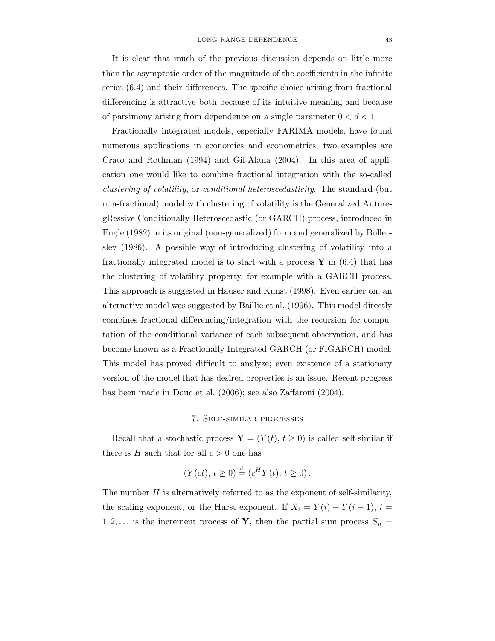It is clear that much of the previous discussion depends on little more than the asymptotic order of the magnitude of the coefficients in the infinite series (6.4) and their differences. The specific choice arising from fractional differencing is attractive both because of its intuitive meaning and because of parsimony arising from dependence on a single parameter  $0 < d < 1$ .

Fractionally integrated models, especially FARIMA models, have found numerous applications in economics and econometrics; two examples are Crato and Rothman (1994) and Gil-Alana (2004). In this area of application one would like to combine fractional integration with the so-called clustering of volatility, or conditional heteroscedasticity. The standard (but non-fractional) model with clustering of volatility is the Generalized AutoregRessive Conditionally Heteroscedastic (or GARCH) process, introduced in Engle (1982) in its original (non-generalized) form and generalized by Bollerslev (1986). A possible way of introducing clustering of volatility into a fractionally integrated model is to start with a process  $\mathbf{Y}$  in (6.4) that has the clustering of volatility property, for example with a GARCH process. This approach is suggested in Hauser and Kunst (1998). Even earlier on, an alternative model was suggested by Baillie et al. (1996). This model directly combines fractional differencing/integration with the recursion for computation of the conditional variance of each subsequent observation, and has become known as a Fractionally Integrated GARCH (or FIGARCH) model. This model has proved difficult to analyze; even existence of a stationary version of the model that has desired properties is an issue. Recent progress has been made in Douc et al. (2006); see also Zaffaroni (2004).

## 7. Self-similar processes

Recall that a stochastic process  $\mathbf{Y} = (Y(t), t \geq 0)$  is called self-similar if there is  $H$  such that for all  $c > 0$  one has

$$
(Y(ct), t \ge 0) \stackrel{\text{d}}{=} (c^H Y(t), t \ge 0).
$$

The number  $H$  is alternatively referred to as the exponent of self-similarity, the scaling exponent, or the Hurst exponent. If  $X_i = Y(i) - Y(i-1), i =$ 1, 2,... is the increment process of Y, then the partial sum process  $S_n =$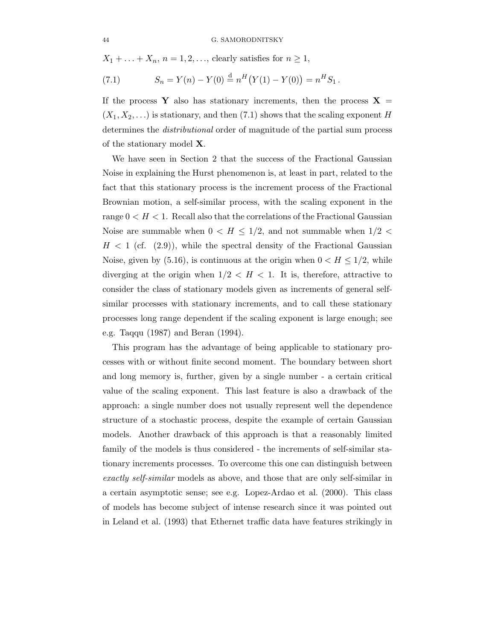$X_1 + \ldots + X_n$ ,  $n = 1, 2, \ldots$ , clearly satisfies for  $n \geq 1$ ,

(7.1) 
$$
S_n = Y(n) - Y(0) \stackrel{\text{d}}{=} n^H (Y(1) - Y(0)) = n^H S_1.
$$

If the process Y also has stationary increments, then the process  $X =$  $(X_1, X_2,...)$  is stationary, and then (7.1) shows that the scaling exponent H determines the distributional order of magnitude of the partial sum process of the stationary model X.

We have seen in Section 2 that the success of the Fractional Gaussian Noise in explaining the Hurst phenomenon is, at least in part, related to the fact that this stationary process is the increment process of the Fractional Brownian motion, a self-similar process, with the scaling exponent in the range  $0 < H < 1$ . Recall also that the correlations of the Fractional Gaussian Noise are summable when  $0 < H \leq 1/2$ , and not summable when  $1/2 <$  $H < 1$  (cf. (2.9)), while the spectral density of the Fractional Gaussian Noise, given by  $(5.16)$ , is continuous at the origin when  $0 < H \leq 1/2$ , while diverging at the origin when  $1/2 < H < 1$ . It is, therefore, attractive to consider the class of stationary models given as increments of general selfsimilar processes with stationary increments, and to call these stationary processes long range dependent if the scaling exponent is large enough; see e.g. Taqqu (1987) and Beran (1994).

This program has the advantage of being applicable to stationary processes with or without finite second moment. The boundary between short and long memory is, further, given by a single number - a certain critical value of the scaling exponent. This last feature is also a drawback of the approach: a single number does not usually represent well the dependence structure of a stochastic process, despite the example of certain Gaussian models. Another drawback of this approach is that a reasonably limited family of the models is thus considered - the increments of self-similar stationary increments processes. To overcome this one can distinguish between exactly self-similar models as above, and those that are only self-similar in a certain asymptotic sense; see e.g. Lopez-Ardao et al. (2000). This class of models has become subject of intense research since it was pointed out in Leland et al. (1993) that Ethernet traffic data have features strikingly in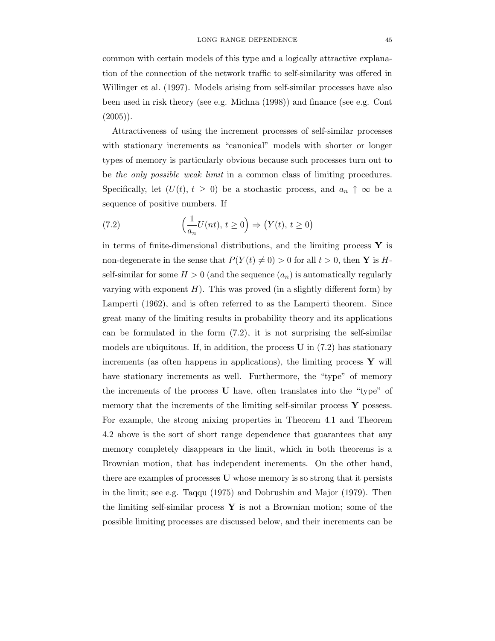common with certain models of this type and a logically attractive explanation of the connection of the network traffic to self-similarity was offered in Willinger et al. (1997). Models arising from self-similar processes have also been used in risk theory (see e.g. Michna (1998)) and finance (see e.g. Cont  $(2005)$ ).

Attractiveness of using the increment processes of self-similar processes with stationary increments as "canonical" models with shorter or longer types of memory is particularly obvious because such processes turn out to be the only possible weak limit in a common class of limiting procedures. Specifically, let  $(U(t), t \geq 0)$  be a stochastic process, and  $a_n \uparrow \infty$  be a sequence of positive numbers. If

(7.2) 
$$
\left(\frac{1}{a_n}U(nt), t \ge 0\right) \Rightarrow \left(Y(t), t \ge 0\right)
$$

in terms of finite-dimensional distributions, and the limiting process  $\bf{Y}$  is non-degenerate in the sense that  $P(Y(t) \neq 0) > 0$  for all  $t > 0$ , then Y is Hself-similar for some  $H > 0$  (and the sequence  $(a_n)$  is automatically regularly varying with exponent  $H$ ). This was proved (in a slightly different form) by Lamperti (1962), and is often referred to as the Lamperti theorem. Since great many of the limiting results in probability theory and its applications can be formulated in the form  $(7.2)$ , it is not surprising the self-similar models are ubiquitous. If, in addition, the process  $\bf{U}$  in (7.2) has stationary increments (as often happens in applications), the limiting process  $\mathbf{Y}$  will have stationary increments as well. Furthermore, the "type" of memory the increments of the process U have, often translates into the "type" of memory that the increments of the limiting self-similar process  $\bf{Y}$  possess. For example, the strong mixing properties in Theorem 4.1 and Theorem 4.2 above is the sort of short range dependence that guarantees that any memory completely disappears in the limit, which in both theorems is a Brownian motion, that has independent increments. On the other hand, there are examples of processes U whose memory is so strong that it persists in the limit; see e.g. Taqqu (1975) and Dobrushin and Major (1979). Then the limiting self-similar process  $\bf{Y}$  is not a Brownian motion; some of the possible limiting processes are discussed below, and their increments can be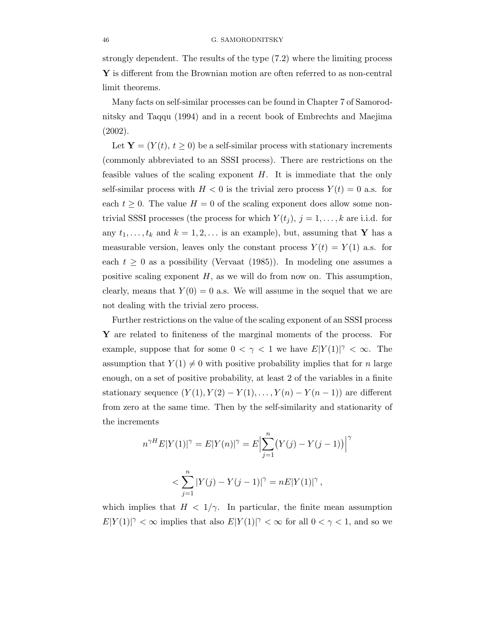strongly dependent. The results of the type (7.2) where the limiting process Y is different from the Brownian motion are often referred to as non-central limit theorems.

Many facts on self-similar processes can be found in Chapter 7 of Samorodnitsky and Taqqu (1994) and in a recent book of Embrechts and Maejima (2002).

Let  $\mathbf{Y} = (Y(t), t \geq 0)$  be a self-similar process with stationary increments (commonly abbreviated to an SSSI process). There are restrictions on the feasible values of the scaling exponent  $H$ . It is immediate that the only self-similar process with  $H < 0$  is the trivial zero process  $Y(t) = 0$  a.s. for each  $t \geq 0$ . The value  $H = 0$  of the scaling exponent does allow some nontrivial SSSI processes (the process for which  $Y(t_j)$ ,  $j = 1, \ldots, k$  are i.i.d. for any  $t_1, \ldots, t_k$  and  $k = 1, 2, \ldots$  is an example), but, assuming that Y has a measurable version, leaves only the constant process  $Y(t) = Y(1)$  a.s. for each  $t \geq 0$  as a possibility (Vervaat (1985)). In modeling one assumes a positive scaling exponent  $H$ , as we will do from now on. This assumption, clearly, means that  $Y(0) = 0$  a.s. We will assume in the sequel that we are not dealing with the trivial zero process.

Further restrictions on the value of the scaling exponent of an SSSI process Y are related to finiteness of the marginal moments of the process. For example, suppose that for some  $0 < \gamma < 1$  we have  $E|Y(1)|^{\gamma} < \infty$ . The assumption that  $Y(1) \neq 0$  with positive probability implies that for n large enough, on a set of positive probability, at least 2 of the variables in a finite stationary sequence  $(Y(1), Y(2) - Y(1), \ldots, Y(n) - Y(n-1))$  are different from zero at the same time. Then by the self-similarity and stationarity of the increments

$$
n^{\gamma H} E|Y(1)|^{\gamma} = E|Y(n)|^{\gamma} = E\Big|\sum_{j=1}^{n} (Y(j) - Y(j-1))\Big|^{\gamma}
$$
  

$$
< \sum_{j=1}^{n} |Y(j) - Y(j-1)|^{\gamma} = nE|Y(1)|^{\gamma},
$$

which implies that  $H < 1/\gamma$ . In particular, the finite mean assumption  $E|Y(1)|^{\gamma} < \infty$  implies that also  $E|Y(1)|^{\gamma} < \infty$  for all  $0 < \gamma < 1$ , and so we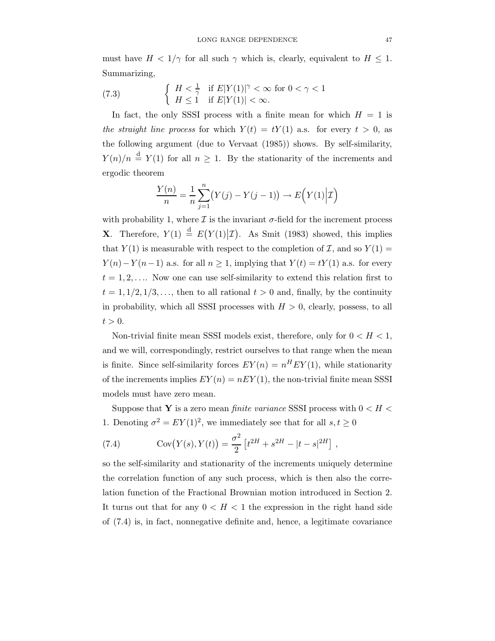must have  $H < 1/\gamma$  for all such  $\gamma$  which is, clearly, equivalent to  $H \leq 1$ . Summarizing,

(7.3) 
$$
\begin{cases} H < \frac{1}{\gamma} & \text{if } E|Y(1)|^{\gamma} < \infty \text{ for } 0 < \gamma < 1\\ H \le 1 & \text{if } E|Y(1)| < \infty. \end{cases}
$$

In fact, the only SSSI process with a finite mean for which  $H = 1$  is the straight line process for which  $Y(t) = tY(1)$  a.s. for every  $t > 0$ , as the following argument (due to Vervaat (1985)) shows. By self-similarity,  $Y(n)/n \stackrel{\text{d}}{=} Y(1)$  for all  $n \geq 1$ . By the stationarity of the increments and ergodic theorem

$$
\frac{Y(n)}{n} = \frac{1}{n} \sum_{j=1}^{n} (Y(j) - Y(j-1)) \to E(Y(1)|\mathcal{I})
$$

with probability 1, where  $\mathcal I$  is the invariant  $\sigma$ -field for the increment process **X**. Therefore,  $Y(1) \stackrel{d}{=} E(Y(1)|\mathcal{I})$ . As Smit (1983) showed, this implies that  $Y(1)$  is measurable with respect to the completion of  $\mathcal{I}$ , and so  $Y(1)$  =  $Y(n)-Y(n-1)$  a.s. for all  $n \geq 1$ , implying that  $Y(t) = tY(1)$  a.s. for every  $t = 1, 2, \ldots$  Now one can use self-similarity to extend this relation first to  $t = 1, 1/2, 1/3, \ldots$ , then to all rational  $t > 0$  and, finally, by the continuity in probability, which all SSSI processes with  $H > 0$ , clearly, possess, to all  $t > 0$ .

Non-trivial finite mean SSSI models exist, therefore, only for  $0 < H < 1$ , and we will, correspondingly, restrict ourselves to that range when the mean is finite. Since self-similarity forces  $EY(n) = n^H EY(1)$ , while stationarity of the increments implies  $EY(n) = nEY(1)$ , the non-trivial finite mean SSSI models must have zero mean.

Suppose that Y is a zero mean *finite variance* SSSI process with  $0 < H <$ 1. Denoting  $\sigma^2 = EY(1)^2$ , we immediately see that for all  $s, t \ge 0$ 

(7.4) 
$$
Cov(Y(s), Y(t)) = \frac{\sigma^2}{2} \left[ t^{2H} + s^{2H} - |t - s|^{2H} \right],
$$

so the self-similarity and stationarity of the increments uniquely determine the correlation function of any such process, which is then also the correlation function of the Fractional Brownian motion introduced in Section 2. It turns out that for any  $0 < H < 1$  the expression in the right hand side of (7.4) is, in fact, nonnegative definite and, hence, a legitimate covariance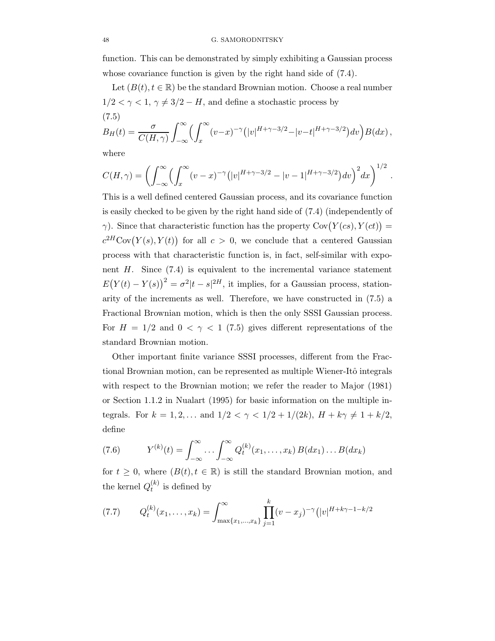function. This can be demonstrated by simply exhibiting a Gaussian process whose covariance function is given by the right hand side of (7.4).

Let  $(B(t), t \in \mathbb{R})$  be the standard Brownian motion. Choose a real number  $1/2 < \gamma < 1, \gamma \neq 3/2 - H$ , and define a stochastic process by (7.5)

$$
B_H(t) = \frac{\sigma}{C(H,\gamma)} \int_{-\infty}^{\infty} \left( \int_x^{\infty} (v-x)^{-\gamma} \left( |v|^{H+\gamma-3/2} - |v-t|^{H+\gamma-3/2} \right) dv \right) B(dx),
$$

where

$$
C(H,\gamma) = \left( \int_{-\infty}^{\infty} \left( \int_{x}^{\infty} (v-x)^{-\gamma} (|v|^{H+\gamma-3/2} - |v-1|^{H+\gamma-3/2}) dv \right)^2 dx \right)^{1/2}.
$$

This is a well defined centered Gaussian process, and its covariance function is easily checked to be given by the right hand side of (7.4) (independently of  $\gamma$ ). Since that characteristic function has the property Cov $(Y(cs), Y(ct))$  =  $c^{2H}Cov(Y(s), Y(t))$  for all  $c > 0$ , we conclude that a centered Gaussian process with that characteristic function is, in fact, self-similar with exponent  $H$ . Since  $(7.4)$  is equivalent to the incremental variance statement  $E(Y(t) - Y(s))^2 = \sigma^2 |t - s|^{2H}$ , it implies, for a Gaussian process, stationarity of the increments as well. Therefore, we have constructed in (7.5) a Fractional Brownian motion, which is then the only SSSI Gaussian process. For  $H = 1/2$  and  $0 < \gamma < 1$  (7.5) gives different representations of the standard Brownian motion.

Other important finite variance SSSI processes, different from the Fractional Brownian motion, can be represented as multiple Wiener-Itô integrals with respect to the Brownian motion; we refer the reader to Major (1981) or Section 1.1.2 in Nualart (1995) for basic information on the multiple integrals. For  $k = 1, 2, ...$  and  $1/2 < \gamma < 1/2 + 1/(2k)$ ,  $H + k\gamma \neq 1 + k/2$ , define

(7.6) 
$$
Y^{(k)}(t) = \int_{-\infty}^{\infty} \dots \int_{-\infty}^{\infty} Q_t^{(k)}(x_1, \dots, x_k) B(dx_1) \dots B(dx_k)
$$

for  $t \geq 0$ , where  $(B(t), t \in \mathbb{R})$  is still the standard Brownian motion, and the kernel  $Q_t^{(k)}$  $t^{(k)}$  is defined by

(7.7) 
$$
Q_t^{(k)}(x_1,\ldots,x_k) = \int_{\max\{x_1,\ldots,x_k\}}^{\infty} \prod_{j=1}^k (v-x_j)^{-\gamma} (|v|^{H+k\gamma-1-k/2})
$$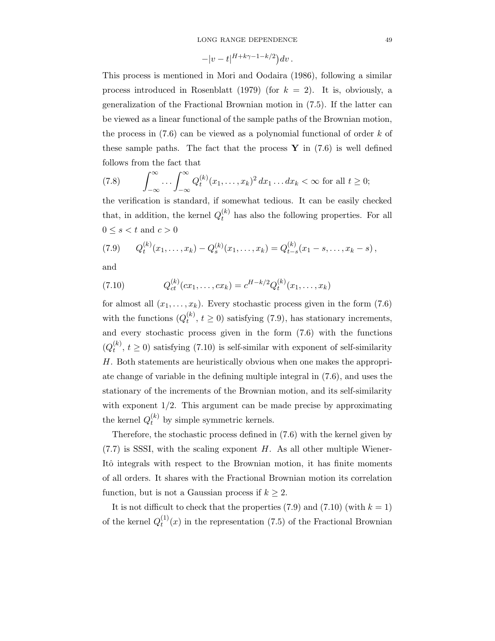$$
-|v-t|^{H+k\gamma-1-k/2}\big)dv.
$$

This process is mentioned in Mori and Oodaira (1986), following a similar process introduced in Rosenblatt (1979) (for  $k = 2$ ). It is, obviously, a generalization of the Fractional Brownian motion in (7.5). If the latter can be viewed as a linear functional of the sample paths of the Brownian motion, the process in  $(7.6)$  can be viewed as a polynomial functional of order k of these sample paths. The fact that the process  $\bf{Y}$  in (7.6) is well defined follows from the fact that

(7.8) 
$$
\int_{-\infty}^{\infty} \dots \int_{-\infty}^{\infty} Q_t^{(k)}(x_1, \dots, x_k)^2 dx_1 \dots dx_k < \infty \text{ for all } t \ge 0;
$$

the verification is standard, if somewhat tedious. It can be easily checked that, in addition, the kernel  $Q_t^{(k)}$  has also the following properties. For all  $0 \leq s < t$  and  $c > 0$ 

$$
(7.9) \qquad Q_t^{(k)}(x_1,\ldots,x_k) - Q_s^{(k)}(x_1,\ldots,x_k) = Q_{t-s}^{(k)}(x_1-s,\ldots,x_k-s)\,,
$$

and

(7.10) 
$$
Q_{ct}^{(k)}(cx_1,\ldots,cx_k) = c^{H-k/2}Q_t^{(k)}(x_1,\ldots,x_k)
$$

for almost all  $(x_1, \ldots, x_k)$ . Every stochastic process given in the form (7.6) with the functions  $(Q_t^{(k)})$  $t_t^{(k)}$ ,  $t \ge 0$ ) satisfying (7.9), has stationary increments, and every stochastic process given in the form (7.6) with the functions  $(Q_t^{(k)}$  $t_t^{(k)}$ ,  $t \ge 0$ ) satisfying (7.10) is self-similar with exponent of self-similarity H. Both statements are heuristically obvious when one makes the appropriate change of variable in the defining multiple integral in (7.6), and uses the stationary of the increments of the Brownian motion, and its self-similarity with exponent  $1/2$ . This argument can be made precise by approximating the kernel  $Q_t^{(k)}$  by simple symmetric kernels.

Therefore, the stochastic process defined in (7.6) with the kernel given by  $(7.7)$  is SSSI, with the scaling exponent H. As all other multiple Wiener-Itô integrals with respect to the Brownian motion, it has finite moments of all orders. It shares with the Fractional Brownian motion its correlation function, but is not a Gaussian process if  $k \geq 2$ .

It is not difficult to check that the properties  $(7.9)$  and  $(7.10)$  (with  $k = 1$ ) of the kernel  $Q_t^{(1)}$  $t^{(1)}(x)$  in the representation (7.5) of the Fractional Brownian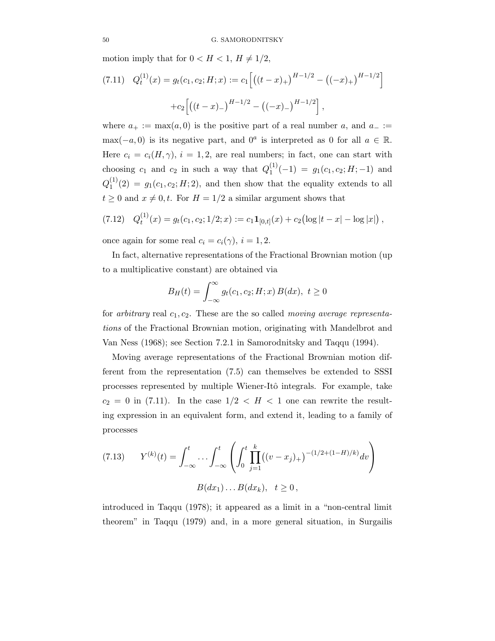motion imply that for  $0 < H < 1$ ,  $H \neq 1/2$ ,

(7.11) 
$$
Q_t^{(1)}(x) = g_t(c_1, c_2; H; x) := c_1 \left[ \left( (t - x)_+ \right)^{H - 1/2} - \left( (-x)_+ \right)^{H - 1/2} \right]
$$
  
  $+ c_2 \left[ \left( (t - x)_- \right)^{H - 1/2} - \left( (-x)_- \right)^{H - 1/2} \right],$ 

where  $a_+ := \max(a, 0)$  is the positive part of a real number a, and  $a_- :=$  $\max(-a, 0)$  is its negative part, and  $0^a$  is interpreted as 0 for all  $a \in \mathbb{R}$ . Here  $c_i = c_i(H,\gamma)$ ,  $i = 1,2$ , are real numbers; in fact, one can start with choosing  $c_1$  and  $c_2$  in such a way that  $Q_1^{(1)}$  $j_1^{(1)}(-1) = g_1(c_1, c_2; H; -1)$  and  $Q_1^{(1)}$  $1^{(1)}(2) = g_1(c_1, c_2; H; 2)$ , and then show that the equality extends to all  $t \geq 0$  and  $x \neq 0, t$ . For  $H = 1/2$  a similar argument shows that

$$
(7.12) \quad Q_t^{(1)}(x) = g_t(c_1, c_2; 1/2; x) := c_1 \mathbf{1}_{[0,t]}(x) + c_2 \bigl(\log|t-x| - \log|x|\bigr) \,,
$$

once again for some real  $c_i = c_i(\gamma)$ ,  $i = 1, 2$ .

In fact, alternative representations of the Fractional Brownian motion (up to a multiplicative constant) are obtained via

$$
B_H(t) = \int_{-\infty}^{\infty} g_t(c_1, c_2; H; x) B(dx), \ t \ge 0
$$

for arbitrary real  $c_1, c_2$ . These are the so called *moving average representa*tions of the Fractional Brownian motion, originating with Mandelbrot and Van Ness (1968); see Section 7.2.1 in Samorodnitsky and Taqqu (1994).

Moving average representations of the Fractional Brownian motion different from the representation (7.5) can themselves be extended to SSSI processes represented by multiple Wiener-Itô integrals. For example, take  $c_2 = 0$  in (7.11). In the case  $1/2 < H < 1$  one can rewrite the resulting expression in an equivalent form, and extend it, leading to a family of processes

(7.13) 
$$
Y^{(k)}(t) = \int_{-\infty}^{t} \cdots \int_{-\infty}^{t} \left( \int_{0}^{t} \prod_{j=1}^{k} ((v - x_j)_{+})^{-(1/2 + (1 - H)/k)} dv \right)
$$

$$
B(dx_1) \cdots B(dx_k), \quad t \ge 0,
$$

introduced in Taqqu (1978); it appeared as a limit in a "non-central limit theorem" in Taqqu (1979) and, in a more general situation, in Surgailis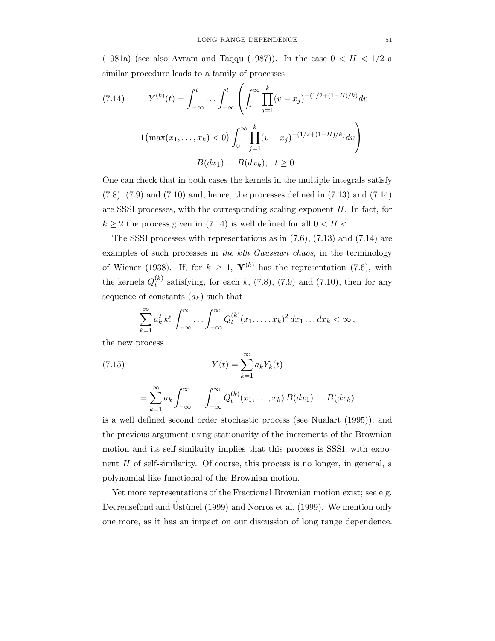(1981a) (see also Avram and Taqqu (1987)). In the case  $0 < H < 1/2$  a similar procedure leads to a family of processes

(7.14) 
$$
Y^{(k)}(t) = \int_{-\infty}^{t} \cdots \int_{-\infty}^{t} \left( \int_{t}^{\infty} \prod_{j=1}^{k} (v - x_{j})^{-(1/2 + (1 - H)/k)} dv \right. \\ - \mathbf{1} \left( \max(x_{1}, \ldots, x_{k}) < 0 \right) \int_{0}^{\infty} \prod_{j=1}^{k} (v - x_{j})^{-(1/2 + (1 - H)/k)} dv \\ B(dx_{1}) \cdots B(dx_{k}), \quad t \ge 0.
$$

One can check that in both cases the kernels in the multiple integrals satisfy  $(7.8)$ ,  $(7.9)$  and  $(7.10)$  and, hence, the processes defined in  $(7.13)$  and  $(7.14)$ are SSSI processes, with the corresponding scaling exponent  $H$ . In fact, for  $k \geq 2$  the process given in (7.14) is well defined for all  $0 < H < 1$ .

The SSSI processes with representations as in (7.6), (7.13) and (7.14) are examples of such processes in the kth Gaussian chaos, in the terminology of Wiener (1938). If, for  $k \geq 1$ ,  $\mathbf{Y}^{(k)}$  has the representation (7.6), with the kernels  $Q_t^{(k)}$  $t_t^{(k)}$  satisfying, for each k, (7.8), (7.9) and (7.10), then for any sequence of constants  $(a_k)$  such that

$$
\sum_{k=1}^{\infty} a_k^2 k! \int_{-\infty}^{\infty} \ldots \int_{-\infty}^{\infty} Q_t^{(k)} (x_1, \ldots, x_k)^2 dx_1 \ldots dx_k < \infty,
$$

the new process

(7.15) 
$$
Y(t) = \sum_{k=1}^{\infty} a_k Y_k(t)
$$

 $=\sum_{n=1}^{\infty}$  $k=1$  $a_k \int^{\infty}$ −∞  $\ldots \int^{\infty}$ −∞  $Q_t^{(k)}$  $t^{(k)}(x_1,...,x_k) B(dx_1)...B(dx_k)$ 

is a well defined second order stochastic process (see Nualart (1995)), and the previous argument using stationarity of the increments of the Brownian motion and its self-similarity implies that this process is SSSI, with exponent H of self-similarity. Of course, this process is no longer, in general, a polynomial-like functional of the Brownian motion.

Yet more representations of the Fractional Brownian motion exist; see e.g. Decreusefond and Üstünel (1999) and Norros et al. (1999). We mention only one more, as it has an impact on our discussion of long range dependence.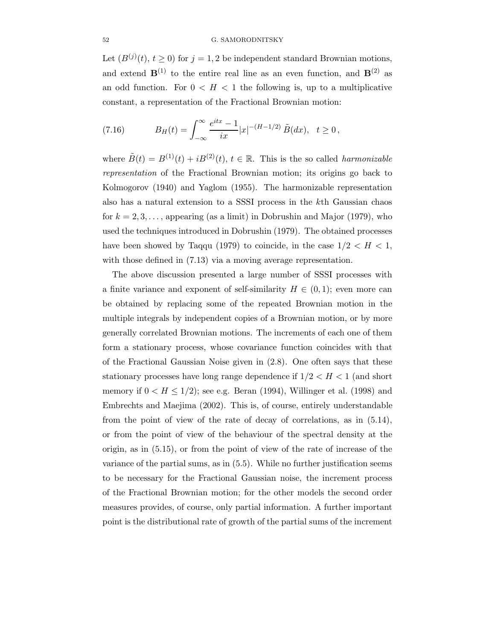## 52 G. SAMORODNITSKY

Let  $(B^{(j)}(t), t \ge 0)$  for  $j = 1, 2$  be independent standard Brownian motions, and extend  $\mathbf{B}^{(1)}$  to the entire real line as an even function, and  $\mathbf{B}^{(2)}$  as an odd function. For  $0 < H < 1$  the following is, up to a multiplicative constant, a representation of the Fractional Brownian motion:

(7.16) 
$$
B_H(t) = \int_{-\infty}^{\infty} \frac{e^{itx} - 1}{ix} |x|^{-(H-1/2)} \tilde{B}(dx), \quad t \ge 0,
$$

where  $\tilde{B}(t) = B^{(1)}(t) + iB^{(2)}(t), t \in \mathbb{R}$ . This is the so called *harmonizable* representation of the Fractional Brownian motion; its origins go back to Kolmogorov (1940) and Yaglom (1955). The harmonizable representation also has a natural extension to a SSSI process in the kth Gaussian chaos for  $k = 2, 3, \ldots$ , appearing (as a limit) in Dobrushin and Major (1979), who used the techniques introduced in Dobrushin (1979). The obtained processes have been showed by Taqqu (1979) to coincide, in the case  $1/2 < H < 1$ , with those defined in  $(7.13)$  via a moving average representation.

The above discussion presented a large number of SSSI processes with a finite variance and exponent of self-similarity  $H \in (0,1)$ ; even more can be obtained by replacing some of the repeated Brownian motion in the multiple integrals by independent copies of a Brownian motion, or by more generally correlated Brownian motions. The increments of each one of them form a stationary process, whose covariance function coincides with that of the Fractional Gaussian Noise given in (2.8). One often says that these stationary processes have long range dependence if  $1/2 < H < 1$  (and short memory if  $0 < H \leq 1/2$ ; see e.g. Beran (1994), Willinger et al. (1998) and Embrechts and Maejima (2002). This is, of course, entirely understandable from the point of view of the rate of decay of correlations, as in (5.14), or from the point of view of the behaviour of the spectral density at the origin, as in (5.15), or from the point of view of the rate of increase of the variance of the partial sums, as in (5.5). While no further justification seems to be necessary for the Fractional Gaussian noise, the increment process of the Fractional Brownian motion; for the other models the second order measures provides, of course, only partial information. A further important point is the distributional rate of growth of the partial sums of the increment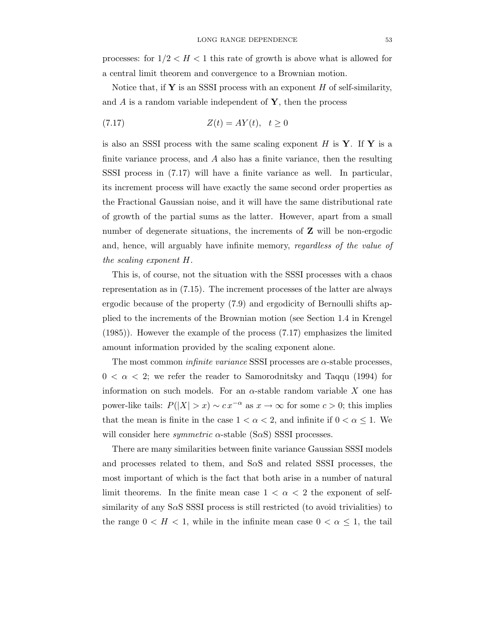processes: for  $1/2 < H < 1$  this rate of growth is above what is allowed for a central limit theorem and convergence to a Brownian motion.

Notice that, if  $Y$  is an SSSI process with an exponent  $H$  of self-similarity, and  $A$  is a random variable independent of  $\mathbf{Y}$ , then the process

$$
(7.17) \t\t Z(t) = AY(t), \quad t \ge 0
$$

is also an SSSI process with the same scaling exponent  $H$  is  $Y$ . If  $Y$  is a finite variance process, and  $A$  also has a finite variance, then the resulting SSSI process in (7.17) will have a finite variance as well. In particular, its increment process will have exactly the same second order properties as the Fractional Gaussian noise, and it will have the same distributional rate of growth of the partial sums as the latter. However, apart from a small number of degenerate situations, the increments of **Z** will be non-ergodic and, hence, will arguably have infinite memory, regardless of the value of the scaling exponent H.

This is, of course, not the situation with the SSSI processes with a chaos representation as in (7.15). The increment processes of the latter are always ergodic because of the property (7.9) and ergodicity of Bernoulli shifts applied to the increments of the Brownian motion (see Section 1.4 in Krengel (1985)). However the example of the process (7.17) emphasizes the limited amount information provided by the scaling exponent alone.

The most common *infinite variance* SSSI processes are  $\alpha$ -stable processes,  $0 < \alpha < 2$ ; we refer the reader to Samorodnitsky and Taqqu (1994) for information on such models. For an  $\alpha$ -stable random variable X one has power-like tails:  $P(|X| > x) \sim c x^{-\alpha}$  as  $x \to \infty$  for some  $c > 0$ ; this implies that the mean is finite in the case  $1 < \alpha < 2$ , and infinite if  $0 < \alpha \leq 1$ . We will consider here *symmetric*  $\alpha$ -stable (S $\alpha$ S) SSSI processes.

There are many similarities between finite variance Gaussian SSSI models and processes related to them, and  $S\alpha S$  and related SSSI processes, the most important of which is the fact that both arise in a number of natural limit theorems. In the finite mean case  $1 < \alpha < 2$  the exponent of selfsimilarity of any S $\alpha$ SSSI process is still restricted (to avoid trivialities) to the range  $0 < H < 1$ , while in the infinite mean case  $0 < \alpha \leq 1$ , the tail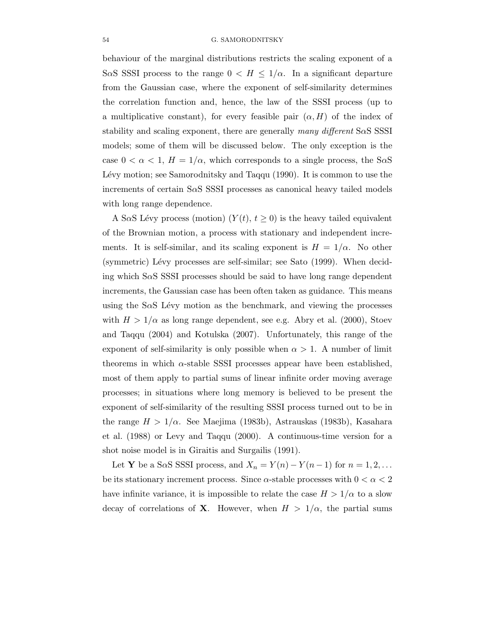behaviour of the marginal distributions restricts the scaling exponent of a SaS SSSI process to the range  $0 < H \leq 1/\alpha$ . In a significant departure from the Gaussian case, where the exponent of self-similarity determines the correlation function and, hence, the law of the SSSI process (up to a multiplicative constant), for every feasible pair  $(\alpha, H)$  of the index of stability and scaling exponent, there are generally many different  $S \alpha S S S S I$ models; some of them will be discussed below. The only exception is the case  $0 < \alpha < 1$ ,  $H = 1/\alpha$ , which corresponds to a single process, the S $\alpha$ S Lévy motion; see Samorodnitsky and Taqqu (1990). It is common to use the increments of certain SαS SSSI processes as canonical heavy tailed models with long range dependence.

A SaS Lévy process (motion)  $(Y(t), t \geq 0)$  is the heavy tailed equivalent of the Brownian motion, a process with stationary and independent increments. It is self-similar, and its scaling exponent is  $H = 1/\alpha$ . No other (symmetric) Lévy processes are self-similar; see Sato (1999). When deciding which SαS SSSI processes should be said to have long range dependent increments, the Gaussian case has been often taken as guidance. This means using the  $S\alpha S$  Lévy motion as the benchmark, and viewing the processes with  $H > 1/\alpha$  as long range dependent, see e.g. Abry et al. (2000), Stoev and Taqqu (2004) and Kotulska (2007). Unfortunately, this range of the exponent of self-similarity is only possible when  $\alpha > 1$ . A number of limit theorems in which  $\alpha$ -stable SSSI processes appear have been established, most of them apply to partial sums of linear infinite order moving average processes; in situations where long memory is believed to be present the exponent of self-similarity of the resulting SSSI process turned out to be in the range  $H > 1/\alpha$ . See Maejima (1983b), Astrauskas (1983b), Kasahara et al. (1988) or Levy and Taqqu (2000). A continuous-time version for a shot noise model is in Giraitis and Surgailis (1991).

Let **Y** be a S $\alpha$ S SSSI process, and  $X_n = Y(n) - Y(n-1)$  for  $n = 1, 2, \ldots$ be its stationary increment process. Since  $\alpha$ -stable processes with  $0 < \alpha < 2$ have infinite variance, it is impossible to relate the case  $H > 1/\alpha$  to a slow decay of correlations of **X**. However, when  $H > 1/\alpha$ , the partial sums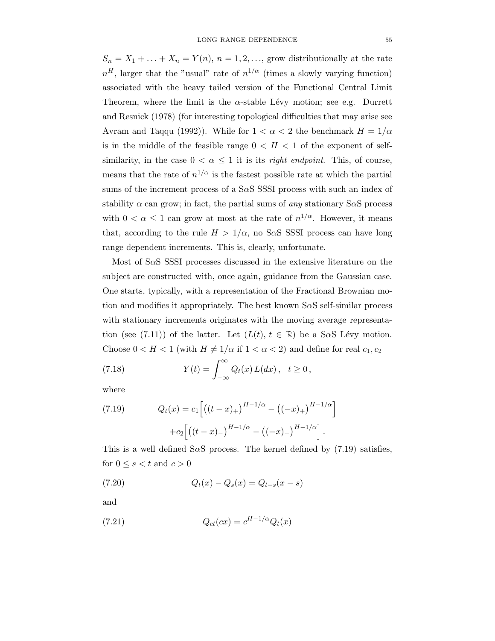$S_n = X_1 + \ldots + X_n = Y(n), n = 1, 2, \ldots$ , grow distributionally at the rate  $n<sup>H</sup>$ , larger that the "usual" rate of  $n<sup>1/\alpha</sup>$  (times a slowly varying function) associated with the heavy tailed version of the Functional Central Limit Theorem, where the limit is the  $\alpha$ -stable Lévy motion; see e.g. Durrett and Resnick (1978) (for interesting topological difficulties that may arise see Avram and Taqqu (1992)). While for  $1 < \alpha < 2$  the benchmark  $H = 1/\alpha$ is in the middle of the feasible range  $0 < H < 1$  of the exponent of selfsimilarity, in the case  $0 < \alpha \leq 1$  it is its *right endpoint*. This, of course, means that the rate of  $n^{1/\alpha}$  is the fastest possible rate at which the partial sums of the increment process of a SαS SSSI process with such an index of stability  $\alpha$  can grow; in fact, the partial sums of any stationary S $\alpha$ S process with  $0 < \alpha \leq 1$  can grow at most at the rate of  $n^{1/\alpha}$ . However, it means that, according to the rule  $H > 1/\alpha$ , no SaS SSSI process can have long range dependent increments. This is, clearly, unfortunate.

Most of SαS SSSI processes discussed in the extensive literature on the subject are constructed with, once again, guidance from the Gaussian case. One starts, typically, with a representation of the Fractional Brownian motion and modifies it appropriately. The best known  $S \alpha S$  self-similar process with stationary increments originates with the moving average representation (see (7.11)) of the latter. Let  $(L(t), t \in \mathbb{R})$  be a SaS Lévy motion. Choose  $0 < H < 1$  (with  $H \neq 1/\alpha$  if  $1 < \alpha < 2$ ) and define for real  $c_1, c_2$ 

(7.18) 
$$
Y(t) = \int_{-\infty}^{\infty} Q_t(x) L(dx), \quad t \ge 0,
$$

where

(7.19) 
$$
Q_t(x) = c_1 \left[ \left( (t-x)_+ \right)^{H-1/\alpha} - \left( (-x)_+ \right)^{H-1/\alpha} \right] + c_2 \left[ \left( (t-x)_- \right)^{H-1/\alpha} - \left( (-x)_- \right)^{H-1/\alpha} \right].
$$

This is a well defined S $\alpha$ S process. The kernel defined by (7.19) satisfies, for  $0 \leq s < t$  and  $c > 0$ 

(7.20) 
$$
Q_t(x) - Q_s(x) = Q_{t-s}(x-s)
$$

and

(7.21) 
$$
Q_{ct}(cx) = c^{H-1/\alpha} Q_t(x)
$$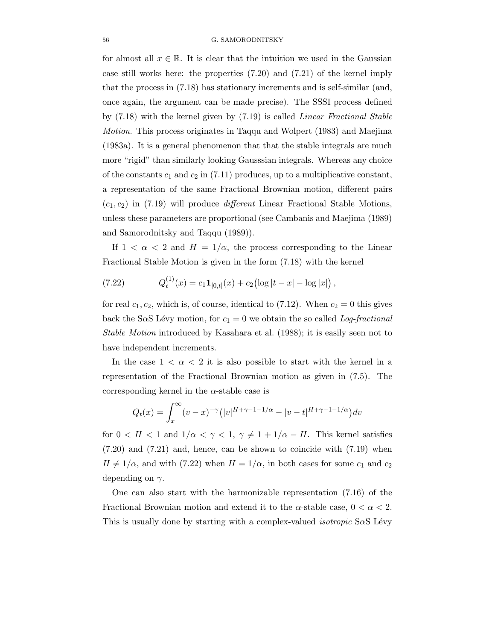for almost all  $x \in \mathbb{R}$ . It is clear that the intuition we used in the Gaussian case still works here: the properties (7.20) and (7.21) of the kernel imply that the process in (7.18) has stationary increments and is self-similar (and, once again, the argument can be made precise). The SSSI process defined by (7.18) with the kernel given by (7.19) is called Linear Fractional Stable Motion. This process originates in Taqqu and Wolpert (1983) and Maejima (1983a). It is a general phenomenon that that the stable integrals are much more "rigid" than similarly looking Gausssian integrals. Whereas any choice of the constants  $c_1$  and  $c_2$  in (7.11) produces, up to a multiplicative constant, a representation of the same Fractional Brownian motion, different pairs  $(c_1, c_2)$  in (7.19) will produce *different* Linear Fractional Stable Motions, unless these parameters are proportional (see Cambanis and Maejima (1989) and Samorodnitsky and Taqqu (1989)).

If  $1 < \alpha < 2$  and  $H = 1/\alpha$ , the process corresponding to the Linear Fractional Stable Motion is given in the form (7.18) with the kernel

(7.22) 
$$
Q_t^{(1)}(x) = c_1 \mathbf{1}_{[0,t]}(x) + c_2 \left( \log |t-x| - \log |x| \right),
$$

for real  $c_1, c_2$ , which is, of course, identical to (7.12). When  $c_2 = 0$  this gives back the SaS Lévy motion, for  $c_1 = 0$  we obtain the so called Log-fractional Stable Motion introduced by Kasahara et al. (1988); it is easily seen not to have independent increments.

In the case  $1 < \alpha < 2$  it is also possible to start with the kernel in a representation of the Fractional Brownian motion as given in (7.5). The corresponding kernel in the  $\alpha$ -stable case is

$$
Q_t(x) = \int_x^{\infty} (v - x)^{-\gamma} (|v|^{H + \gamma - 1 - 1/\alpha} - |v - t|^{H + \gamma - 1 - 1/\alpha}) dv
$$

for  $0 < H < 1$  and  $1/\alpha < \gamma < 1$ ,  $\gamma \neq 1 + 1/\alpha - H$ . This kernel satisfies (7.20) and (7.21) and, hence, can be shown to coincide with (7.19) when  $H \neq 1/\alpha$ , and with (7.22) when  $H = 1/\alpha$ , in both cases for some  $c_1$  and  $c_2$ depending on  $\gamma$ .

One can also start with the harmonizable representation (7.16) of the Fractional Brownian motion and extend it to the  $\alpha$ -stable case,  $0 < \alpha < 2$ . This is usually done by starting with a complex-valued *isotropic* S $\alpha$ S Lévy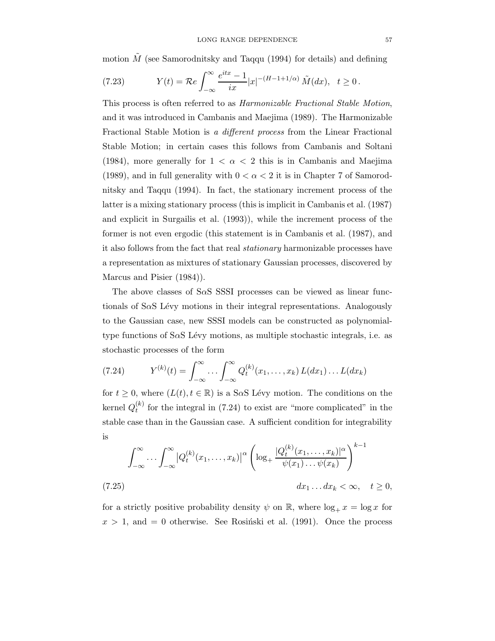motion  $\tilde{M}$  (see Samorodnitsky and Taqqu (1994) for details) and defining

(7.23) 
$$
Y(t) = \mathcal{R}e \int_{-\infty}^{\infty} \frac{e^{itx} - 1}{ix} |x|^{-(H - 1 + 1/\alpha)} \tilde{M}(dx), \quad t \ge 0.
$$

This process is often referred to as Harmonizable Fractional Stable Motion, and it was introduced in Cambanis and Maejima (1989). The Harmonizable Fractional Stable Motion is a different process from the Linear Fractional Stable Motion; in certain cases this follows from Cambanis and Soltani (1984), more generally for  $1 < \alpha < 2$  this is in Cambanis and Maejima (1989), and in full generality with  $0 < \alpha < 2$  it is in Chapter 7 of Samorodnitsky and Taqqu (1994). In fact, the stationary increment process of the latter is a mixing stationary process (this is implicit in Cambanis et al. (1987) and explicit in Surgailis et al. (1993)), while the increment process of the former is not even ergodic (this statement is in Cambanis et al. (1987), and it also follows from the fact that real stationary harmonizable processes have a representation as mixtures of stationary Gaussian processes, discovered by Marcus and Pisier (1984)).

The above classes of SαS SSSI processes can be viewed as linear functionals of S $\alpha$ S Lévy motions in their integral representations. Analogously to the Gaussian case, new SSSI models can be constructed as polynomialtype functions of  $S\alpha S$  Lévy motions, as multiple stochastic integrals, i.e. as stochastic processes of the form

(7.24) 
$$
Y^{(k)}(t) = \int_{-\infty}^{\infty} \dots \int_{-\infty}^{\infty} Q_t^{(k)}(x_1, \dots, x_k) L(dx_1) \dots L(dx_k)
$$

for  $t \geq 0$ , where  $(L(t), t \in \mathbb{R})$  is a SaS Lévy motion. The conditions on the kernel  $Q_t^{(k)}$  $t_t^{(k)}$  for the integral in (7.24) to exist are "more complicated" in the stable case than in the Gaussian case. A sufficient condition for integrability is

$$
\int_{-\infty}^{\infty} \cdots \int_{-\infty}^{\infty} \left| Q_t^{(k)}(x_1, \ldots, x_k) \right|^{\alpha} \left( \log_+ \frac{|Q_t^{(k)}(x_1, \ldots, x_k)|^{\alpha}}{\psi(x_1) \ldots \psi(x_k)} \right)^{k-1}
$$
\n
$$
(7.25)
$$
\n
$$
dx_1 \ldots dx_k < \infty, \quad t \ge 0,
$$

for a strictly positive probability density  $\psi$  on  $\mathbb{R}$ , where  $\log_+ x = \log x$  for  $x > 1$ , and  $= 0$  otherwise. See Rosinski et al. (1991). Once the process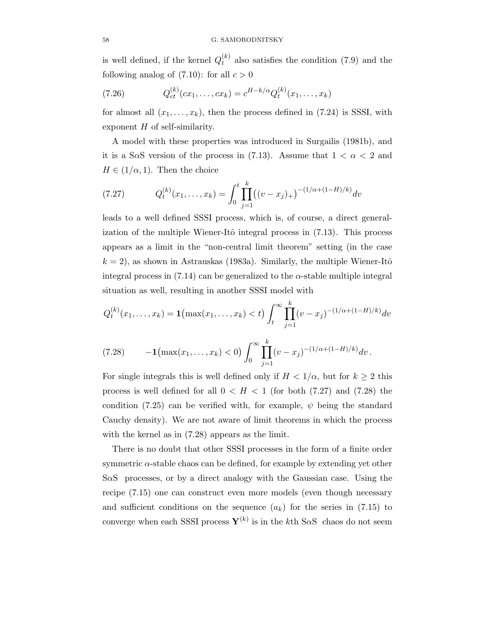is well defined, if the kernel  $Q_t^{(k)}$  $t_t^{(k)}$  also satisfies the condition (7.9) and the following analog of  $(7.10)$ : for all  $c > 0$ 

(7.26) 
$$
Q_{ct}^{(k)}(cx_1,\ldots,cx_k) = c^{H-k/\alpha}Q_t^{(k)}(x_1,\ldots,x_k)
$$

for almost all  $(x_1,...,x_k)$ , then the process defined in (7.24) is SSSI, with exponent  $H$  of self-similarity.

A model with these properties was introduced in Surgailis (1981b), and it is a S $\alpha$ S version of the process in (7.13). Assume that  $1 < \alpha < 2$  and  $H \in (1/\alpha, 1)$ . Then the choice

(7.27) 
$$
Q_t^{(k)}(x_1,\ldots,x_k) = \int_0^t \prod_{j=1}^k ((v-x_j)_+)^{-(1/\alpha+(1-H)/k)} dv
$$

leads to a well defined SSSI process, which is, of course, a direct generalization of the multiple Wiener-Itô integral process in  $(7.13)$ . This process appears as a limit in the "non-central limit theorem" setting (in the case  $k = 2$ , as shown in Astrauskas (1983a). Similarly, the multiple Wiener-Itô integral process in  $(7.14)$  can be generalized to the  $\alpha$ -stable multiple integral situation as well, resulting in another SSSI model with

$$
Q_t^{(k)}(x_1, \dots, x_k) = \mathbf{1} \left( \max(x_1, \dots, x_k) < t \right) \int_t^\infty \prod_{j=1}^k (v - x_j)^{-(1/\alpha + (1 - H)/k)} dv
$$
\n
$$
(7.28) \qquad -\mathbf{1} \left( \max(x_1, \dots, x_k) < 0 \right) \int_0^\infty \prod_{j=1}^k (v - x_j)^{-(1/\alpha + (1 - H)/k)} dv \, .
$$

For single integrals this is well defined only if  $H < 1/\alpha$ , but for  $k \geq 2$  this process is well defined for all  $0 < H < 1$  (for both (7.27) and (7.28) the condition (7.25) can be verified with, for example,  $\psi$  being the standard Cauchy density). We are not aware of limit theorems in which the process with the kernel as in (7.28) appears as the limit.

There is no doubt that other SSSI processes in the form of a finite order symmetric α-stable chaos can be defined, for example by extending yet other SaS processes, or by a direct analogy with the Gaussian case. Using the recipe (7.15) one can construct even more models (even though necessary and sufficient conditions on the sequence  $(a_k)$  for the series in (7.15) to converge when each SSSI process  $Y^{(k)}$  is in the k<sup>th</sup> SaS chaos do not seem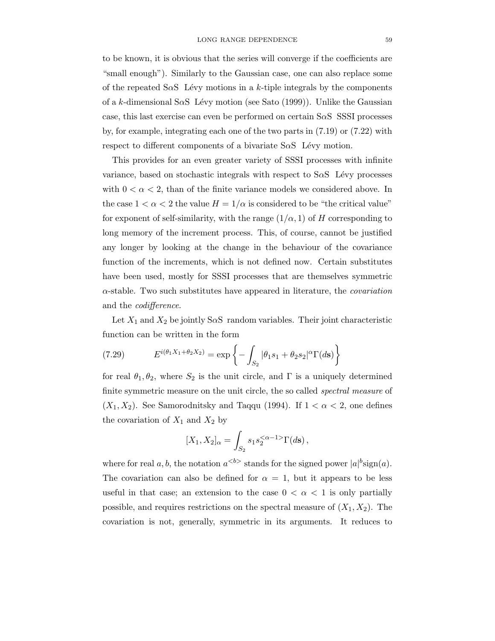to be known, it is obvious that the series will converge if the coefficients are "small enough"). Similarly to the Gaussian case, one can also replace some of the repeated S $\alpha$ S Lévy motions in a k-tiple integrals by the components of a k-dimensional S $\alpha$ S Lévy motion (see Sato (1999)). Unlike the Gaussian case, this last exercise can even be performed on certain SαS SSSI processes by, for example, integrating each one of the two parts in (7.19) or (7.22) with respect to different components of a bivariate  $S \alpha S$  Lévy motion.

This provides for an even greater variety of SSSI processes with infinite variance, based on stochastic integrals with respect to  $S\alpha S$  Lévy processes with  $0 < \alpha < 2$ , than of the finite variance models we considered above. In the case  $1 < \alpha < 2$  the value  $H = 1/\alpha$  is considered to be "the critical value" for exponent of self-similarity, with the range  $(1/\alpha, 1)$  of H corresponding to long memory of the increment process. This, of course, cannot be justified any longer by looking at the change in the behaviour of the covariance function of the increments, which is not defined now. Certain substitutes have been used, mostly for SSSI processes that are themselves symmetric  $\alpha$ -stable. Two such substitutes have appeared in literature, the *covariation* and the codifference.

Let  $X_1$  and  $X_2$  be jointly S $\alpha$ S random variables. Their joint characteristic function can be written in the form

(7.29) 
$$
E^{i(\theta_1 X_1 + \theta_2 X_2)} = \exp \left\{-\int_{S_2} |\theta_1 s_1 + \theta_2 s_2|^{\alpha} \Gamma(d\mathbf{s})\right\}
$$

for real  $\theta_1, \theta_2$ , where  $S_2$  is the unit circle, and  $\Gamma$  is a uniquely determined finite symmetric measure on the unit circle, the so called spectral measure of  $(X_1, X_2)$ . See Samorodnitsky and Taqqu (1994). If  $1 < \alpha < 2$ , one defines the covariation of  $X_1$  and  $X_2$  by

$$
[X_1, X_2]_{\alpha} = \int_{S_2} s_1 s_2^{<\alpha-1>} \Gamma(d\mathbf{s}),
$$

where for real  $a, b$ , the notation  $a^{**}**$  stands for the signed power  $|a|^b$ sign $(a)$ . The covariation can also be defined for  $\alpha = 1$ , but it appears to be less useful in that case; an extension to the case  $0 < \alpha < 1$  is only partially possible, and requires restrictions on the spectral measure of  $(X_1, X_2)$ . The covariation is not, generally, symmetric in its arguments. It reduces to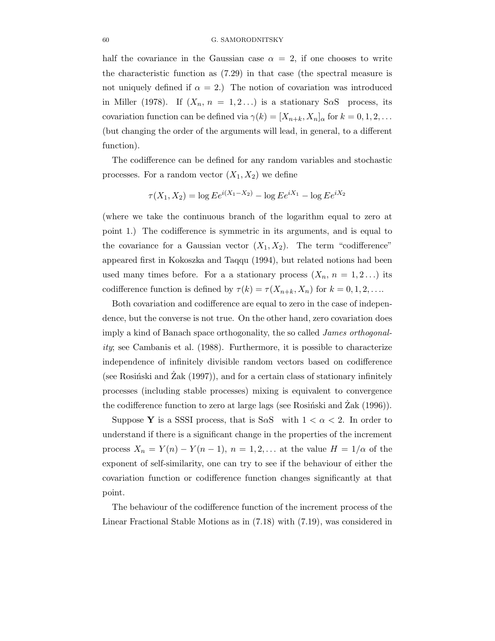## 60 G. SAMORODNITSKY

half the covariance in the Gaussian case  $\alpha = 2$ , if one chooses to write the characteristic function as (7.29) in that case (the spectral measure is not uniquely defined if  $\alpha = 2$ .) The notion of covariation was introduced in Miller (1978). If  $(X_n, n = 1, 2...)$  is a stationary S $\alpha$ S process, its covariation function can be defined via  $\gamma(k) = [X_{n+k}, X_n]_{\alpha}$  for  $k = 0, 1, 2, \ldots$ (but changing the order of the arguments will lead, in general, to a different function).

The codifference can be defined for any random variables and stochastic processes. For a random vector  $(X_1, X_2)$  we define

$$
\tau(X_1, X_2) = \log E e^{i(X_1 - X_2)} - \log E e^{iX_1} - \log E e^{iX_2}
$$

(where we take the continuous branch of the logarithm equal to zero at point 1.) The codifference is symmetric in its arguments, and is equal to the covariance for a Gaussian vector  $(X_1, X_2)$ . The term "codifference" appeared first in Kokoszka and Taqqu (1994), but related notions had been used many times before. For a a stationary process  $(X_n, n = 1, 2...)$  its codifference function is defined by  $\tau(k) = \tau(X_{n+k}, X_n)$  for  $k = 0, 1, 2, \ldots$ .

Both covariation and codifference are equal to zero in the case of independence, but the converse is not true. On the other hand, zero covariation does imply a kind of Banach space orthogonality, the so called James orthogonality; see Cambanis et al. (1988). Furthermore, it is possible to characterize independence of infinitely divisible random vectors based on codifference (see Rosiński and Zak  $(1997)$ ), and for a certain class of stationary infinitely processes (including stable processes) mixing is equivalent to convergence the codifference function to zero at large lags (see Rosiński and Zak  $(1996)$ ).

Suppose Y is a SSSI process, that is S $\alpha$ S with  $1 < \alpha < 2$ . In order to understand if there is a significant change in the properties of the increment process  $X_n = Y(n) - Y(n-1)$ ,  $n = 1, 2, \dots$  at the value  $H = 1/\alpha$  of the exponent of self-similarity, one can try to see if the behaviour of either the covariation function or codifference function changes significantly at that point.

The behaviour of the codifference function of the increment process of the Linear Fractional Stable Motions as in (7.18) with (7.19), was considered in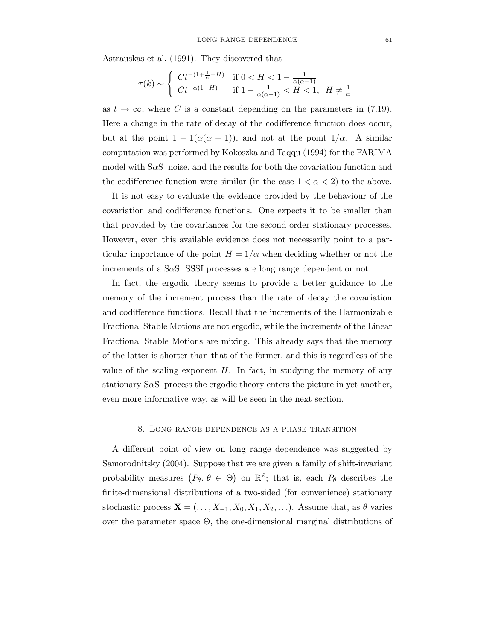Astrauskas et al. (1991). They discovered that

$$
\tau(k) \sim \begin{cases} Ct^{-(1+\frac{1}{\alpha}-H)} & \text{if } 0 < H < 1 - \frac{1}{\alpha(\alpha-1)} \\ Ct^{-\alpha(1-H)} & \text{if } 1 - \frac{1}{\alpha(\alpha-1)} < H < 1, \ H \neq \frac{1}{\alpha} \end{cases}
$$

as  $t \to \infty$ , where C is a constant depending on the parameters in (7.19). Here a change in the rate of decay of the codifference function does occur, but at the point  $1 - 1(\alpha(\alpha - 1))$ , and not at the point  $1/\alpha$ . A similar computation was performed by Kokoszka and Taqqu (1994) for the FARIMA model with S $\alpha$ S noise, and the results for both the covariation function and the codifference function were similar (in the case  $1 < \alpha < 2$ ) to the above.

It is not easy to evaluate the evidence provided by the behaviour of the covariation and codifference functions. One expects it to be smaller than that provided by the covariances for the second order stationary processes. However, even this available evidence does not necessarily point to a particular importance of the point  $H = 1/\alpha$  when deciding whether or not the increments of a SαS SSSI processes are long range dependent or not.

In fact, the ergodic theory seems to provide a better guidance to the memory of the increment process than the rate of decay the covariation and codifference functions. Recall that the increments of the Harmonizable Fractional Stable Motions are not ergodic, while the increments of the Linear Fractional Stable Motions are mixing. This already says that the memory of the latter is shorter than that of the former, and this is regardless of the value of the scaling exponent  $H$ . In fact, in studying the memory of any stationary  $S \alpha S$  process the ergodic theory enters the picture in yet another, even more informative way, as will be seen in the next section.

## 8. Long range dependence as a phase transition

A different point of view on long range dependence was suggested by Samorodnitsky (2004). Suppose that we are given a family of shift-invariant probability measures  $(P_{\theta}, \theta \in \Theta)$  on  $\mathbb{R}^{\mathbb{Z}}$ ; that is, each  $P_{\theta}$  describes the finite-dimensional distributions of a two-sided (for convenience) stationary stochastic process  $\mathbf{X} = (\ldots, X_{-1}, X_0, X_1, X_2, \ldots)$ . Assume that, as  $\theta$  varies over the parameter space Θ, the one-dimensional marginal distributions of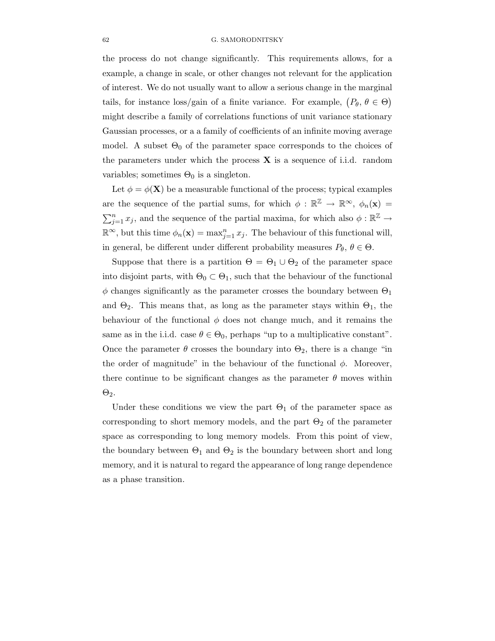## 62 G. SAMORODNITSKY

the process do not change significantly. This requirements allows, for a example, a change in scale, or other changes not relevant for the application of interest. We do not usually want to allow a serious change in the marginal tails, for instance loss/gain of a finite variance. For example,  $(P_{\theta}, \theta \in \Theta)$ might describe a family of correlations functions of unit variance stationary Gaussian processes, or a a family of coefficients of an infinite moving average model. A subset  $\Theta_0$  of the parameter space corresponds to the choices of the parameters under which the process  $X$  is a sequence of i.i.d. random variables; sometimes  $\Theta_0$  is a singleton.

Let  $\phi = \phi(\mathbf{X})$  be a measurable functional of the process; typical examples are the sequence of the partial sums, for which  $\phi : \mathbb{R}^{\mathbb{Z}} \to \mathbb{R}^{\infty}$ ,  $\phi_n(\mathbf{x}) =$  $\sum_{j=1}^{n} x_j$ , and the sequence of the partial maxima, for which also  $\phi : \mathbb{R}^{\mathbb{Z}} \to$  $\mathbb{R}^{\infty}$ , but this time  $\phi_n(\mathbf{x}) = \max_{j=1}^n x_j$ . The behaviour of this functional will, in general, be different under different probability measures  $P_{\theta}$ ,  $\theta \in \Theta$ .

Suppose that there is a partition  $\Theta = \Theta_1 \cup \Theta_2$  of the parameter space into disjoint parts, with  $\Theta_0 \subset \Theta_1$ , such that the behaviour of the functional  $\phi$  changes significantly as the parameter crosses the boundary between  $\Theta_1$ and  $\Theta_2$ . This means that, as long as the parameter stays within  $\Theta_1$ , the behaviour of the functional  $\phi$  does not change much, and it remains the same as in the i.i.d. case  $\theta \in \Theta_0$ , perhaps "up to a multiplicative constant". Once the parameter  $\theta$  crosses the boundary into  $\Theta_2$ , there is a change "in the order of magnitude" in the behaviour of the functional  $\phi$ . Moreover, there continue to be significant changes as the parameter  $\theta$  moves within  $\Theta_2$ .

Under these conditions we view the part  $\Theta_1$  of the parameter space as corresponding to short memory models, and the part  $\Theta_2$  of the parameter space as corresponding to long memory models. From this point of view, the boundary between  $\Theta_1$  and  $\Theta_2$  is the boundary between short and long memory, and it is natural to regard the appearance of long range dependence as a phase transition.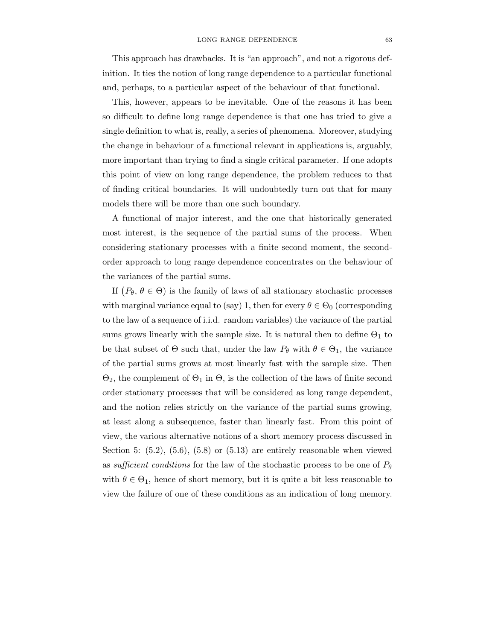This approach has drawbacks. It is "an approach", and not a rigorous definition. It ties the notion of long range dependence to a particular functional and, perhaps, to a particular aspect of the behaviour of that functional.

This, however, appears to be inevitable. One of the reasons it has been so difficult to define long range dependence is that one has tried to give a single definition to what is, really, a series of phenomena. Moreover, studying the change in behaviour of a functional relevant in applications is, arguably, more important than trying to find a single critical parameter. If one adopts this point of view on long range dependence, the problem reduces to that of finding critical boundaries. It will undoubtedly turn out that for many models there will be more than one such boundary.

A functional of major interest, and the one that historically generated most interest, is the sequence of the partial sums of the process. When considering stationary processes with a finite second moment, the secondorder approach to long range dependence concentrates on the behaviour of the variances of the partial sums.

If  $(P_{\theta}, \theta \in \Theta)$  is the family of laws of all stationary stochastic processes with marginal variance equal to (say) 1, then for every  $\theta \in \Theta_0$  (corresponding to the law of a sequence of i.i.d. random variables) the variance of the partial sums grows linearly with the sample size. It is natural then to define  $\Theta_1$  to be that subset of  $\Theta$  such that, under the law  $P_{\theta}$  with  $\theta \in \Theta_1$ , the variance of the partial sums grows at most linearly fast with the sample size. Then  $\Theta_2$ , the complement of  $\Theta_1$  in  $\Theta$ , is the collection of the laws of finite second order stationary processes that will be considered as long range dependent, and the notion relies strictly on the variance of the partial sums growing, at least along a subsequence, faster than linearly fast. From this point of view, the various alternative notions of a short memory process discussed in Section 5:  $(5.2)$ ,  $(5.6)$ ,  $(5.8)$  or  $(5.13)$  are entirely reasonable when viewed as sufficient conditions for the law of the stochastic process to be one of  $P_{\theta}$ with  $\theta \in \Theta_1$ , hence of short memory, but it is quite a bit less reasonable to view the failure of one of these conditions as an indication of long memory.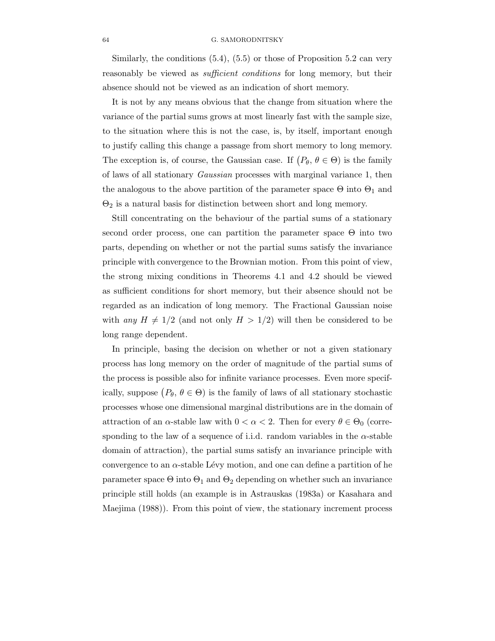## 64 G. SAMORODNITSKY

Similarly, the conditions  $(5.4)$ ,  $(5.5)$  or those of Proposition 5.2 can very reasonably be viewed as *sufficient conditions* for long memory, but their absence should not be viewed as an indication of short memory.

It is not by any means obvious that the change from situation where the variance of the partial sums grows at most linearly fast with the sample size, to the situation where this is not the case, is, by itself, important enough to justify calling this change a passage from short memory to long memory. The exception is, of course, the Gaussian case. If  $(P_{\theta}, \theta \in \Theta)$  is the family of laws of all stationary Gaussian processes with marginal variance 1, then the analogous to the above partition of the parameter space  $\Theta$  into  $\Theta_1$  and  $\Theta_2$  is a natural basis for distinction between short and long memory.

Still concentrating on the behaviour of the partial sums of a stationary second order process, one can partition the parameter space Θ into two parts, depending on whether or not the partial sums satisfy the invariance principle with convergence to the Brownian motion. From this point of view, the strong mixing conditions in Theorems 4.1 and 4.2 should be viewed as sufficient conditions for short memory, but their absence should not be regarded as an indication of long memory. The Fractional Gaussian noise with any  $H \neq 1/2$  (and not only  $H > 1/2$ ) will then be considered to be long range dependent.

In principle, basing the decision on whether or not a given stationary process has long memory on the order of magnitude of the partial sums of the process is possible also for infinite variance processes. Even more specifically, suppose  $(P_{\theta}, \theta \in \Theta)$  is the family of laws of all stationary stochastic processes whose one dimensional marginal distributions are in the domain of attraction of an  $\alpha$ -stable law with  $0 < \alpha < 2$ . Then for every  $\theta \in \Theta_0$  (corresponding to the law of a sequence of i.i.d. random variables in the  $\alpha$ -stable domain of attraction), the partial sums satisfy an invariance principle with convergence to an  $\alpha$ -stable Lévy motion, and one can define a partition of he parameter space  $\Theta$  into  $\Theta_1$  and  $\Theta_2$  depending on whether such an invariance principle still holds (an example is in Astrauskas (1983a) or Kasahara and Maejima (1988)). From this point of view, the stationary increment process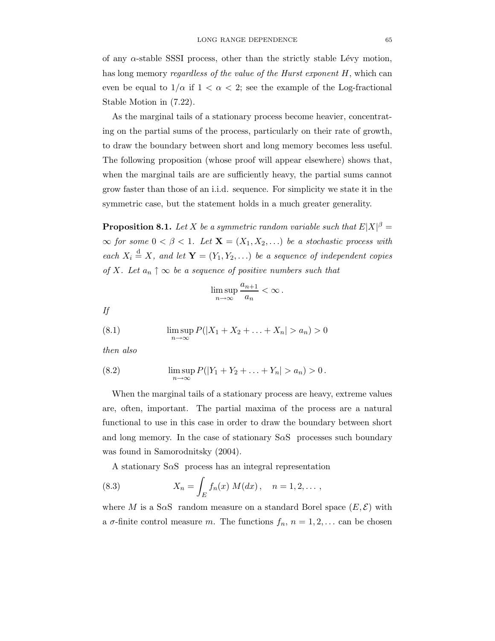of any  $\alpha$ -stable SSSI process, other than the strictly stable Lévy motion, has long memory *regardless of the value of the Hurst exponent H*, which can even be equal to  $1/\alpha$  if  $1 < \alpha < 2$ ; see the example of the Log-fractional Stable Motion in (7.22).

As the marginal tails of a stationary process become heavier, concentrating on the partial sums of the process, particularly on their rate of growth, to draw the boundary between short and long memory becomes less useful. The following proposition (whose proof will appear elsewhere) shows that, when the marginal tails are are sufficiently heavy, the partial sums cannot grow faster than those of an i.i.d. sequence. For simplicity we state it in the symmetric case, but the statement holds in a much greater generality.

**Proposition 8.1.** Let X be a symmetric random variable such that  $E|X|^{\beta} =$  $\infty$  for some  $0 < \beta < 1$ . Let  $\mathbf{X} = (X_1, X_2, ...)$  be a stochastic process with each  $X_i \stackrel{d}{=} X$ , and let  $\mathbf{Y} = (Y_1, Y_2, \ldots)$  be a sequence of independent copies of X. Let  $a_n \uparrow \infty$  be a sequence of positive numbers such that

$$
\limsup_{n\to\infty}\frac{a_{n+1}}{a_n}<\infty\,.
$$

If

(8.1) 
$$
\limsup_{n \to \infty} P(|X_1 + X_2 + \ldots + X_n| > a_n) > 0
$$

then also

(8.2) 
$$
\limsup_{n \to \infty} P(|Y_1 + Y_2 + \ldots + Y_n| > a_n) > 0.
$$

When the marginal tails of a stationary process are heavy, extreme values are, often, important. The partial maxima of the process are a natural functional to use in this case in order to draw the boundary between short and long memory. In the case of stationary  $S \alpha S$  processes such boundary was found in Samorodnitsky (2004).

A stationary  $S\alpha S$  process has an integral representation

(8.3) 
$$
X_n = \int_E f_n(x) M(dx), \quad n = 1, 2, \dots,
$$

where M is a S $\alpha$ S random measure on a standard Borel space  $(E, \mathcal{E})$  with a  $\sigma$ -finite control measure m. The functions  $f_n$ ,  $n = 1, 2, \ldots$  can be chosen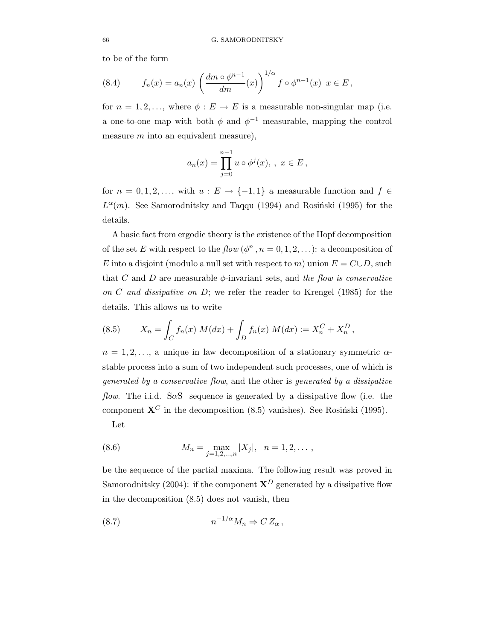to be of the form

(8.4) 
$$
f_n(x) = a_n(x) \left( \frac{dm \circ \phi^{n-1}}{dm}(x) \right)^{1/\alpha} f \circ \phi^{n-1}(x) \ \ x \in E,
$$

for  $n = 1, 2, \ldots$ , where  $\phi : E \to E$  is a measurable non-singular map (i.e. a one-to-one map with both  $\phi$  and  $\phi^{-1}$  measurable, mapping the control measure  $m$  into an equivalent measure),

$$
a_n(x) = \prod_{j=0}^{n-1} u \circ \phi^j(x), \, , \, x \in E \, ,
$$

for  $n = 0, 1, 2, \ldots$ , with  $u : E \to \{-1, 1\}$  a measurable function and  $f \in$  $L^{\alpha}(m)$ . See Samorodnitsky and Taqqu (1994) and Rosiński (1995) for the details.

A basic fact from ergodic theory is the existence of the Hopf decomposition of the set E with respect to the  $flow(\phi^n, n = 0, 1, 2, ...)$ : a decomposition of E into a disjoint (modulo a null set with respect to m) union  $E = C \cup D$ , such that C and D are measurable  $\phi$ -invariant sets, and the flow is conservative on C and dissipative on  $D$ ; we refer the reader to Krengel (1985) for the details. This allows us to write

(8.5) 
$$
X_n = \int_C f_n(x) M(dx) + \int_D f_n(x) M(dx) := X_n^C + X_n^D,
$$

 $n = 1, 2, \ldots$ , a unique in law decomposition of a stationary symmetric  $\alpha$ stable process into a sum of two independent such processes, one of which is generated by a conservative flow, and the other is generated by a dissipative flow. The i.i.d. SaS sequence is generated by a dissipative flow (i.e. the component  $X^C$  in the decomposition (8.5) vanishes). See Rosinski (1995). Let

(8.6) 
$$
M_n = \max_{j=1,2,...,n} |X_j|, \quad n = 1,2,...,
$$

be the sequence of the partial maxima. The following result was proved in Samorodnitsky (2004): if the component  $X^D$  generated by a dissipative flow in the decomposition (8.5) does not vanish, then

$$
(8.7) \t\t\t n^{-1/\alpha} M_n \Rightarrow C Z_\alpha \,,
$$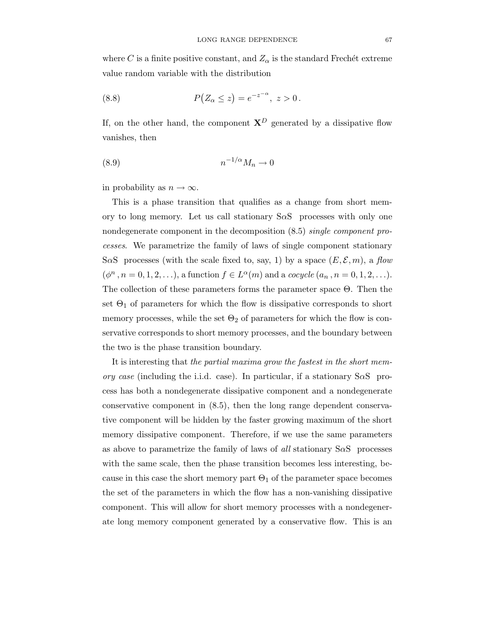where C is a finite positive constant, and  $Z_{\alpha}$  is the standard Frechét extreme value random variable with the distribution

(8.8) 
$$
P(Z_{\alpha} \leq z) = e^{-z^{-\alpha}}, \ z > 0.
$$

If, on the other hand, the component  $X^D$  generated by a dissipative flow vanishes, then

$$
(8.9) \t\t\t n^{-1/\alpha} M_n \to 0
$$

in probability as  $n \to \infty$ .

This is a phase transition that qualifies as a change from short memory to long memory. Let us call stationary  $S \alpha S$  processes with only one nondegenerate component in the decomposition (8.5) single component processes. We parametrize the family of laws of single component stationary SaS processes (with the scale fixed to, say, 1) by a space  $(E, \mathcal{E}, m)$ , a flow  $(\phi^n, n = 0, 1, 2, ...),$  a function  $f \in L^{\alpha}(m)$  and a *cocycle*  $(a_n, n = 0, 1, 2, ...).$ The collection of these parameters forms the parameter space Θ. Then the set  $\Theta_1$  of parameters for which the flow is dissipative corresponds to short memory processes, while the set  $\Theta_2$  of parameters for which the flow is conservative corresponds to short memory processes, and the boundary between the two is the phase transition boundary.

It is interesting that the partial maxima grow the fastest in the short memory case (including the i.i.d. case). In particular, if a stationary  $S\alpha S$  process has both a nondegenerate dissipative component and a nondegenerate conservative component in (8.5), then the long range dependent conservative component will be hidden by the faster growing maximum of the short memory dissipative component. Therefore, if we use the same parameters as above to parametrize the family of laws of all stationary SαS processes with the same scale, then the phase transition becomes less interesting, because in this case the short memory part  $\Theta_1$  of the parameter space becomes the set of the parameters in which the flow has a non-vanishing dissipative component. This will allow for short memory processes with a nondegenerate long memory component generated by a conservative flow. This is an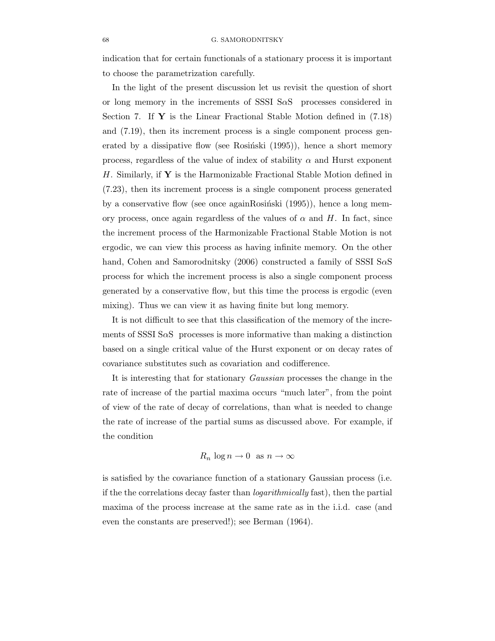indication that for certain functionals of a stationary process it is important to choose the parametrization carefully.

In the light of the present discussion let us revisit the question of short or long memory in the increments of SSSI  $S \alpha S$  processes considered in Section 7. If  $\mathbf{Y}$  is the Linear Fractional Stable Motion defined in (7.18) and (7.19), then its increment process is a single component process generated by a dissipative flow (see Rosiński  $(1995)$ ), hence a short memory process, regardless of the value of index of stability  $\alpha$  and Hurst exponent H. Similarly, if  $\mathbf Y$  is the Harmonizable Fractional Stable Motion defined in (7.23), then its increment process is a single component process generated by a conservative flow (see once againRosinski  $(1995)$ ), hence a long memory process, once again regardless of the values of  $\alpha$  and H. In fact, since the increment process of the Harmonizable Fractional Stable Motion is not ergodic, we can view this process as having infinite memory. On the other hand, Cohen and Samorodnitsky (2006) constructed a family of SSSI SαS process for which the increment process is also a single component process generated by a conservative flow, but this time the process is ergodic (even mixing). Thus we can view it as having finite but long memory.

It is not difficult to see that this classification of the memory of the increments of SSSI S $\alpha$ S processes is more informative than making a distinction based on a single critical value of the Hurst exponent or on decay rates of covariance substitutes such as covariation and codifference.

It is interesting that for stationary Gaussian processes the change in the rate of increase of the partial maxima occurs "much later", from the point of view of the rate of decay of correlations, than what is needed to change the rate of increase of the partial sums as discussed above. For example, if the condition

# $R_n \log n \to 0$  as  $n \to \infty$

is satisfied by the covariance function of a stationary Gaussian process (i.e. if the the correlations decay faster than logarithmically fast), then the partial maxima of the process increase at the same rate as in the i.i.d. case (and even the constants are preserved!); see Berman (1964).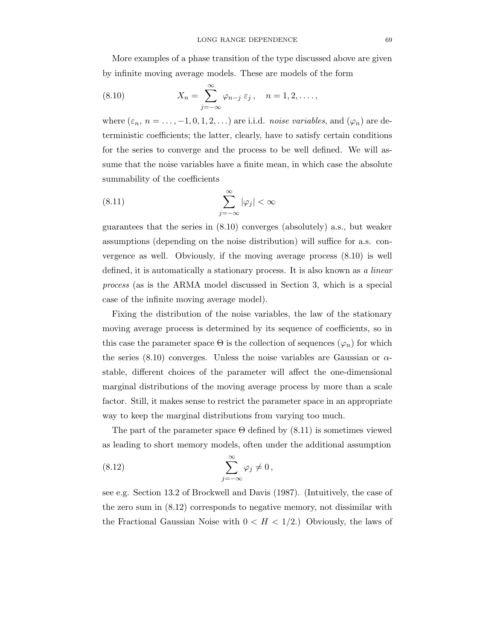More examples of a phase transition of the type discussed above are given by infinite moving average models. These are models of the form

(8.10) 
$$
X_n = \sum_{j=-\infty}^{\infty} \varphi_{n-j} \, \varepsilon_j \, , \quad n = 1, 2, \dots \, ,
$$

where  $(\varepsilon_n, n = \ldots, -1, 0, 1, 2, \ldots)$  are i.i.d. noise variables, and  $(\varphi_n)$  are deterministic coefficients; the latter, clearly, have to satisfy certain conditions for the series to converge and the process to be well defined. We will assume that the noise variables have a finite mean, in which case the absolute summability of the coefficients

(8.11) 
$$
\sum_{j=-\infty}^{\infty} |\varphi_j| < \infty
$$

guarantees that the series in (8.10) converges (absolutely) a.s., but weaker assumptions (depending on the noise distribution) will suffice for a.s. convergence as well. Obviously, if the moving average process (8.10) is well defined, it is automatically a stationary process. It is also known as a linear process (as is the ARMA model discussed in Section 3, which is a special case of the infinite moving average model).

Fixing the distribution of the noise variables, the law of the stationary moving average process is determined by its sequence of coefficients, so in this case the parameter space  $\Theta$  is the collection of sequences  $(\varphi_n)$  for which the series (8.10) converges. Unless the noise variables are Gaussian or  $\alpha$ stable, different choices of the parameter will affect the one-dimensional marginal distributions of the moving average process by more than a scale factor. Still, it makes sense to restrict the parameter space in an appropriate way to keep the marginal distributions from varying too much.

The part of the parameter space  $\Theta$  defined by  $(8.11)$  is sometimes viewed as leading to short memory models, often under the additional assumption

(8.12) 
$$
\sum_{j=-\infty}^{\infty} \varphi_j \neq 0,
$$

see e.g. Section 13.2 of Brockwell and Davis (1987). (Intuitively, the case of the zero sum in (8.12) corresponds to negative memory, not dissimilar with the Fractional Gaussian Noise with  $0 < H < 1/2$ .) Obviously, the laws of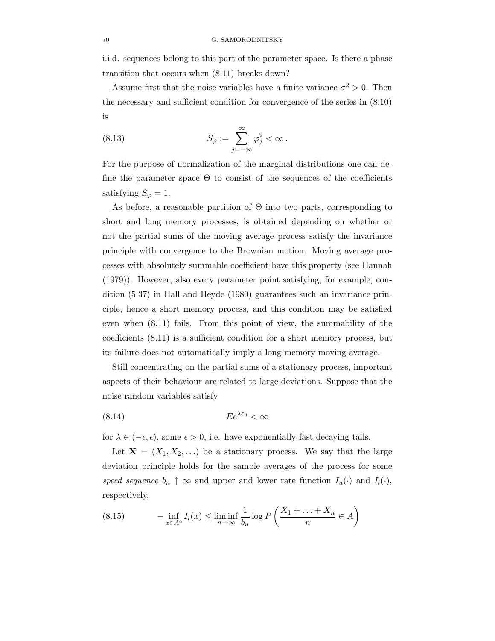i.i.d. sequences belong to this part of the parameter space. Is there a phase transition that occurs when (8.11) breaks down?

Assume first that the noise variables have a finite variance  $\sigma^2 > 0$ . Then the necessary and sufficient condition for convergence of the series in (8.10) is

(8.13) 
$$
S_{\varphi} := \sum_{j=-\infty}^{\infty} \varphi_j^2 < \infty.
$$

For the purpose of normalization of the marginal distributions one can define the parameter space  $\Theta$  to consist of the sequences of the coefficients satisfying  $S_{\varphi} = 1$ .

As before, a reasonable partition of  $\Theta$  into two parts, corresponding to short and long memory processes, is obtained depending on whether or not the partial sums of the moving average process satisfy the invariance principle with convergence to the Brownian motion. Moving average processes with absolutely summable coefficient have this property (see Hannah (1979)). However, also every parameter point satisfying, for example, condition (5.37) in Hall and Heyde (1980) guarantees such an invariance principle, hence a short memory process, and this condition may be satisfied even when (8.11) fails. From this point of view, the summability of the coefficients (8.11) is a sufficient condition for a short memory process, but its failure does not automatically imply a long memory moving average.

Still concentrating on the partial sums of a stationary process, important aspects of their behaviour are related to large deviations. Suppose that the noise random variables satisfy

$$
(8.14) \t\t Ee^{\lambda \varepsilon_0} < \infty
$$

for  $\lambda \in (-\epsilon, \epsilon)$ , some  $\epsilon > 0$ , i.e. have exponentially fast decaying tails.

Let  $X = (X_1, X_2, ...)$  be a stationary process. We say that the large deviation principle holds for the sample averages of the process for some speed sequence  $b_n \uparrow \infty$  and upper and lower rate function  $I_u(\cdot)$  and  $I_l(\cdot)$ , respectively,

(8.15) 
$$
-\inf_{x \in A^{\circ}} I_l(x) \leq \liminf_{n \to \infty} \frac{1}{b_n} \log P\left(\frac{X_1 + \dots + X_n}{n} \in A\right)
$$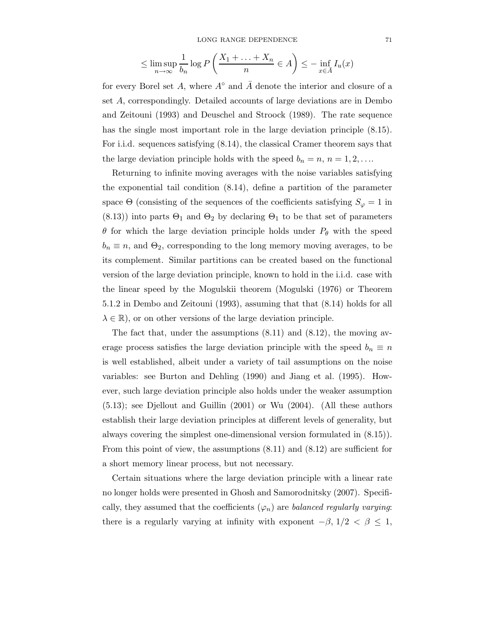$$
\leq \limsup_{n \to \infty} \frac{1}{b_n} \log P\left(\frac{X_1 + \dots + X_n}{n} \in A\right) \leq -\inf_{x \in \overline{A}} I_u(x)
$$

for every Borel set A, where  $A^{\circ}$  and  $\overline{A}$  denote the interior and closure of a set A, correspondingly. Detailed accounts of large deviations are in Dembo and Zeitouni (1993) and Deuschel and Stroock (1989). The rate sequence has the single most important role in the large deviation principle (8.15). For i.i.d. sequences satisfying (8.14), the classical Cramer theorem says that the large deviation principle holds with the speed  $b_n = n, n = 1, 2, \ldots$ 

Returning to infinite moving averages with the noise variables satisfying the exponential tail condition (8.14), define a partition of the parameter space  $\Theta$  (consisting of the sequences of the coefficients satisfying  $S_{\varphi} = 1$  in  $(8.13)$ ) into parts  $\Theta_1$  and  $\Theta_2$  by declaring  $\Theta_1$  to be that set of parameters  $\theta$  for which the large deviation principle holds under  $P_{\theta}$  with the speed  $b_n \equiv n$ , and  $\Theta_2$ , corresponding to the long memory moving averages, to be its complement. Similar partitions can be created based on the functional version of the large deviation principle, known to hold in the i.i.d. case with the linear speed by the Mogulskii theorem (Mogulski (1976) or Theorem 5.1.2 in Dembo and Zeitouni (1993), assuming that that (8.14) holds for all  $\lambda \in \mathbb{R}$ , or on other versions of the large deviation principle.

The fact that, under the assumptions (8.11) and (8.12), the moving average process satisfies the large deviation principle with the speed  $b_n \equiv n$ is well established, albeit under a variety of tail assumptions on the noise variables: see Burton and Dehling (1990) and Jiang et al. (1995). However, such large deviation principle also holds under the weaker assumption (5.13); see Djellout and Guillin (2001) or Wu (2004). (All these authors establish their large deviation principles at different levels of generality, but always covering the simplest one-dimensional version formulated in (8.15)). From this point of view, the assumptions (8.11) and (8.12) are sufficient for a short memory linear process, but not necessary.

Certain situations where the large deviation principle with a linear rate no longer holds were presented in Ghosh and Samorodnitsky (2007). Specifically, they assumed that the coefficients  $(\varphi_n)$  are *balanced regularly varying*: there is a regularly varying at infinity with exponent  $-\beta$ ,  $1/2 < \beta \leq 1$ ,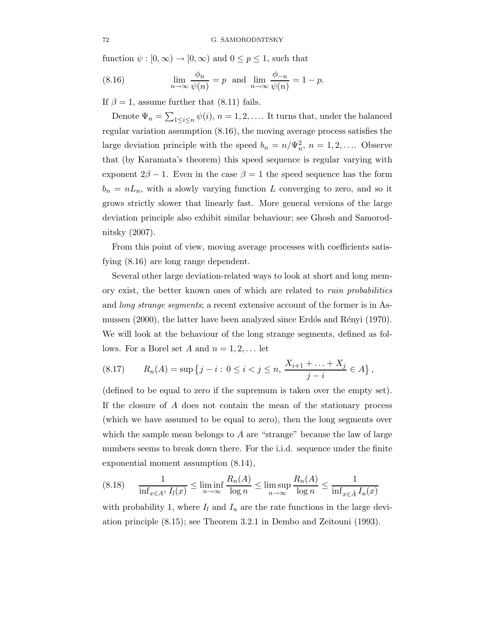function  $\psi : [0, \infty) \to [0, \infty)$  and  $0 \le p \le 1$ , such that

(8.16) 
$$
\lim_{n \to \infty} \frac{\phi_n}{\psi(n)} = p \text{ and } \lim_{n \to \infty} \frac{\phi_{-n}}{\psi(n)} = 1 - p.
$$

If  $\beta = 1$ , assume further that (8.11) fails.

Denote  $\Psi_n = \sum_{1 \leq i \leq n} \psi(i), n = 1, 2, \ldots$  It turns that, under the balanced regular variation assumption (8.16), the moving average process satisfies the large deviation principle with the speed  $b_n = n/\Psi_n^2$ ,  $n = 1, 2, \ldots$  Observe that (by Karamata's theorem) this speed sequence is regular varying with exponent  $2\beta - 1$ . Even in the case  $\beta = 1$  the speed sequence has the form  $b_n = nL_n$ , with a slowly varying function L converging to zero, and so it grows strictly slower that linearly fast. More general versions of the large deviation principle also exhibit similar behaviour; see Ghosh and Samorodnitsky (2007).

From this point of view, moving average processes with coefficients satisfying (8.16) are long range dependent.

Several other large deviation-related ways to look at short and long memory exist, the better known ones of which are related to ruin probabilities and *long strange segments*; a recent extensive account of the former is in Asmussen (2000), the latter have been analyzed since Erdós and Rényi (1970). We will look at the behaviour of the long strange segments, defined as follows. For a Borel set A and  $n = 1, 2, \dots$  let

(8.17) 
$$
R_n(A) = \sup \{ j - i : 0 \le i < j \le n, \frac{X_{i+1} + \dots + X_j}{j - i} \in A \},
$$

(defined to be equal to zero if the supremum is taken over the empty set). If the closure of A does not contain the mean of the stationary process (which we have assumed to be equal to zero), then the long segments over which the sample mean belongs to  $A$  are "strange" because the law of large numbers seems to break down there. For the i.i.d. sequence under the finite exponential moment assumption (8.14),

$$
(8.18)\qquad \frac{1}{\inf_{x\in A^{\circ}} I_l(x)} \le \liminf_{n\to\infty} \frac{R_n(A)}{\log n} \le \limsup_{n\to\infty} \frac{R_n(A)}{\log n} \le \frac{1}{\inf_{x\in \bar{A}} I_u(x)}
$$

with probability 1, where  $I_l$  and  $I_u$  are the rate functions in the large deviation principle (8.15); see Theorem 3.2.1 in Dembo and Zeitouni (1993).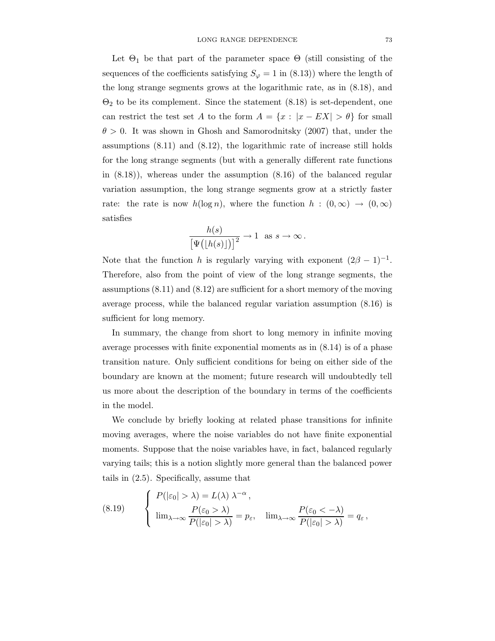Let  $\Theta_1$  be that part of the parameter space  $\Theta$  (still consisting of the sequences of the coefficients satisfying  $S_{\varphi} = 1$  in (8.13)) where the length of the long strange segments grows at the logarithmic rate, as in (8.18), and  $\Theta_2$  to be its complement. Since the statement  $(8.18)$  is set-dependent, one can restrict the test set A to the form  $A = \{x : |x - EX| > \theta\}$  for small  $\theta > 0$ . It was shown in Ghosh and Samorodnitsky (2007) that, under the assumptions (8.11) and (8.12), the logarithmic rate of increase still holds for the long strange segments (but with a generally different rate functions in  $(8.18)$ , whereas under the assumption  $(8.16)$  of the balanced regular variation assumption, the long strange segments grow at a strictly faster rate: the rate is now  $h(\log n)$ , where the function  $h : (0,\infty) \to (0,\infty)$ satisfies

$$
\frac{h(s)}{\left[\Psi\big(\lfloor h(s)\rfloor\big)\right]^2} \to 1 \text{ as } s \to \infty.
$$

Note that the function h is regularly varying with exponent  $(2\beta - 1)^{-1}$ . Therefore, also from the point of view of the long strange segments, the assumptions (8.11) and (8.12) are sufficient for a short memory of the moving average process, while the balanced regular variation assumption (8.16) is sufficient for long memory.

In summary, the change from short to long memory in infinite moving average processes with finite exponential moments as in (8.14) is of a phase transition nature. Only sufficient conditions for being on either side of the boundary are known at the moment; future research will undoubtedly tell us more about the description of the boundary in terms of the coefficients in the model.

We conclude by briefly looking at related phase transitions for infinite moving averages, where the noise variables do not have finite exponential moments. Suppose that the noise variables have, in fact, balanced regularly varying tails; this is a notion slightly more general than the balanced power tails in (2.5). Specifically, assume that

(8.19) 
$$
\begin{cases} P(|\varepsilon_0| > \lambda) = L(\lambda) \lambda^{-\alpha}, \\ \lim_{\lambda \to \infty} \frac{P(\varepsilon_0 > \lambda)}{P(|\varepsilon_0| > \lambda)} = p_{\varepsilon}, \quad \lim_{\lambda \to \infty} \frac{P(\varepsilon_0 < -\lambda)}{P(|\varepsilon_0| > \lambda)} = q_{\varepsilon}, \end{cases}
$$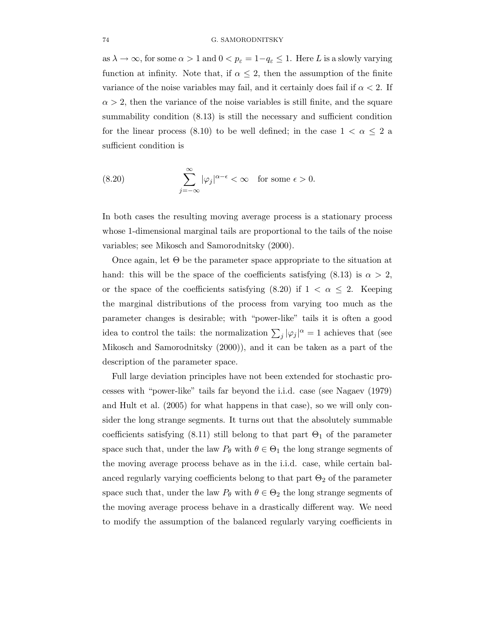as  $\lambda \to \infty$ , for some  $\alpha > 1$  and  $0 < p_{\varepsilon} = 1 - q_{\varepsilon} \leq 1$ . Here L is a slowly varying function at infinity. Note that, if  $\alpha \leq 2$ , then the assumption of the finite variance of the noise variables may fail, and it certainly does fail if  $\alpha < 2$ . If  $\alpha > 2$ , then the variance of the noise variables is still finite, and the square summability condition (8.13) is still the necessary and sufficient condition for the linear process (8.10) to be well defined; in the case  $1 < \alpha \leq 2$  a sufficient condition is

(8.20) 
$$
\sum_{j=-\infty}^{\infty} |\varphi_j|^{\alpha-\epsilon} < \infty \quad \text{for some } \epsilon > 0.
$$

In both cases the resulting moving average process is a stationary process whose 1-dimensional marginal tails are proportional to the tails of the noise variables; see Mikosch and Samorodnitsky (2000).

Once again, let Θ be the parameter space appropriate to the situation at hand: this will be the space of the coefficients satisfying  $(8.13)$  is  $\alpha > 2$ , or the space of the coefficients satisfying (8.20) if  $1 < \alpha \leq 2$ . Keeping the marginal distributions of the process from varying too much as the parameter changes is desirable; with "power-like" tails it is often a good idea to control the tails: the normalization  $\sum_j |\varphi_j|^{\alpha} = 1$  achieves that (see Mikosch and Samorodnitsky (2000)), and it can be taken as a part of the description of the parameter space.

Full large deviation principles have not been extended for stochastic processes with "power-like" tails far beyond the i.i.d. case (see Nagaev (1979) and Hult et al. (2005) for what happens in that case), so we will only consider the long strange segments. It turns out that the absolutely summable coefficients satisfying  $(8.11)$  still belong to that part  $\Theta_1$  of the parameter space such that, under the law  $P_{\theta}$  with  $\theta \in \Theta_1$  the long strange segments of the moving average process behave as in the i.i.d. case, while certain balanced regularly varying coefficients belong to that part  $\Theta_2$  of the parameter space such that, under the law  $P_{\theta}$  with  $\theta \in \Theta_2$  the long strange segments of the moving average process behave in a drastically different way. We need to modify the assumption of the balanced regularly varying coefficients in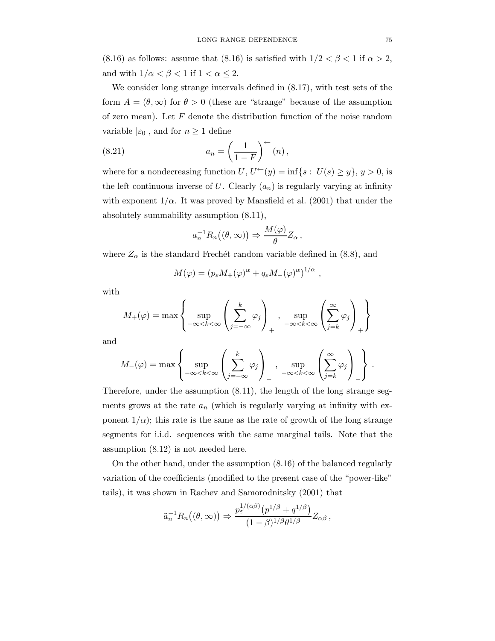(8.16) as follows: assume that (8.16) is satisfied with  $1/2 < \beta < 1$  if  $\alpha > 2$ , and with  $1/\alpha < \beta < 1$  if  $1 < \alpha \leq 2$ .

We consider long strange intervals defined in (8.17), with test sets of the form  $A = (\theta, \infty)$  for  $\theta > 0$  (these are "strange" because of the assumption of zero mean). Let  $F$  denote the distribution function of the noise random variable  $|\varepsilon_0|$ , and for  $n \geq 1$  define

(8.21) 
$$
a_n = \left(\frac{1}{1-F}\right)^{2n} (n),
$$

where for a nondecreasing function  $U, U^{\leftarrow}(y) = \inf\{s : U(s) \geq y\}, y > 0$ , is the left continuous inverse of U. Clearly  $(a_n)$  is regularly varying at infinity with exponent  $1/\alpha$ . It was proved by Mansfield et al. (2001) that under the absolutely summability assumption (8.11),

$$
a_n^{-1}R_n((\theta,\infty)) \Rightarrow \frac{M(\varphi)}{\theta}Z_\alpha,
$$

where  $Z_{\alpha}$  is the standard Frechét random variable defined in (8.8), and

$$
M(\varphi) = (p_{\varepsilon} M_{+}(\varphi)^{\alpha} + q_{\varepsilon} M_{-}(\varphi)^{\alpha})^{1/\alpha} ,
$$

with

$$
M_{+}(\varphi) = \max \left\{ \sup_{-\infty < k < \infty} \left( \sum_{j=-\infty}^{k} \varphi_{j} \right)_{+}, \sup_{-\infty < k < \infty} \left( \sum_{j=k}^{\infty} \varphi_{j} \right)_{+} \right\}
$$

and

$$
M_{-}(\varphi) = \max \left\{ \sup_{-\infty < k < \infty} \left( \sum_{j=-\infty}^{k} \varphi_{j} \right)_{-}, \sup_{-\infty < k < \infty} \left( \sum_{j=k}^{\infty} \varphi_{j} \right)_{-} \right\}.
$$

Therefore, under the assumption (8.11), the length of the long strange segments grows at the rate  $a_n$  (which is regularly varying at infinity with exponent  $1/\alpha$ ; this rate is the same as the rate of growth of the long strange segments for i.i.d. sequences with the same marginal tails. Note that the assumption (8.12) is not needed here.

On the other hand, under the assumption (8.16) of the balanced regularly variation of the coefficients (modified to the present case of the "power-like" tails), it was shown in Rachev and Samorodnitsky (2001) that

$$
\tilde{a}_n^{-1} R_n((\theta,\infty)) \Rightarrow \frac{p_\varepsilon^{1/(\alpha\beta)}(p^{1/\beta} + q^{1/\beta})}{(1-\beta)^{1/\beta}\theta^{1/\beta}} Z_{\alpha\beta},
$$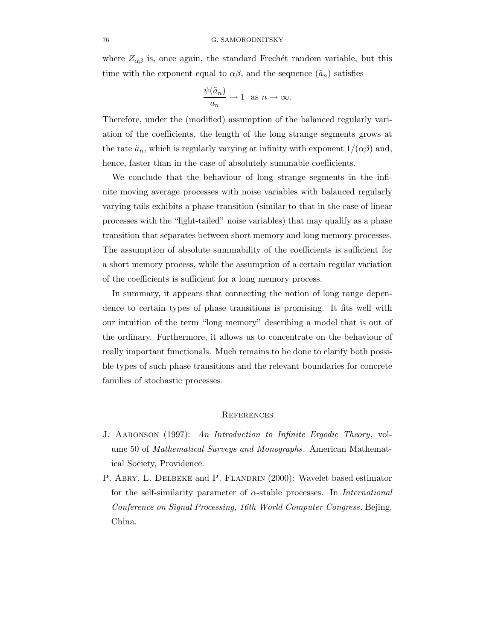## 76 G. SAMORODNITSKY

where  $Z_{\alpha\beta}$  is, once again, the standard Frechét random variable, but this time with the exponent equal to  $\alpha\beta$ , and the sequence  $(\tilde{a}_n)$  satisfies

$$
\frac{\psi(\tilde{a}_n)}{a_n} \to 1 \text{ as } n \to \infty.
$$

Therefore, under the (modified) assumption of the balanced regularly variation of the coefficients, the length of the long strange segments grows at the rate  $\tilde{a}_n$ , which is regularly varying at infinity with exponent  $1/(\alpha\beta)$  and, hence, faster than in the case of absolutely summable coefficients.

We conclude that the behaviour of long strange segments in the infinite moving average processes with noise variables with balanced regularly varying tails exhibits a phase transition (similar to that in the case of linear processes with the "light-tailed" noise variables) that may qualify as a phase transition that separates between short memory and long memory processes. The assumption of absolute summability of the coefficients is sufficient for a short memory process, while the assumption of a certain regular variation of the coefficients is sufficient for a long memory process.

In summary, it appears that connecting the notion of long range dependence to certain types of phase transitions is promising. It fits well with our intuition of the term "long memory" describing a model that is out of the ordinary. Furthermore, it allows us to concentrate on the behaviour of really important functionals. Much remains to be done to clarify both possible types of such phase transitions and the relevant boundaries for concrete families of stochastic processes.

## **REFERENCES**

- J. Aaronson (1997): An Introduction to Infinite Ergodic Theory, volume 50 of Mathematical Surveys and Monographs. American Mathematical Society, Providence.
- P. ABRY, L. DELBEKE and P. FLANDRIN (2000): Wavelet based estimator for the self-similarity parameter of  $\alpha$ -stable processes. In *International* Conference on Signal Processing, 16th World Computer Congress. Bejing, China.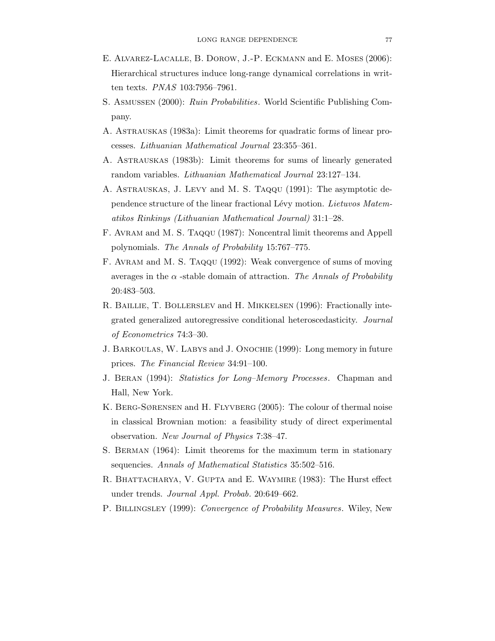- E. Alvarez-Lacalle, B. Dorow, J.-P. Eckmann and E. Moses (2006): Hierarchical structures induce long-range dynamical correlations in written texts. PNAS 103:7956–7961.
- S. Asmussen (2000): Ruin Probabilities. World Scientific Publishing Company.
- A. Astrauskas (1983a): Limit theorems for quadratic forms of linear processes. Lithuanian Mathematical Journal 23:355–361.
- A. Astrauskas (1983b): Limit theorems for sums of linearly generated random variables. Lithuanian Mathematical Journal 23:127–134.
- A. Astrauskas, J. Levy and M. S. Taqqu (1991): The asymptotic dependence structure of the linear fractional Lévy motion. Lietuvos Matematikos Rinkinys (Lithuanian Mathematical Journal) 31:1–28.
- F. Avram and M. S. Taqqu (1987): Noncentral limit theorems and Appell polynomials. The Annals of Probability 15:767–775.
- F. Avram and M. S. Taqqu (1992): Weak convergence of sums of moving averages in the  $\alpha$ -stable domain of attraction. The Annals of Probability 20:483–503.
- R. Baillie, T. Bollerslev and H. Mikkelsen (1996): Fractionally integrated generalized autoregressive conditional heteroscedasticity. Journal of Econometrics 74:3–30.
- J. Barkoulas, W. Labys and J. Onochie (1999): Long memory in future prices. The Financial Review 34:91–100.
- J. Beran (1994): Statistics for Long–Memory Processes. Chapman and Hall, New York.
- K. BERG-SØRENSEN and H. FLYVBERG (2005): The colour of thermal noise in classical Brownian motion: a feasibility study of direct experimental observation. New Journal of Physics 7:38–47.
- S. Berman (1964): Limit theorems for the maximum term in stationary sequencies. Annals of Mathematical Statistics 35:502-516.
- R. BHATTACHARYA, V. GUPTA and E. WAYMIRE (1983): The Hurst effect under trends. Journal Appl. Probab. 20:649–662.
- P. BILLINGSLEY (1999): Convergence of Probability Measures. Wiley, New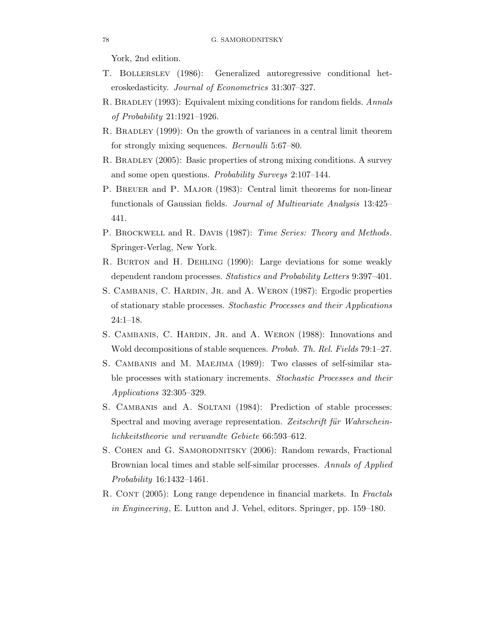York, 2nd edition.

- T. Bollerslev (1986): Generalized autoregressive conditional heteroskedasticity. Journal of Econometrics 31:307–327.
- R. BRADLEY (1993): Equivalent mixing conditions for random fields. Annals of Probability 21:1921–1926.
- R. Bradley (1999): On the growth of variances in a central limit theorem for strongly mixing sequences. Bernoulli 5:67–80.
- R. BRADLEY (2005): Basic properties of strong mixing conditions. A survey and some open questions. Probability Surveys 2:107–144.
- P. Breuer and P. Major (1983): Central limit theorems for non-linear functionals of Gaussian fields. Journal of Multivariate Analysis 13:425– 441.
- P. BROCKWELL and R. DAVIS (1987): Time Series: Theory and Methods. Springer-Verlag, New York.
- R. Burton and H. Dehling (1990): Large deviations for some weakly dependent random processes. Statistics and Probability Letters 9:397–401.
- S. CAMBANIS, C. HARDIN, JR. and A. WERON (1987): Ergodic properties of stationary stable processes. Stochastic Processes and their Applications 24:1–18.
- S. CAMBANIS, C. HARDIN, JR. and A. WERON (1988): Innovations and Wold decompositions of stable sequences. Probab. Th. Rel. Fields 79:1–27.
- S. CAMBANIS and M. MAEJIMA (1989): Two classes of self-similar stable processes with stationary increments. Stochastic Processes and their Applications 32:305–329.
- S. CAMBANIS and A. SOLTANI (1984): Prediction of stable processes: Spectral and moving average representation. Zeitschrift für Wahrscheinlichkeitstheorie und verwandte Gebiete 66:593–612.
- S. COHEN and G. SAMORODNITSKY (2006): Random rewards, Fractional Brownian local times and stable self-similar processes. Annals of Applied Probability 16:1432–1461.
- R. CONT (2005): Long range dependence in financial markets. In Fractals in Engineering, E. Lutton and J. Vehel, editors. Springer, pp. 159–180.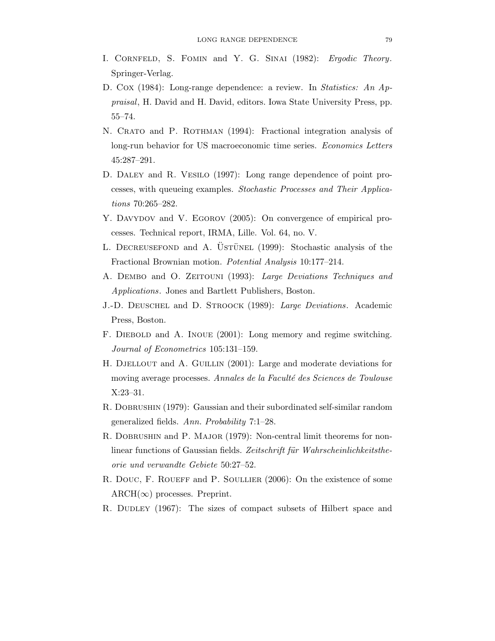- I. CORNFELD, S. FOMIN and Y. G. SINAI (1982): Ergodic Theory. Springer-Verlag.
- D. Cox (1984): Long-range dependence: a review. In *Statistics: An Ap*praisal, H. David and H. David, editors. Iowa State University Press, pp. 55–74.
- N. CRATO and P. ROTHMAN (1994): Fractional integration analysis of long-run behavior for US macroeconomic time series. Economics Letters 45:287–291.
- D. Daley and R. Vesilo (1997): Long range dependence of point processes, with queueing examples. Stochastic Processes and Their Applications 70:265–282.
- Y. DAVYDOV and V. EGOROV (2005): On convergence of empirical processes. Technical report, IRMA, Lille. Vol. 64, no. V.
- L. DECREUSEFOND and A. ÜSTÜNEL (1999): Stochastic analysis of the Fractional Brownian motion. Potential Analysis 10:177–214.
- A. DEMBO and O. ZEITOUNI (1993): Large Deviations Techniques and Applications. Jones and Bartlett Publishers, Boston.
- J.-D. Deuschel and D. Stroock (1989): Large Deviations. Academic Press, Boston.
- F. Diebold and A. Inoue (2001): Long memory and regime switching. Journal of Econometrics 105:131–159.
- H. Djellout and A. Guillin (2001): Large and moderate deviations for moving average processes. Annales de la Faculté des Sciences de Toulouse X:23–31.
- R. DOBRUSHIN (1979): Gaussian and their subordinated self-similar random generalized fields. Ann. Probability 7:1–28.
- R. DOBRUSHIN and P. MAJOR (1979): Non-central limit theorems for nonlinear functions of Gaussian fields. Zeitschrift für Wahrscheinlichkeitstheorie und verwandte Gebiete 50:27–52.
- R. DOUC, F. ROUEFF and P. SOULLIER (2006): On the existence of some  $\text{ARCH}(\infty)$  processes. Preprint.
- R. DUDLEY (1967): The sizes of compact subsets of Hilbert space and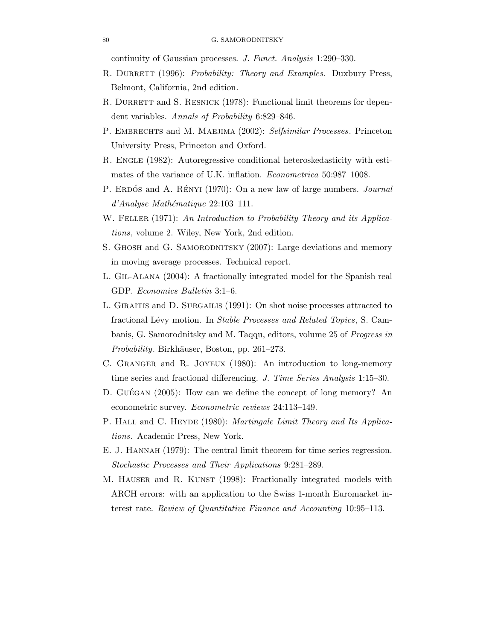continuity of Gaussian processes. J. Funct. Analysis 1:290–330.

- R. DURRETT (1996): Probability: Theory and Examples. Duxbury Press, Belmont, California, 2nd edition.
- R. DURRETT and S. RESNICK (1978): Functional limit theorems for dependent variables. Annals of Probability 6:829–846.
- P. EMBRECHTS and M. MAEJIMA (2002): Selfsimilar Processes. Princeton University Press, Princeton and Oxford.
- R. ENGLE (1982): Autoregressive conditional heteroskedasticity with estimates of the variance of U.K. inflation. Econometrica 50:987–1008.
- P. ERDÓS and A. RÉNYI (1970): On a new law of large numbers. *Journal*  $d'Analyse Mathématique 22:103-111.$
- W. FELLER (1971): An Introduction to Probability Theory and its Applications, volume 2. Wiley, New York, 2nd edition.
- S. GHOSH and G. SAMORODNITSKY (2007): Large deviations and memory in moving average processes. Technical report.
- L. Gil-Alana (2004): A fractionally integrated model for the Spanish real GDP. Economics Bulletin 3:1–6.
- L. GIRAITIS and D. SURGAILIS (1991): On shot noise processes attracted to fractional Lévy motion. In Stable Processes and Related Topics, S. Cambanis, G. Samorodnitsky and M. Taqqu, editors, volume 25 of Progress in Probability. Birkhäuser, Boston, pp. 261–273.
- C. GRANGER and R. JOYEUX (1980): An introduction to long-memory time series and fractional differencing. J. Time Series Analysis 1:15–30.
- D. GUÉGAN  $(2005)$ : How can we define the concept of long memory? An econometric survey. Econometric reviews 24:113–149.
- P. HALL and C. HEYDE (1980): Martingale Limit Theory and Its Applications. Academic Press, New York.
- E. J. Hannah (1979): The central limit theorem for time series regression. Stochastic Processes and Their Applications 9:281–289.
- M. HAUSER and R. KUNST (1998): Fractionally integrated models with ARCH errors: with an application to the Swiss 1-month Euromarket interest rate. Review of Quantitative Finance and Accounting 10:95–113.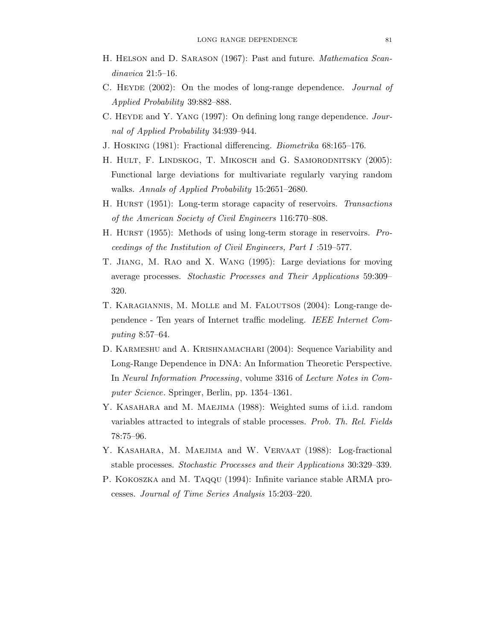- H. Helson and D. Sarason (1967): Past and future. Mathematica Scandinavica 21:5–16.
- C. HEYDE (2002): On the modes of long-range dependence. *Journal of* Applied Probability 39:882–888.
- C. HEYDE and Y. YANG (1997): On defining long range dependence. Journal of Applied Probability 34:939–944.
- J. Hosking (1981): Fractional differencing. Biometrika 68:165–176.
- H. HULT, F. LINDSKOG, T. MIKOSCH and G. SAMORODNITSKY (2005): Functional large deviations for multivariate regularly varying random walks. Annals of Applied Probability 15:2651-2680.
- H. Hurst (1951): Long-term storage capacity of reservoirs. Transactions of the American Society of Civil Engineers 116:770–808.
- H. Hurst (1955): Methods of using long-term storage in reservoirs. Proceedings of the Institution of Civil Engineers, Part I :519–577.
- T. Jiang, M. Rao and X. Wang (1995): Large deviations for moving average processes. Stochastic Processes and Their Applications 59:309– 320.
- T. Karagiannis, M. Molle and M. Faloutsos (2004): Long-range dependence - Ten years of Internet traffic modeling. IEEE Internet Computing 8:57–64.
- D. KARMESHU and A. KRISHNAMACHARI (2004): Sequence Variability and Long-Range Dependence in DNA: An Information Theoretic Perspective. In Neural Information Processing, volume 3316 of Lecture Notes in Computer Science. Springer, Berlin, pp. 1354–1361.
- Y. KASAHARA and M. MAEJIMA (1988): Weighted sums of i.i.d. random variables attracted to integrals of stable processes. Prob. Th. Rel. Fields 78:75–96.
- Y. KASAHARA, M. MAEJIMA and W. VERVAAT (1988): Log-fractional stable processes. Stochastic Processes and their Applications 30:329–339.
- P. KOKOSZKA and M. TAQQU (1994): Infinite variance stable ARMA processes. Journal of Time Series Analysis 15:203–220.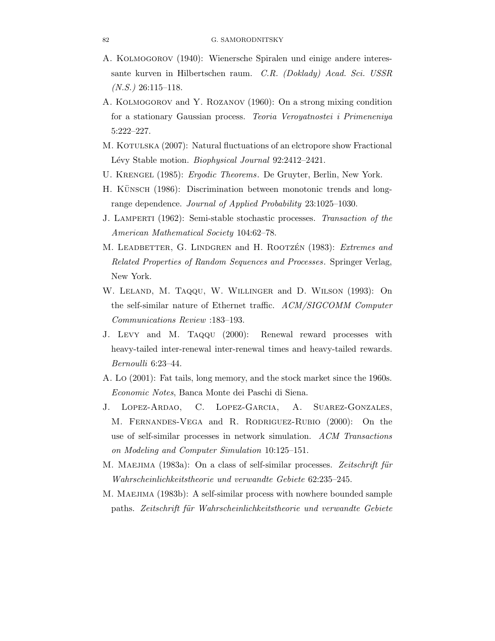- A. Kolmogorov (1940): Wienersche Spiralen und einige andere interessante kurven in Hilbertschen raum. C.R. (Doklady) Acad. Sci. USSR  $(N.S.) 26:115-118.$
- A. Kolmogorov and Y. Rozanov (1960): On a strong mixing condition for a stationary Gaussian process. Teoria Veroyatnostei i Primeneniya 5:222–227.
- M. KOTULSKA (2007): Natural fluctuations of an elctropore show Fractional Lévy Stable motion. Biophysical Journal 92:2412–2421.
- U. Krengel (1985): Ergodic Theorems. De Gruyter, Berlin, New York.
- H. KÜNSCH (1986): Discrimination between monotonic trends and longrange dependence. Journal of Applied Probability 23:1025–1030.
- J. Lamperti (1962): Semi-stable stochastic processes. Transaction of the American Mathematical Society 104:62–78.
- M. LEADBETTER, G. LINDGREN and H. ROOTZÉN (1983): Extremes and Related Properties of Random Sequences and Processes. Springer Verlag, New York.
- W. Leland, M. Taqqu, W. Willinger and D. Wilson (1993): On the self-similar nature of Ethernet traffic. ACM/SIGCOMM Computer Communications Review :183–193.
- J. Levy and M. Taqqu (2000): Renewal reward processes with heavy-tailed inter-renewal inter-renewal times and heavy-tailed rewards. Bernoulli 6:23–44.
- A. Lo (2001): Fat tails, long memory, and the stock market since the 1960s. Economic Notes, Banca Monte dei Paschi di Siena.
- J. Lopez-Ardao, C. Lopez-Garcia, A. Suarez-Gonzales, M. Fernandes-Vega and R. Rodriguez-Rubio (2000): On the use of self-similar processes in network simulation. ACM Transactions on Modeling and Computer Simulation 10:125–151.
- M. MAEJIMA (1983a): On a class of self-similar processes. Zeitschrift für Wahrscheinlichkeitstheorie und verwandte Gebiete 62:235–245.
- M. MAEJIMA (1983b): A self-similar process with nowhere bounded sample paths. Zeitschrift für Wahrscheinlichkeitstheorie und verwandte Gebiete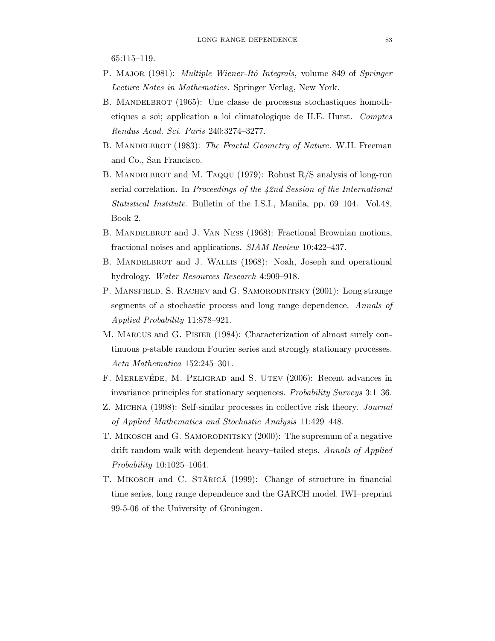65:115–119.

- P. MAJOR (1981): *Multiple Wiener-Itô Integrals*, volume 849 of *Springer* Lecture Notes in Mathematics. Springer Verlag, New York.
- B. MANDELBROT (1965): Une classe de processus stochastiques homothetiques a soi; application a loi climatologique de H.E. Hurst. Comptes Rendus Acad. Sci. Paris 240:3274–3277.
- B. MANDELBROT (1983): The Fractal Geometry of Nature. W.H. Freeman and Co., San Francisco.
- B. MANDELBROT and M. TAQQU (1979): Robust R/S analysis of long-run serial correlation. In Proceedings of the 42nd Session of the International Statistical Institute. Bulletin of the I.S.I., Manila, pp. 69–104. Vol.48, Book 2.
- B. MANDELBROT and J. VAN NESS (1968): Fractional Brownian motions, fractional noises and applications. SIAM Review 10:422–437.
- B. MANDELBROT and J. WALLIS (1968): Noah, Joseph and operational hydrology. Water Resources Research 4:909–918.
- P. MANSFIELD, S. RACHEV and G. SAMORODNITSKY (2001): Long strange segments of a stochastic process and long range dependence. Annals of Applied Probability 11:878–921.
- M. Marcus and G. Pisier (1984): Characterization of almost surely continuous p-stable random Fourier series and strongly stationary processes. Acta Mathematica 152:245–301.
- F. MERLEVÉDE, M. PELIGRAD and S. UTEV (2006): Recent advances in invariance principles for stationary sequences. Probability Surveys 3:1–36.
- Z. MICHNA (1998): Self-similar processes in collective risk theory. Journal of Applied Mathematics and Stochastic Analysis 11:429–448.
- T. MIKOSCH and G. SAMORODNITSKY (2000): The supremum of a negative drift random walk with dependent heavy–tailed steps. Annals of Applied Probability 10:1025–1064.
- T. MIKOSCH and C. STĂRICĂ (1999): Change of structure in financial time series, long range dependence and the GARCH model. IWI–preprint 99-5-06 of the University of Groningen.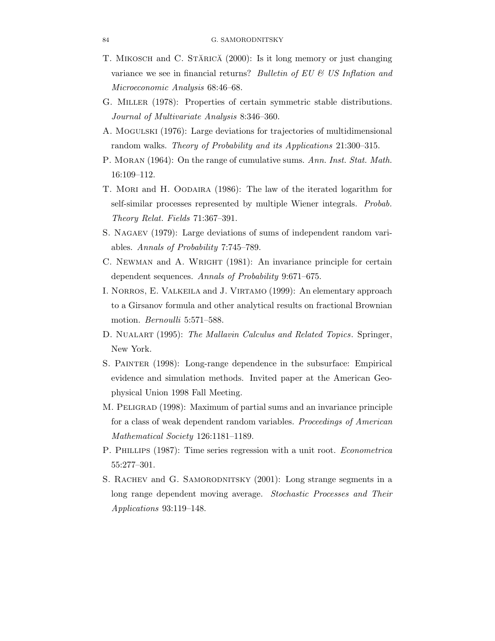- T. MIKOSCH and C. STĂRICĂ (2000): Is it long memory or just changing variance we see in financial returns? Bulletin of EU  $\&$  US Inflation and Microeconomic Analysis 68:46–68.
- G. Miller (1978): Properties of certain symmetric stable distributions. Journal of Multivariate Analysis 8:346–360.
- A. Mogulski (1976): Large deviations for trajectories of multidimensional random walks. Theory of Probability and its Applications 21:300–315.
- P. MORAN (1964): On the range of cumulative sums. Ann. Inst. Stat. Math. 16:109–112.
- T. Mori and H. Oodaira (1986): The law of the iterated logarithm for self-similar processes represented by multiple Wiener integrals. Probab. Theory Relat. Fields 71:367–391.
- S. Nagaev (1979): Large deviations of sums of independent random variables. Annals of Probability 7:745–789.
- C. NEWMAN and A. WRIGHT (1981): An invariance principle for certain dependent sequences. Annals of Probability 9:671–675.
- I. Norros, E. Valkeila and J. Virtamo (1999): An elementary approach to a Girsanov formula and other analytical results on fractional Brownian motion. Bernoulli 5:571–588.
- D. NUALART (1995): The Mallavin Calculus and Related Topics. Springer, New York.
- S. Painter (1998): Long-range dependence in the subsurface: Empirical evidence and simulation methods. Invited paper at the American Geophysical Union 1998 Fall Meeting.
- M. PELIGRAD (1998): Maximum of partial sums and an invariance principle for a class of weak dependent random variables. Proceedings of American Mathematical Society 126:1181–1189.
- P. Phillips (1987): Time series regression with a unit root. Econometrica 55:277–301.
- S. RACHEV and G. SAMORODNITSKY (2001): Long strange segments in a long range dependent moving average. Stochastic Processes and Their Applications 93:119–148.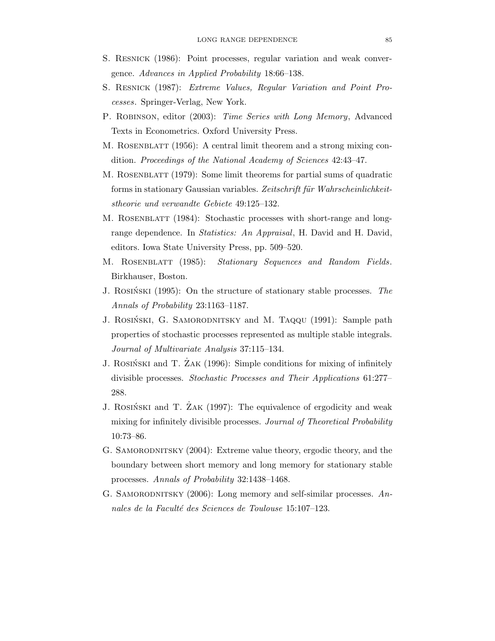- S. Resnick (1986): Point processes, regular variation and weak convergence. Advances in Applied Probability 18:66–138.
- S. Resnick (1987): Extreme Values, Regular Variation and Point Processes. Springer-Verlag, New York.
- P. ROBINSON, editor (2003): Time Series with Long Memory, Advanced Texts in Econometrics. Oxford University Press.
- M. ROSENBLATT (1956): A central limit theorem and a strong mixing condition. Proceedings of the National Academy of Sciences 42:43–47.
- M. Rosenblatt (1979): Some limit theorems for partial sums of quadratic forms in stationary Gaussian variables. Zeitschrift für Wahrscheinlichkeitstheorie und verwandte Gebiete 49:125–132.
- M. ROSENBLATT (1984): Stochastic processes with short-range and longrange dependence. In *Statistics: An Appraisal*, H. David and H. David, editors. Iowa State University Press, pp. 509–520.
- M. ROSENBLATT (1985): Stationary Sequences and Random Fields. Birkhauser, Boston.
- J. ROSINSKI  $(1995)$ : On the structure of stationary stable processes. The Annals of Probability 23:1163–1187.
- J. ROSIŃSKI, G. SAMORODNITSKY and M. TAQQU (1991): Sample path properties of stochastic processes represented as multiple stable integrals. Journal of Multivariate Analysis 37:115–134.
- J. ROSINSKI and T. ZAK (1996): Simple conditions for mixing of infinitely divisible processes. Stochastic Processes and Their Applications 61:277– 288.
- J. ROSIŃSKI and T. ZAK (1997): The equivalence of ergodicity and weak mixing for infinitely divisible processes. Journal of Theoretical Probability 10:73–86.
- G. SAMORODNITSKY (2004): Extreme value theory, ergodic theory, and the boundary between short memory and long memory for stationary stable processes. Annals of Probability 32:1438–1468.
- G. SAMORODNITSKY  $(2006)$ : Long memory and self-similar processes. Annales de la Faculté des Sciences de Toulouse 15:107-123.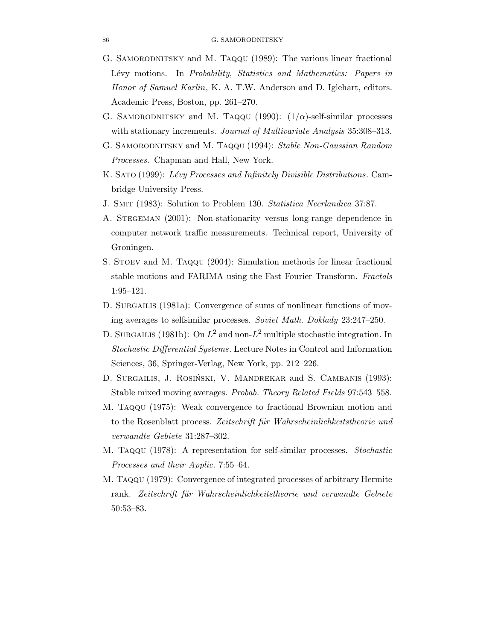- G. SAMORODNITSKY and M. TAQQU (1989): The various linear fractional Lévy motions. In Probability, Statistics and Mathematics: Papers in Honor of Samuel Karlin, K. A. T.W. Anderson and D. Iglehart, editors. Academic Press, Boston, pp. 261–270.
- G. SAMORODNITSKY and M. Taqqu (1990):  $(1/\alpha)$ -self-similar processes with stationary increments. *Journal of Multivariate Analysis* 35:308-313.
- G. SAMORODNITSKY and M. TAQQU (1994): Stable Non-Gaussian Random Processes. Chapman and Hall, New York.
- K. SATO (1999): Lévy Processes and Infinitely Divisible Distributions. Cambridge University Press.
- J. Smit (1983): Solution to Problem 130. Statistica Neerlandica 37:87.
- A. STEGEMAN (2001): Non-stationarity versus long-range dependence in computer network traffic measurements. Technical report, University of Groningen.
- S. Stoev and M. Taqqu (2004): Simulation methods for linear fractional stable motions and FARIMA using the Fast Fourier Transform. Fractals 1:95–121.
- D. SURGAILIS (1981a): Convergence of sums of nonlinear functions of moving averages to selfsimilar processes. Soviet Math. Doklady 23:247–250.
- D. SURGAILIS (1981b): On  $L^2$  and non- $L^2$  multiple stochastic integration. In Stochastic Differential Systems. Lecture Notes in Control and Information Sciences, 36, Springer-Verlag, New York, pp. 212–226.
- D. SURGAILIS, J. ROSIŃSKI, V. MANDREKAR and S. CAMBANIS (1993): Stable mixed moving averages. Probab. Theory Related Fields 97:543–558.
- M. Taqqu (1975): Weak convergence to fractional Brownian motion and to the Rosenblatt process. Zeitschrift für Wahrscheinlichkeitstheorie und verwandte Gebiete 31:287–302.
- M. Taqqu (1978): A representation for self-similar processes. Stochastic Processes and their Applic. 7:55–64.
- M. Taqqu (1979): Convergence of integrated processes of arbitrary Hermite rank. Zeitschrift für Wahrscheinlichkeitstheorie und verwandte Gebiete 50:53–83.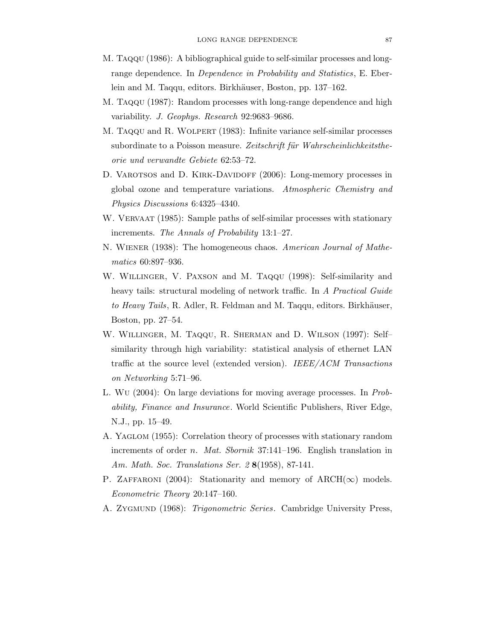- M. Taqqu (1986): A bibliographical guide to self-similar processes and longrange dependence. In Dependence in Probability and Statistics, E. Eberlein and M. Taqqu, editors. Birkhäuser, Boston, pp. 137–162.
- M. Taqqu (1987): Random processes with long-range dependence and high variability. J. Geophys. Research 92:9683–9686.
- M. Taqqu and R. Wolpert (1983): Infinite variance self-similar processes subordinate to a Poisson measure. Zeitschrift für Wahrscheinlichkeitstheorie und verwandte Gebiete 62:53–72.
- D. VAROTSOS and D. KIRK-DAVIDOFF (2006): Long-memory processes in global ozone and temperature variations. Atmospheric Chemistry and Physics Discussions 6:4325–4340.
- W. VERVAAT (1985): Sample paths of self-similar processes with stationary increments. The Annals of Probability 13:1–27.
- N. Wiener (1938): The homogeneous chaos. American Journal of Mathematics 60:897–936.
- W. Willinger, V. Paxson and M. Taqqu (1998): Self-similarity and heavy tails: structural modeling of network traffic. In A Practical Guide to Heavy Tails, R. Adler, R. Feldman and M. Taqqu, editors. Birkhäuser, Boston, pp. 27–54.
- W. Willinger, M. Taqqu, R. Sherman and D. Wilson (1997): Self– similarity through high variability: statistical analysis of ethernet LAN traffic at the source level (extended version). IEEE/ACM Transactions on Networking 5:71–96.
- L. Wu (2004): On large deviations for moving average processes. In Probability, Finance and Insurance. World Scientific Publishers, River Edge, N.J., pp. 15–49.
- A. YAGLOM (1955): Correlation theory of processes with stationary random increments of order *n. Mat. Sbornik* 37:141–196. English translation in Am. Math. Soc. Translations Ser. 2 8(1958), 87-141.
- P. ZAFFARONI (2004): Stationarity and memory of ARCH( $\infty$ ) models. Econometric Theory 20:147–160.
- A. ZYGMUND (1968): *Trigonometric Series*. Cambridge University Press,